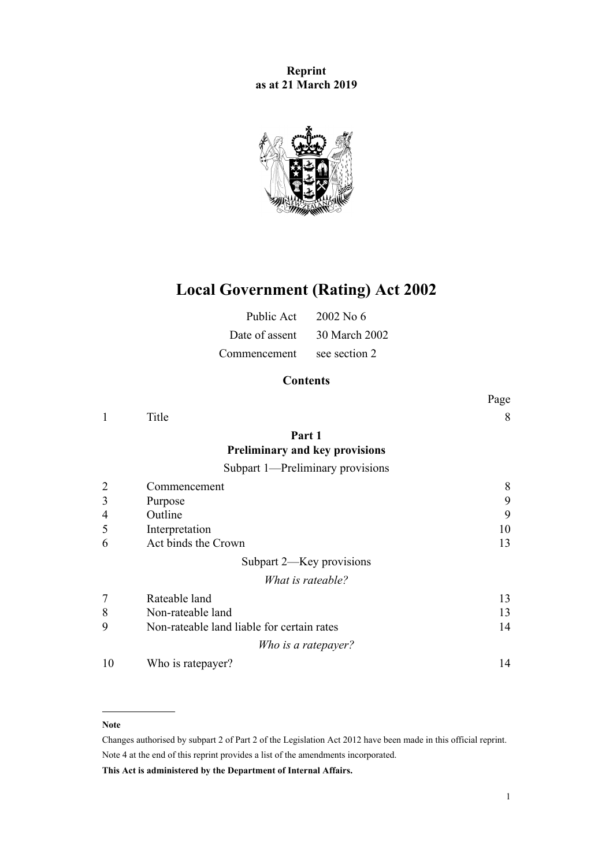**Reprint as at 21 March 2019**



# **Local Government (Rating) Act 2002**

| Public Act     | $2002$ No 6   |
|----------------|---------------|
| Date of assent | 30 March 2002 |
| Commencement   | see section 2 |

# **Contents**

|    |                                            | Page |
|----|--------------------------------------------|------|
| 1  | Title                                      | 8    |
|    | Part 1                                     |      |
|    | <b>Preliminary and key provisions</b>      |      |
|    | Subpart 1—Preliminary provisions           |      |
|    | Commencement                               | 8    |
| 3  | Purpose                                    | 9    |
| 4  | Outline                                    | 9    |
| 5  | Interpretation                             | 10   |
| 6  | Act binds the Crown                        | 13   |
|    | Subpart 2—Key provisions                   |      |
|    | What is rateable?                          |      |
|    | Rateable land                              | 13   |
| 8  | Non-rateable land                          | 13   |
| 9  | Non-rateable land liable for certain rates | 14   |
|    | Who is a ratepayer?                        |      |
| 10 | Who is ratepayer?                          | 14   |

#### **Note**

Changes authorised by [subpart 2](http://legislation.govt.nz/pdflink.aspx?id=DLM2998524) of Part 2 of the Legislation Act 2012 have been made in this official reprint. Note 4 at the end of this reprint provides a list of the amendments incorporated.

**This Act is administered by the Department of Internal Affairs.**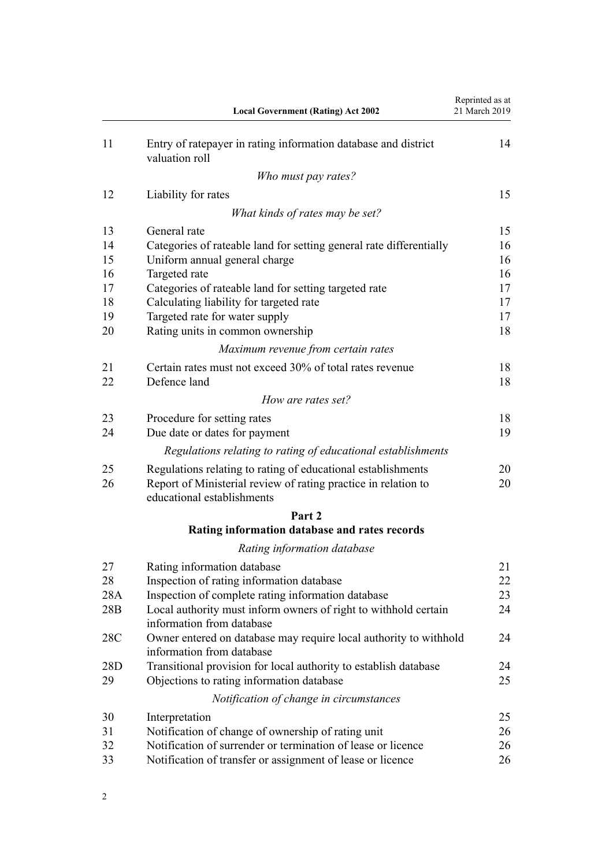|          | <b>Local Government (Rating) Act 2002</b>                                                      | Reprinted as at<br>21 March 2019 |
|----------|------------------------------------------------------------------------------------------------|----------------------------------|
| 11       | Entry of ratepayer in rating information database and district<br>valuation roll               | 14                               |
|          | Who must pay rates?                                                                            |                                  |
| 12       | Liability for rates                                                                            | 15                               |
|          | What kinds of rates may be set?                                                                |                                  |
| 13       | General rate                                                                                   | 15                               |
| 14       | Categories of rateable land for setting general rate differentially                            | 16                               |
| 15       | Uniform annual general charge                                                                  | 16                               |
| 16       | Targeted rate                                                                                  | 16                               |
| 17       | Categories of rateable land for setting targeted rate                                          | 17                               |
| 18       | Calculating liability for targeted rate                                                        | 17                               |
| 19<br>20 | Targeted rate for water supply<br>Rating units in common ownership                             | 17<br>18                         |
|          |                                                                                                |                                  |
|          | Maximum revenue from certain rates                                                             |                                  |
| 21<br>22 | Certain rates must not exceed 30% of total rates revenue<br>Defence land                       | 18<br>18                         |
|          | How are rates set?                                                                             |                                  |
| 23       | Procedure for setting rates                                                                    | 18                               |
| 24       | Due date or dates for payment                                                                  | 19                               |
|          | Regulations relating to rating of educational establishments                                   |                                  |
| 25       | Regulations relating to rating of educational establishments                                   | 20                               |
| 26       | Report of Ministerial review of rating practice in relation to<br>educational establishments   | 20                               |
|          | Part 2                                                                                         |                                  |
|          | Rating information database and rates records                                                  |                                  |
|          | Rating information database                                                                    |                                  |
| 27       | Rating information database                                                                    | 21                               |
| 28       | Inspection of rating information database                                                      | 22                               |
| 28A      | Inspection of complete rating information database                                             | 23                               |
| 28B      | Local authority must inform owners of right to withhold certain<br>information from database   | 24                               |
| 28C      | Owner entered on database may require local authority to withhold<br>information from database | 24                               |
| 28D      | Transitional provision for local authority to establish database                               | 24                               |
| 29       | Objections to rating information database                                                      | 25                               |
|          | Notification of change in circumstances                                                        |                                  |
| 30       | Interpretation                                                                                 | 25                               |
| 31       | Notification of change of ownership of rating unit                                             | 26                               |
| 32       | Notification of surrender or termination of lease or licence                                   | 26                               |
| 33       | Notification of transfer or assignment of lease or licence                                     | 26                               |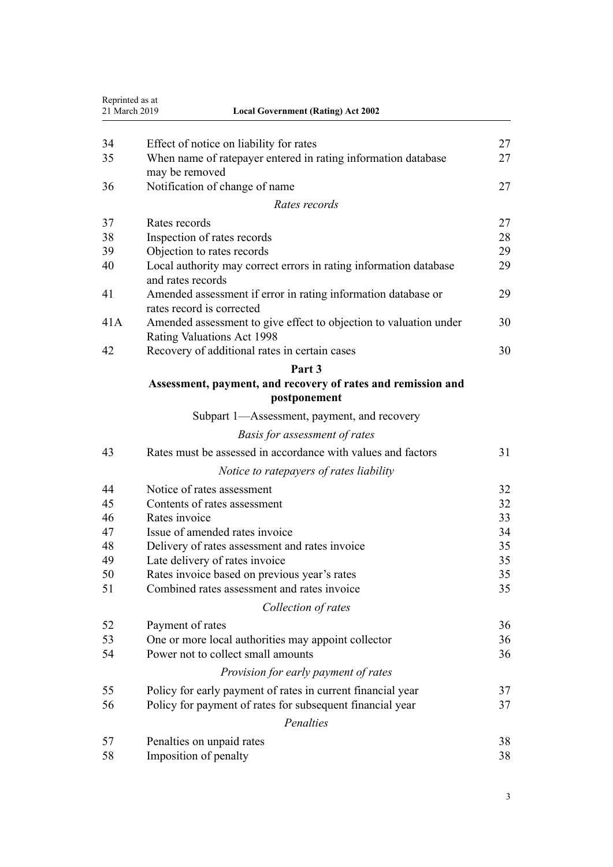| Reprinted as at<br>21 March 2019 | <b>Local Government (Rating) Act 2002</b>                         |    |
|----------------------------------|-------------------------------------------------------------------|----|
| 34                               | Effect of notice on liability for rates                           | 27 |
| 35                               | When name of ratepayer entered in rating information database     | 27 |
|                                  | may be removed                                                    |    |
| 36                               | Notification of change of name                                    | 27 |
|                                  | Rates records                                                     |    |
| 37                               | Rates records                                                     | 27 |
| 38                               | Inspection of rates records                                       | 28 |
| 39                               | Objection to rates records                                        | 29 |
| 40                               | Local authority may correct errors in rating information database | 29 |
|                                  | and rates records                                                 |    |
| 41                               | Amended assessment if error in rating information database or     | 29 |
|                                  | rates record is corrected                                         |    |
| 41A                              | Amended assessment to give effect to objection to valuation under | 30 |
|                                  | Rating Valuations Act 1998                                        |    |
| 42                               | Recovery of additional rates in certain cases                     | 30 |
|                                  | Part 3                                                            |    |
|                                  | Assessment, payment, and recovery of rates and remission and      |    |
|                                  | postponement                                                      |    |
|                                  | Subpart 1—Assessment, payment, and recovery                       |    |
|                                  | Basis for assessment of rates                                     |    |
| 43                               | Rates must be assessed in accordance with values and factors      | 31 |
|                                  | Notice to ratepayers of rates liability                           |    |
| 44                               | Notice of rates assessment                                        | 32 |
| 45                               | Contents of rates assessment                                      | 32 |
| 46                               | Rates invoice                                                     | 33 |
| 47                               | Issue of amended rates invoice                                    | 34 |
| 48                               | Delivery of rates assessment and rates invoice                    | 35 |
| 49                               | Late delivery of rates invoice                                    | 35 |
| 50                               | Rates invoice based on previous year's rates                      | 35 |
| 51                               | Combined rates assessment and rates invoice                       | 35 |
|                                  | Collection of rates                                               |    |
| 52                               | Payment of rates                                                  | 36 |
| 53                               | One or more local authorities may appoint collector               | 36 |
| 54                               | Power not to collect small amounts                                | 36 |
|                                  | Provision for early payment of rates                              |    |
| 55                               | Policy for early payment of rates in current financial year       | 37 |
| 56                               | Policy for payment of rates for subsequent financial year         | 37 |
|                                  | Penalties                                                         |    |
| 57                               |                                                                   | 38 |
| 58                               | Penalties on unpaid rates<br>Imposition of penalty                | 38 |
|                                  |                                                                   |    |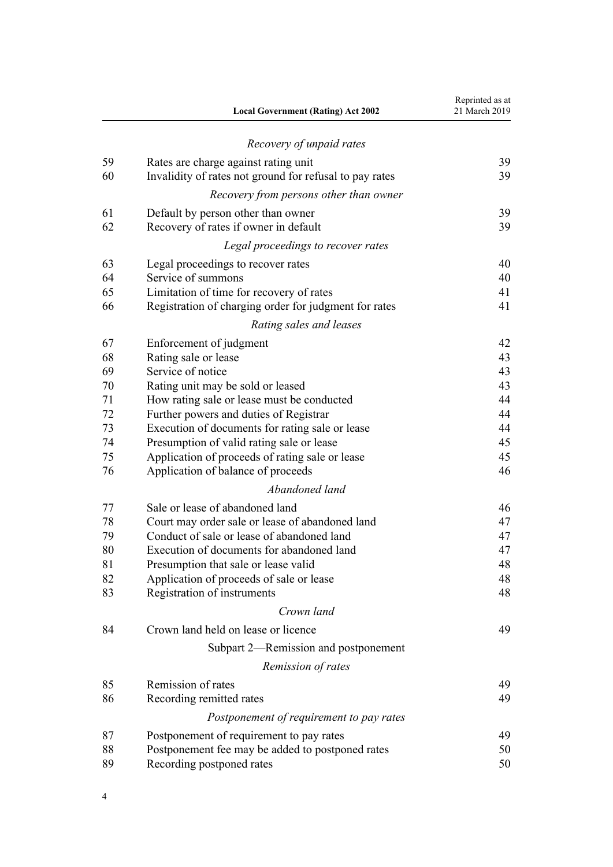| Recovery of unpaid rates<br>59<br>Rates are charge against rating unit<br>60<br>Invalidity of rates not ground for refusal to pay rates<br>Recovery from persons other than owner<br>61<br>Default by person other than owner<br>62<br>Recovery of rates if owner in default<br>Legal proceedings to recover rates<br>63<br>Legal proceedings to recover rates<br>Service of summons<br>64<br>65<br>Limitation of time for recovery of rates<br>66<br>Registration of charging order for judgment for rates<br>Rating sales and leases<br>67<br>Enforcement of judgment<br>Rating sale or lease<br>68<br>69<br>Service of notice<br>70<br>Rating unit may be sold or leased<br>71<br>How rating sale or lease must be conducted<br>72<br>Further powers and duties of Registrar<br>73<br>Execution of documents for rating sale or lease<br>74<br>Presumption of valid rating sale or lease | Reprinted as at<br>21 March 2019 |
|---------------------------------------------------------------------------------------------------------------------------------------------------------------------------------------------------------------------------------------------------------------------------------------------------------------------------------------------------------------------------------------------------------------------------------------------------------------------------------------------------------------------------------------------------------------------------------------------------------------------------------------------------------------------------------------------------------------------------------------------------------------------------------------------------------------------------------------------------------------------------------------------|----------------------------------|
|                                                                                                                                                                                                                                                                                                                                                                                                                                                                                                                                                                                                                                                                                                                                                                                                                                                                                             |                                  |
|                                                                                                                                                                                                                                                                                                                                                                                                                                                                                                                                                                                                                                                                                                                                                                                                                                                                                             | 39                               |
|                                                                                                                                                                                                                                                                                                                                                                                                                                                                                                                                                                                                                                                                                                                                                                                                                                                                                             | 39                               |
|                                                                                                                                                                                                                                                                                                                                                                                                                                                                                                                                                                                                                                                                                                                                                                                                                                                                                             |                                  |
|                                                                                                                                                                                                                                                                                                                                                                                                                                                                                                                                                                                                                                                                                                                                                                                                                                                                                             | 39                               |
|                                                                                                                                                                                                                                                                                                                                                                                                                                                                                                                                                                                                                                                                                                                                                                                                                                                                                             | 39                               |
|                                                                                                                                                                                                                                                                                                                                                                                                                                                                                                                                                                                                                                                                                                                                                                                                                                                                                             |                                  |
|                                                                                                                                                                                                                                                                                                                                                                                                                                                                                                                                                                                                                                                                                                                                                                                                                                                                                             | 40                               |
|                                                                                                                                                                                                                                                                                                                                                                                                                                                                                                                                                                                                                                                                                                                                                                                                                                                                                             | 40                               |
|                                                                                                                                                                                                                                                                                                                                                                                                                                                                                                                                                                                                                                                                                                                                                                                                                                                                                             | 41                               |
|                                                                                                                                                                                                                                                                                                                                                                                                                                                                                                                                                                                                                                                                                                                                                                                                                                                                                             | 41                               |
|                                                                                                                                                                                                                                                                                                                                                                                                                                                                                                                                                                                                                                                                                                                                                                                                                                                                                             |                                  |
|                                                                                                                                                                                                                                                                                                                                                                                                                                                                                                                                                                                                                                                                                                                                                                                                                                                                                             | 42                               |
|                                                                                                                                                                                                                                                                                                                                                                                                                                                                                                                                                                                                                                                                                                                                                                                                                                                                                             | 43                               |
|                                                                                                                                                                                                                                                                                                                                                                                                                                                                                                                                                                                                                                                                                                                                                                                                                                                                                             | 43                               |
|                                                                                                                                                                                                                                                                                                                                                                                                                                                                                                                                                                                                                                                                                                                                                                                                                                                                                             | 43                               |
|                                                                                                                                                                                                                                                                                                                                                                                                                                                                                                                                                                                                                                                                                                                                                                                                                                                                                             | 44                               |
|                                                                                                                                                                                                                                                                                                                                                                                                                                                                                                                                                                                                                                                                                                                                                                                                                                                                                             | 44                               |
|                                                                                                                                                                                                                                                                                                                                                                                                                                                                                                                                                                                                                                                                                                                                                                                                                                                                                             | 44                               |
|                                                                                                                                                                                                                                                                                                                                                                                                                                                                                                                                                                                                                                                                                                                                                                                                                                                                                             | 45                               |
| 75<br>Application of proceeds of rating sale or lease                                                                                                                                                                                                                                                                                                                                                                                                                                                                                                                                                                                                                                                                                                                                                                                                                                       | 45                               |
| 76<br>Application of balance of proceeds                                                                                                                                                                                                                                                                                                                                                                                                                                                                                                                                                                                                                                                                                                                                                                                                                                                    | 46                               |
| Abandoned land                                                                                                                                                                                                                                                                                                                                                                                                                                                                                                                                                                                                                                                                                                                                                                                                                                                                              |                                  |
| 77<br>Sale or lease of abandoned land                                                                                                                                                                                                                                                                                                                                                                                                                                                                                                                                                                                                                                                                                                                                                                                                                                                       | 46                               |
| 78<br>Court may order sale or lease of abandoned land                                                                                                                                                                                                                                                                                                                                                                                                                                                                                                                                                                                                                                                                                                                                                                                                                                       | 47                               |
| Conduct of sale or lease of abandoned land<br>79                                                                                                                                                                                                                                                                                                                                                                                                                                                                                                                                                                                                                                                                                                                                                                                                                                            | 47                               |
| 80<br>Execution of documents for abandoned land                                                                                                                                                                                                                                                                                                                                                                                                                                                                                                                                                                                                                                                                                                                                                                                                                                             | 47                               |
| 81<br>Presumption that sale or lease valid                                                                                                                                                                                                                                                                                                                                                                                                                                                                                                                                                                                                                                                                                                                                                                                                                                                  | 48                               |
| 82<br>Application of proceeds of sale or lease                                                                                                                                                                                                                                                                                                                                                                                                                                                                                                                                                                                                                                                                                                                                                                                                                                              | 48                               |
| 83<br>Registration of instruments                                                                                                                                                                                                                                                                                                                                                                                                                                                                                                                                                                                                                                                                                                                                                                                                                                                           | 48                               |
| Crown land                                                                                                                                                                                                                                                                                                                                                                                                                                                                                                                                                                                                                                                                                                                                                                                                                                                                                  |                                  |
| Crown land held on lease or licence<br>84                                                                                                                                                                                                                                                                                                                                                                                                                                                                                                                                                                                                                                                                                                                                                                                                                                                   | 49                               |
| Subpart 2—Remission and postponement                                                                                                                                                                                                                                                                                                                                                                                                                                                                                                                                                                                                                                                                                                                                                                                                                                                        |                                  |
| Remission of rates                                                                                                                                                                                                                                                                                                                                                                                                                                                                                                                                                                                                                                                                                                                                                                                                                                                                          |                                  |
| 85<br>Remission of rates                                                                                                                                                                                                                                                                                                                                                                                                                                                                                                                                                                                                                                                                                                                                                                                                                                                                    | 49                               |
| 86<br>Recording remitted rates                                                                                                                                                                                                                                                                                                                                                                                                                                                                                                                                                                                                                                                                                                                                                                                                                                                              | 49                               |
| Postponement of requirement to pay rates                                                                                                                                                                                                                                                                                                                                                                                                                                                                                                                                                                                                                                                                                                                                                                                                                                                    |                                  |
| 87<br>Postponement of requirement to pay rates                                                                                                                                                                                                                                                                                                                                                                                                                                                                                                                                                                                                                                                                                                                                                                                                                                              | 49                               |
| 88<br>Postponement fee may be added to postponed rates                                                                                                                                                                                                                                                                                                                                                                                                                                                                                                                                                                                                                                                                                                                                                                                                                                      | 50                               |
| Recording postponed rates<br>89                                                                                                                                                                                                                                                                                                                                                                                                                                                                                                                                                                                                                                                                                                                                                                                                                                                             | 50                               |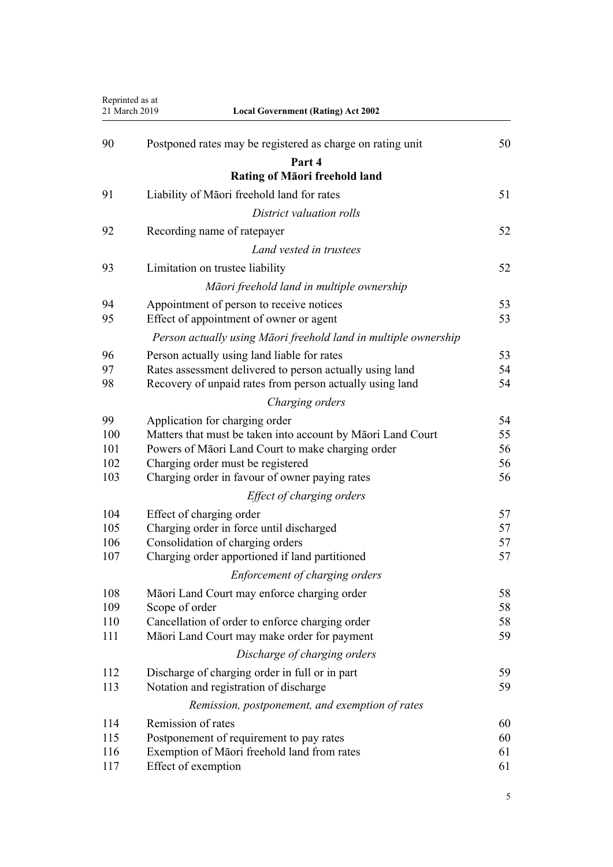| Reprinted as at<br>21 March 2019 | <b>Local Government (Rating) Act 2002</b>                                                               |          |
|----------------------------------|---------------------------------------------------------------------------------------------------------|----------|
| 90                               | Postponed rates may be registered as charge on rating unit                                              | 50       |
|                                  | Part 4                                                                                                  |          |
|                                  | <b>Rating of Māori freehold land</b>                                                                    |          |
| 91                               | Liability of Māori freehold land for rates                                                              | 51       |
|                                  | District valuation rolls                                                                                |          |
| 92                               | Recording name of ratepayer                                                                             | 52       |
|                                  | Land vested in trustees                                                                                 |          |
| 93                               | Limitation on trustee liability                                                                         | 52       |
|                                  |                                                                                                         |          |
|                                  | Māori freehold land in multiple ownership                                                               |          |
| 94<br>95                         | Appointment of person to receive notices<br>Effect of appointment of owner or agent                     | 53<br>53 |
|                                  | Person actually using Māori freehold land in multiple ownership                                         |          |
|                                  |                                                                                                         |          |
| 96<br>97                         | Person actually using land liable for rates<br>Rates assessment delivered to person actually using land | 53<br>54 |
| 98                               | Recovery of unpaid rates from person actually using land                                                | 54       |
|                                  | Charging orders                                                                                         |          |
| 99                               | Application for charging order                                                                          | 54       |
| 100                              | Matters that must be taken into account by Māori Land Court                                             | 55       |
| 101                              | Powers of Māori Land Court to make charging order                                                       | 56       |
| 102                              | Charging order must be registered                                                                       | 56       |
| 103                              | Charging order in favour of owner paying rates                                                          | 56       |
|                                  | Effect of charging orders                                                                               |          |
| 104                              | Effect of charging order                                                                                | 57       |
| 105                              | Charging order in force until discharged                                                                | 57       |
| 106<br>107                       | Consolidation of charging orders<br>Charging order apportioned if land partitioned                      | 57<br>57 |
|                                  | Enforcement of charging orders                                                                          |          |
| 108                              | Māori Land Court may enforce charging order                                                             | 58       |
| 109                              | Scope of order                                                                                          | 58       |
| 110                              | Cancellation of order to enforce charging order                                                         | 58       |
| 111                              | Māori Land Court may make order for payment                                                             | 59       |
|                                  | Discharge of charging orders                                                                            |          |
| 112                              | Discharge of charging order in full or in part                                                          | 59       |
| 113                              | Notation and registration of discharge                                                                  | 59       |
|                                  | Remission, postponement, and exemption of rates                                                         |          |
| 114                              | Remission of rates                                                                                      | 60       |
| 115                              | Postponement of requirement to pay rates                                                                | 60       |
| 116                              | Exemption of Māori freehold land from rates                                                             | 61       |
| 117                              | Effect of exemption                                                                                     | 61       |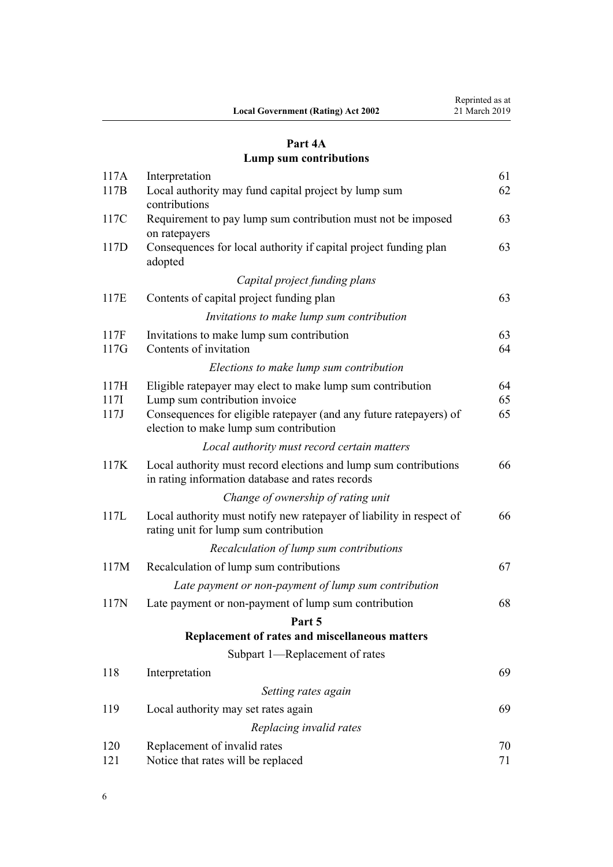|                                           | Reprinted as at |
|-------------------------------------------|-----------------|
| <b>Local Government (Rating) Act 2002</b> | 21 March 2019   |

# **[Part 4A](#page-60-0) [Lump sum contributions](#page-60-0)**

| 117A                 | Interpretation                                                                                                                                                                                              | 61             |
|----------------------|-------------------------------------------------------------------------------------------------------------------------------------------------------------------------------------------------------------|----------------|
| 117B                 | Local authority may fund capital project by lump sum<br>contributions                                                                                                                                       | 62             |
| 117C                 | Requirement to pay lump sum contribution must not be imposed<br>on ratepayers                                                                                                                               | 63             |
| 117D                 | Consequences for local authority if capital project funding plan<br>adopted                                                                                                                                 | 63             |
|                      | Capital project funding plans                                                                                                                                                                               |                |
| 117E                 | Contents of capital project funding plan                                                                                                                                                                    | 63             |
|                      | Invitations to make lump sum contribution                                                                                                                                                                   |                |
| 117F<br>117G         | Invitations to make lump sum contribution<br>Contents of invitation                                                                                                                                         | 63<br>64       |
|                      | Elections to make lump sum contribution                                                                                                                                                                     |                |
| 117H<br>117I<br>117J | Eligible ratepayer may elect to make lump sum contribution<br>Lump sum contribution invoice<br>Consequences for eligible ratepayer (and any future ratepayers) of<br>election to make lump sum contribution | 64<br>65<br>65 |
|                      | Local authority must record certain matters                                                                                                                                                                 |                |
| 117K                 | Local authority must record elections and lump sum contributions<br>in rating information database and rates records                                                                                        | 66             |
|                      | Change of ownership of rating unit                                                                                                                                                                          |                |
| 117L                 | Local authority must notify new ratepayer of liability in respect of<br>rating unit for lump sum contribution                                                                                               | 66             |
|                      | Recalculation of lump sum contributions                                                                                                                                                                     |                |
| 117M                 | Recalculation of lump sum contributions                                                                                                                                                                     | 67             |
|                      | Late payment or non-payment of lump sum contribution                                                                                                                                                        |                |
| 117N                 | Late payment or non-payment of lump sum contribution                                                                                                                                                        | 68             |
|                      | Part 5                                                                                                                                                                                                      |                |
|                      | Replacement of rates and miscellaneous matters                                                                                                                                                              |                |
|                      | Subpart 1-Replacement of rates                                                                                                                                                                              |                |
| 118                  | Interpretation                                                                                                                                                                                              | 69             |
|                      | Setting rates again                                                                                                                                                                                         |                |
| 119                  | Local authority may set rates again                                                                                                                                                                         | 69             |
|                      | Replacing invalid rates                                                                                                                                                                                     |                |
| 120<br>121           | Replacement of invalid rates<br>Notice that rates will be replaced                                                                                                                                          | 70<br>71       |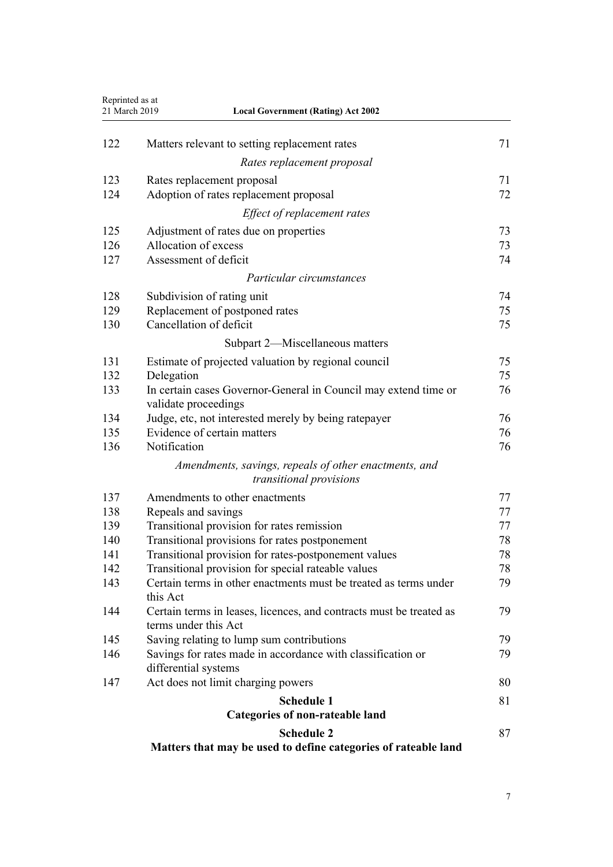| Reprinted as at<br>21 March 2019 | <b>Local Government (Rating) Act 2002</b>                                                   |    |
|----------------------------------|---------------------------------------------------------------------------------------------|----|
|                                  |                                                                                             |    |
| 122                              | Matters relevant to setting replacement rates                                               | 71 |
|                                  | Rates replacement proposal                                                                  |    |
| 123                              | Rates replacement proposal                                                                  | 71 |
| 124                              | Adoption of rates replacement proposal                                                      | 72 |
|                                  | Effect of replacement rates                                                                 |    |
| 125                              | Adjustment of rates due on properties                                                       | 73 |
| 126                              | Allocation of excess                                                                        | 73 |
| 127                              | Assessment of deficit                                                                       | 74 |
|                                  | Particular circumstances                                                                    |    |
| 128                              | Subdivision of rating unit                                                                  | 74 |
| 129                              | Replacement of postponed rates                                                              | 75 |
| 130                              | Cancellation of deficit                                                                     | 75 |
|                                  | Subpart 2—Miscellaneous matters                                                             |    |
| 131                              | Estimate of projected valuation by regional council                                         | 75 |
| 132                              | Delegation                                                                                  | 75 |
| 133                              | In certain cases Governor-General in Council may extend time or<br>validate proceedings     | 76 |
| 134                              | Judge, etc, not interested merely by being ratepayer                                        | 76 |
| 135                              | Evidence of certain matters                                                                 | 76 |
| 136                              | Notification                                                                                | 76 |
|                                  | Amendments, savings, repeals of other enactments, and                                       |    |
|                                  | transitional provisions                                                                     |    |
| 137                              | Amendments to other enactments                                                              | 77 |
| 138                              | Repeals and savings                                                                         | 77 |
| 139                              | Transitional provision for rates remission                                                  | 77 |
| 140                              | Transitional provisions for rates postponement                                              | 78 |
| 141                              | Transitional provision for rates-postponement values                                        | 78 |
| 142                              | Transitional provision for special rateable values                                          | 78 |
| 143                              | Certain terms in other enactments must be treated as terms under<br>this Act                | 79 |
| 144                              | Certain terms in leases, licences, and contracts must be treated as<br>terms under this Act | 79 |
| 145                              | Saving relating to lump sum contributions                                                   | 79 |
| 146                              | Savings for rates made in accordance with classification or<br>differential systems         | 79 |
| 147                              | Act does not limit charging powers                                                          | 80 |
|                                  | <b>Schedule 1</b>                                                                           | 81 |
|                                  | Categories of non-rateable land                                                             |    |
|                                  | <b>Schedule 2</b>                                                                           | 87 |
|                                  | Matters that may be used to define categories of rateable land                              |    |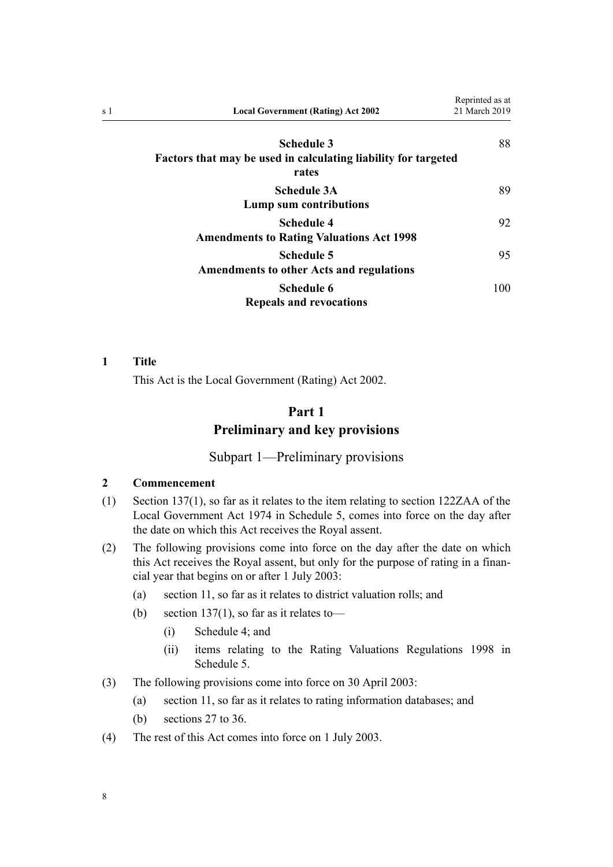<span id="page-7-0"></span>

| s 1 | <b>Local Government (Rating) Act 2002</b>                                                    | Reprinted as at<br>21 March 2019 |
|-----|----------------------------------------------------------------------------------------------|----------------------------------|
|     | <b>Schedule 3</b><br>Factors that may be used in calculating liability for targeted<br>rates | 88                               |
|     | <b>Schedule 3A</b><br>Lump sum contributions                                                 | 89                               |
|     | <b>Schedule 4</b><br><b>Amendments to Rating Valuations Act 1998</b>                         | 92                               |
|     | <b>Schedule 5</b><br><b>Amendments to other Acts and regulations</b>                         | 95                               |
|     | <b>Schedule 6</b><br><b>Repeals and revocations</b>                                          | 100                              |

#### **1 Title**

This Act is the Local Government (Rating) Act 2002.

# **Part 1 Preliminary and key provisions**

# Subpart 1—Preliminary provisions

# **2 Commencement**

- (1) [Section 137\(1\)](#page-76-0), so far as it relates to the item relating to [section 122ZAA](http://legislation.govt.nz/pdflink.aspx?id=DLM418580) of the Local Government Act 1974 in [Schedule 5](#page-94-0), comes into force on the day after the date on which this Act receives the Royal assent.
- (2) The following provisions come into force on the day after the date on which this Act receives the Royal assent, but only for the purpose of rating in a financial year that begins on or after 1 July 2003:
	- (a) [section 11,](#page-13-0) so far as it relates to district valuation rolls; and
	- (b) section  $137(1)$ , so far as it relates to-
		- (i) [Schedule 4;](#page-91-0) and
		- (ii) items relating to the [Rating Valuations Regulations 1998](http://legislation.govt.nz/pdflink.aspx?id=DLM251938) in [Schedule 5.](#page-94-0)
- (3) The following provisions come into force on 30 April 2003:
	- (a) [section 11,](#page-13-0) so far as it relates to rating information databases; and
	- (b) [sections 27 to 36.](#page-20-0)
- (4) The rest of this Act comes into force on 1 July 2003.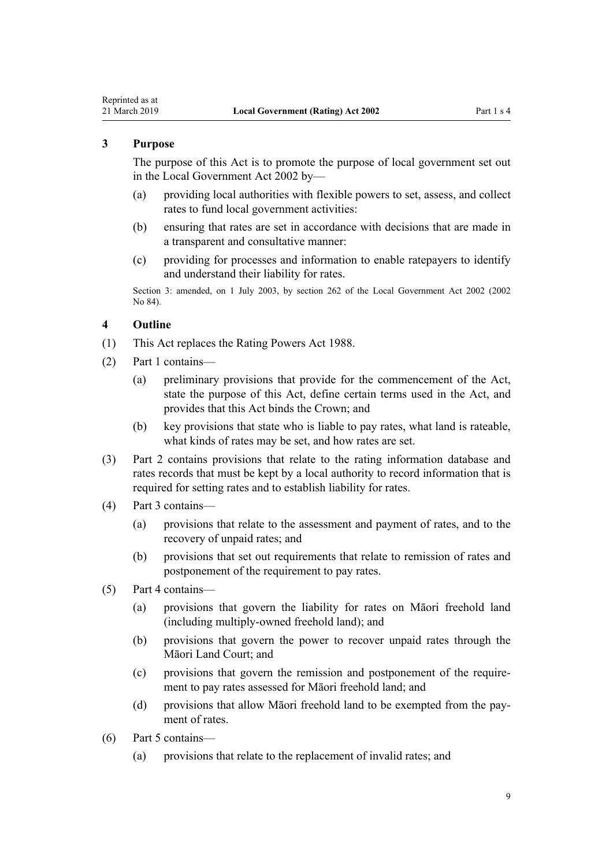# <span id="page-8-0"></span>**3 Purpose**

The purpose of this Act is to promote the purpose of local government set out in the [Local Government Act 2002](http://legislation.govt.nz/pdflink.aspx?id=DLM170872) by—

- (a) providing local authorities with flexible powers to set, assess, and collect rates to fund local government activities:
- (b) ensuring that rates are set in accordance with decisions that are made in a transparent and consultative manner:
- (c) providing for processes and information to enable ratepayers to identify and understand their liability for rates.

Section 3: amended, on 1 July 2003, by [section 262](http://legislation.govt.nz/pdflink.aspx?id=DLM174088) of the Local Government Act 2002 (2002 No 84).

#### **4 Outline**

- (1) This Act replaces the Rating Powers Act 1988.
- (2) Part 1 contains—
	- (a) preliminary provisions that provide for the commencement of the Act, state the purpose of this Act, define certain terms used in the Act, and provides that this Act binds the Crown; and
	- (b) key provisions that state who is liable to pay rates, what land is rateable, what kinds of rates may be set, and how rates are set.
- (3) [Part 2](#page-20-0) contains provisions that relate to the rating information database and rates records that must be kept by a local authority to record information that is required for setting rates and to establish liability for rates.
- (4) [Part 3](#page-30-0) contains—
	- (a) provisions that relate to the assessment and payment of rates, and to the recovery of unpaid rates; and
	- (b) provisions that set out requirements that relate to remission of rates and postponement of the requirement to pay rates.
- (5) [Part 4](#page-50-0) contains—
	- (a) provisions that govern the liability for rates on Māori freehold land (including multiply-owned freehold land); and
	- (b) provisions that govern the power to recover unpaid rates through the Māori Land Court; and
	- (c) provisions that govern the remission and postponement of the requirement to pay rates assessed for Māori freehold land; and
	- (d) provisions that allow Māori freehold land to be exempted from the payment of rates.
- (6) [Part 5](#page-68-0) contains—
	- (a) provisions that relate to the replacement of invalid rates; and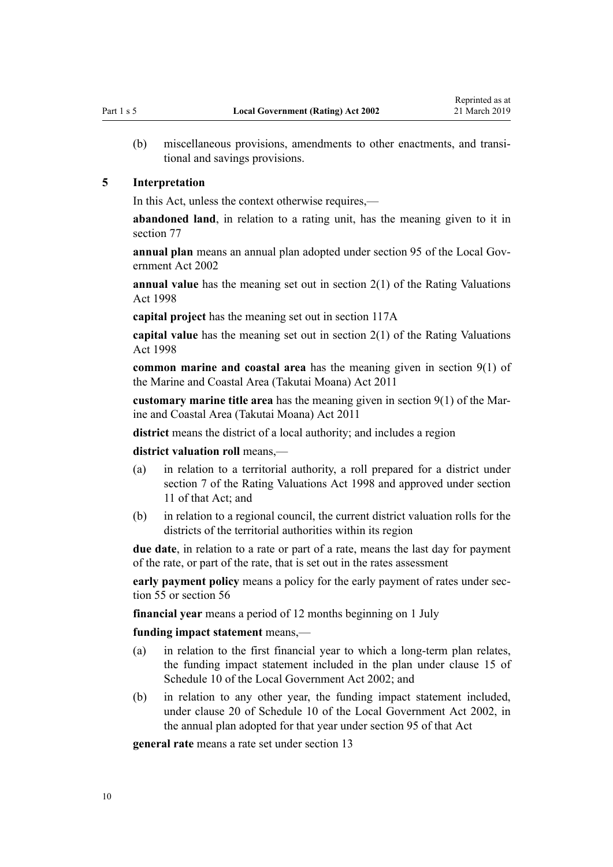<span id="page-9-0"></span>(b) miscellaneous provisions, amendments to other enactments, and transitional and savings provisions.

#### **5 Interpretation**

In this Act, unless the context otherwise requires,—

**abandoned land**, in relation to a rating unit, has the meaning given to it in [section 77](#page-45-0)

**annual plan** means an annual plan adopted under [section 95](http://legislation.govt.nz/pdflink.aspx?id=DLM172347) of the Local Government Act 2002

**annual value** has the meaning set out in [section 2\(1\)](http://legislation.govt.nz/pdflink.aspx?id=DLM427402) of the Rating Valuations Act 1998

**capital project** has the meaning set out in [section 117A](#page-60-0)

**capital value** has the meaning set out in [section 2\(1\)](http://legislation.govt.nz/pdflink.aspx?id=DLM427402) of the Rating Valuations Act 1998

**common marine and coastal area** has the meaning given in [section 9\(1\)](http://legislation.govt.nz/pdflink.aspx?id=DLM3213146) of the Marine and Coastal Area (Takutai Moana) Act 2011

**customary marine title area** has the meaning given in [section 9\(1\)](http://legislation.govt.nz/pdflink.aspx?id=DLM3213146) of the Marine and Coastal Area (Takutai Moana) Act 2011

**district** means the district of a local authority; and includes a region

**district valuation roll** means,—

- (a) in relation to a territorial authority, a roll prepared for a district under [section 7](http://legislation.govt.nz/pdflink.aspx?id=DLM427608) of the Rating Valuations Act 1998 and approved under [section](http://legislation.govt.nz/pdflink.aspx?id=DLM427616) [11](http://legislation.govt.nz/pdflink.aspx?id=DLM427616) of that Act; and
- (b) in relation to a regional council, the current district valuation rolls for the districts of the territorial authorities within its region

**due date**, in relation to a rate or part of a rate, means the last day for payment of the rate, or part of the rate, that is set out in the rates assessment

**early payment policy** means a policy for the early payment of rates under [sec](#page-36-0)[tion 55](#page-36-0) or [section 56](#page-36-0)

**financial year** means a period of 12 months beginning on 1 July

**funding impact statement** means,—

- (a) in relation to the first financial year to which a long-term plan relates, the funding impact statement included in the plan under [clause 15](http://legislation.govt.nz/pdflink.aspx?id=DLM3419224) of Schedule 10 of the Local Government Act 2002; and
- (b) in relation to any other year, the funding impact statement included, under [clause 20](http://legislation.govt.nz/pdflink.aspx?id=DLM3419230) of Schedule 10 of the Local Government Act 2002, in the annual plan adopted for that year under [section 95](http://legislation.govt.nz/pdflink.aspx?id=DLM172347) of that Act

**general rate** means a rate set under [section 13](#page-14-0)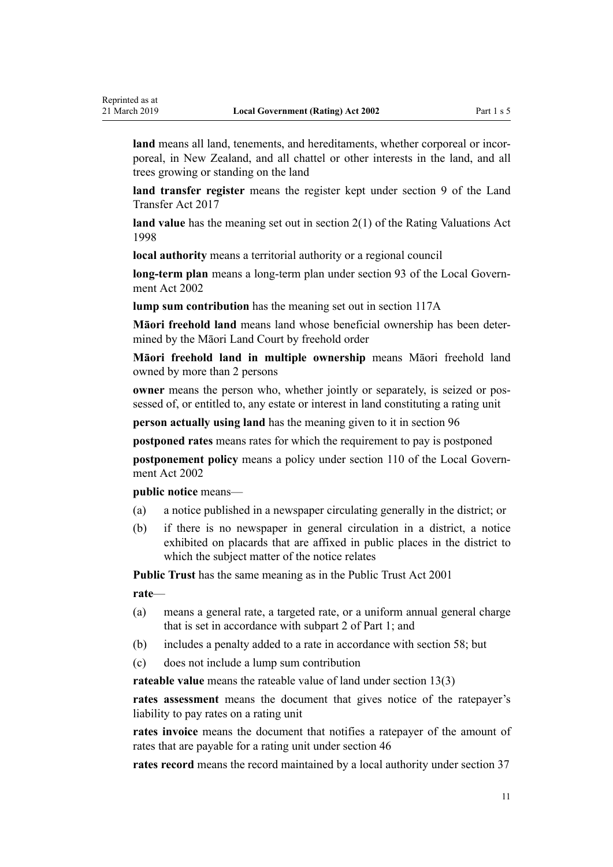**land** means all land, tenements, and hereditaments, whether corporeal or incorporeal, in New Zealand, and all chattel or other interests in the land, and all trees growing or standing on the land

**land transfer register** means the register kept under [section 9](http://legislation.govt.nz/pdflink.aspx?id=DLM6731117) of the Land Transfer Act 2017

**land value** has the meaning set out in [section 2\(1\)](http://legislation.govt.nz/pdflink.aspx?id=DLM427402) of the Rating Valuations Act 1998

**local authority** means a territorial authority or a regional council

**long-term plan** means a long-term plan under [section 93](http://legislation.govt.nz/pdflink.aspx?id=DLM172344) of the Local Government Act 2002

**lump sum contribution** has the meaning set out in [section 117A](#page-60-0)

**Māori freehold land** means land whose beneficial ownership has been determined by the Māori Land Court by freehold order

**Māori freehold land in multiple ownership** means Māori freehold land owned by more than 2 persons

**owner** means the person who, whether jointly or separately, is seized or possessed of, or entitled to, any estate or interest in land constituting a rating unit

**person actually using land** has the meaning given to it in [section 96](#page-52-0)

**postponed rates** means rates for which the requirement to pay is postponed

**postponement policy** means a policy under [section 110](http://legislation.govt.nz/pdflink.aspx?id=DLM172374) of the Local Government Act 2002

**public notice** means—

- (a) a notice published in a newspaper circulating generally in the district; or
- (b) if there is no newspaper in general circulation in a district, a notice exhibited on placards that are affixed in public places in the district to which the subject matter of the notice relates

**Public Trust** has the same meaning as in the [Public Trust Act 2001](http://legislation.govt.nz/pdflink.aspx?id=DLM122998)

**rate**—

- (a) means a general rate, a targeted rate, or a uniform annual general charge that is set in accordance with [subpart 2](#page-12-0) of Part 1; and
- (b) includes a penalty added to a rate in accordance with [section 58](#page-37-0); but
- (c) does not include a lump sum contribution

**rateable value** means the rateable value of land under [section 13\(3\)](#page-14-0)

**rates assessment** means the document that gives notice of the ratepayer's liability to pay rates on a rating unit

**rates invoice** means the document that notifies a ratepayer of the amount of rates that are payable for a rating unit under [section 46](#page-32-0)

**rates record** means the record maintained by a local authority under [section 37](#page-26-0)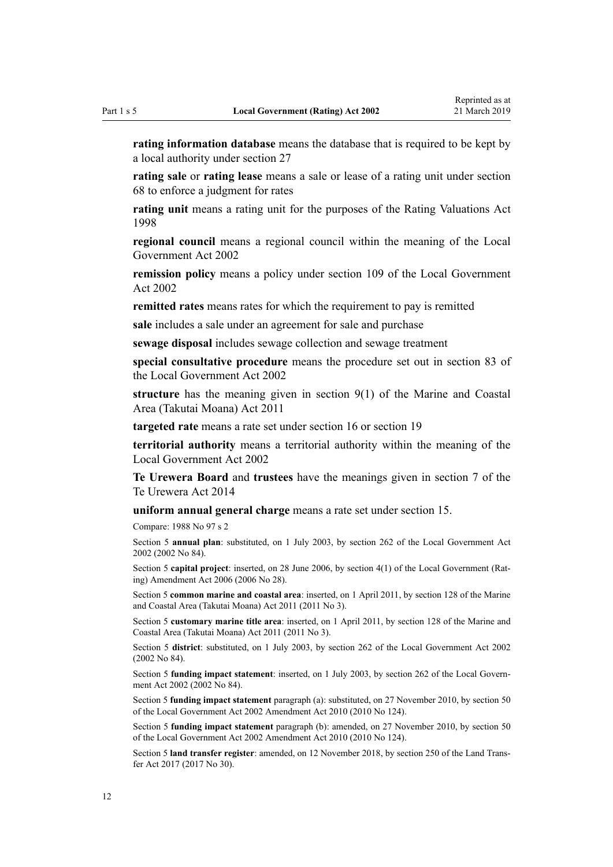**rating information database** means the database that is required to be kept by a local authority under [section 27](#page-20-0)

**rating sale** or **rating lease** means a sale or lease of a rating unit under [section](#page-42-0) [68](#page-42-0) to enforce a judgment for rates

**rating unit** means a rating unit for the purposes of the [Rating Valuations Act](http://legislation.govt.nz/pdflink.aspx?id=DLM427296) [1998](http://legislation.govt.nz/pdflink.aspx?id=DLM427296)

**regional council** means a regional council within the meaning of the [Local](http://legislation.govt.nz/pdflink.aspx?id=DLM170872) [Government Act 2002](http://legislation.govt.nz/pdflink.aspx?id=DLM170872)

**remission policy** means a policy under [section 109](http://legislation.govt.nz/pdflink.aspx?id=DLM172372) of the Local Government Act 2002

**remitted rates** means rates for which the requirement to pay is remitted

**sale** includes a sale under an agreement for sale and purchase

**sewage disposal** includes sewage collection and sewage treatment

**special consultative procedure** means the procedure set out in [section 83](http://legislation.govt.nz/pdflink.aspx?id=DLM172328) of the Local Government Act 2002

**structure** has the meaning given in [section 9\(1\)](http://legislation.govt.nz/pdflink.aspx?id=DLM3213146) of the Marine and Coastal Area (Takutai Moana) Act 2011

**targeted rate** means a rate set under [section 16](#page-15-0) or [section 19](#page-16-0)

**territorial authority** means a territorial authority within the meaning of the [Local Government Act 2002](http://legislation.govt.nz/pdflink.aspx?id=DLM170872)

**Te Urewera Board** and **trustees** have the meanings given in [section 7](http://legislation.govt.nz/pdflink.aspx?id=DLM6183614) of the Te Urewera Act 2014

**uniform annual general charge** means a rate set under [section 15](#page-15-0).

Compare: 1988 No 97 s 2

Section 5 **annual plan**: substituted, on 1 July 2003, by [section 262](http://legislation.govt.nz/pdflink.aspx?id=DLM174088) of the Local Government Act 2002 (2002 No 84).

Section 5 **capital project**: inserted, on 28 June 2006, by [section 4\(1\)](http://legislation.govt.nz/pdflink.aspx?id=DLM374303) of the Local Government (Rating) Amendment Act 2006 (2006 No 28).

Section 5 **common marine and coastal area**: inserted, on 1 April 2011, by [section 128](http://legislation.govt.nz/pdflink.aspx?id=DLM3213476) of the Marine and Coastal Area (Takutai Moana) Act 2011 (2011 No 3).

Section 5 **customary marine title area**: inserted, on 1 April 2011, by [section 128](http://legislation.govt.nz/pdflink.aspx?id=DLM3213476) of the Marine and Coastal Area (Takutai Moana) Act 2011 (2011 No 3).

Section 5 **district**: substituted, on 1 July 2003, by [section 262](http://legislation.govt.nz/pdflink.aspx?id=DLM174088) of the Local Government Act 2002 (2002 No 84).

Section 5 **funding impact statement**: inserted, on 1 July 2003, by [section 262](http://legislation.govt.nz/pdflink.aspx?id=DLM174088) of the Local Government Act 2002 (2002 No 84).

Section 5 **funding impact statement** paragraph (a): substituted, on 27 November 2010, by [section 50](http://legislation.govt.nz/pdflink.aspx?id=DLM2922485) of the Local Government Act 2002 Amendment Act 2010 (2010 No 124).

Section 5 **funding impact statement** paragraph (b): amended, on 27 November 2010, by [section 50](http://legislation.govt.nz/pdflink.aspx?id=DLM2922485) of the Local Government Act 2002 Amendment Act 2010 (2010 No 124).

Section 5 **land transfer register**: amended, on 12 November 2018, by [section 250](http://legislation.govt.nz/pdflink.aspx?id=DLM6731493) of the Land Transfer Act 2017 (2017 No 30).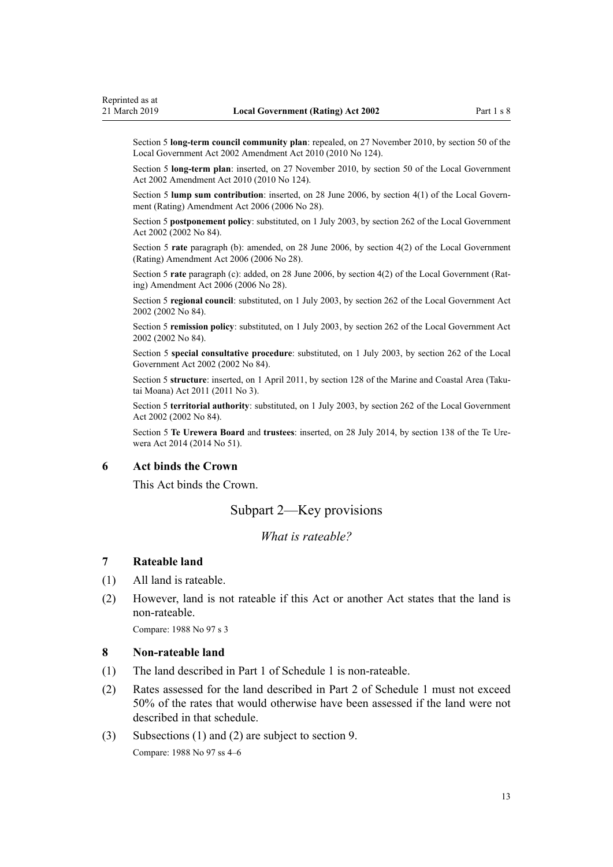<span id="page-12-0"></span>Section 5 **long-term council community plan**: repealed, on 27 November 2010, by [section 50](http://legislation.govt.nz/pdflink.aspx?id=DLM2922485) of the Local Government Act 2002 Amendment Act 2010 (2010 No 124).

Section 5 **long-term plan**: inserted, on 27 November 2010, by [section 50](http://legislation.govt.nz/pdflink.aspx?id=DLM2922485) of the Local Government Act 2002 Amendment Act 2010 (2010 No 124).

Section 5 **lump sum contribution**: inserted, on 28 June 2006, by [section 4\(1\)](http://legislation.govt.nz/pdflink.aspx?id=DLM374303) of the Local Government (Rating) Amendment Act 2006 (2006 No 28).

Section 5 **postponement policy**: substituted, on 1 July 2003, by [section 262](http://legislation.govt.nz/pdflink.aspx?id=DLM174088) of the Local Government Act 2002 (2002 No 84).

Section 5 **rate** paragraph (b): amended, on 28 June 2006, by [section 4\(2\)](http://legislation.govt.nz/pdflink.aspx?id=DLM374303) of the Local Government (Rating) Amendment Act 2006 (2006 No 28).

Section 5 **rate** paragraph (c): added, on 28 June 2006, by [section 4\(2\)](http://legislation.govt.nz/pdflink.aspx?id=DLM374303) of the Local Government (Rating) Amendment Act 2006 (2006 No 28).

Section 5 **regional council**: substituted, on 1 July 2003, by [section 262](http://legislation.govt.nz/pdflink.aspx?id=DLM174088) of the Local Government Act 2002 (2002 No 84).

Section 5 **remission policy**: substituted, on 1 July 2003, by [section 262](http://legislation.govt.nz/pdflink.aspx?id=DLM174088) of the Local Government Act 2002 (2002 No 84).

Section 5 **special consultative procedure**: substituted, on 1 July 2003, by [section 262](http://legislation.govt.nz/pdflink.aspx?id=DLM174088) of the Local Government Act 2002 (2002 No 84).

Section 5 **structure**: inserted, on 1 April 2011, by [section 128](http://legislation.govt.nz/pdflink.aspx?id=DLM3213476) of the Marine and Coastal Area (Takutai Moana) Act 2011 (2011 No 3).

Section 5 **territorial authority**: substituted, on 1 July 2003, by [section 262](http://legislation.govt.nz/pdflink.aspx?id=DLM174088) of the Local Government Act 2002 (2002 No 84).

Section 5 **Te Urewera Board** and **trustees**: inserted, on 28 July 2014, by [section 138](http://legislation.govt.nz/pdflink.aspx?id=DLM6183949) of the Te Urewera Act 2014 (2014 No 51).

#### **6 Act binds the Crown**

This Act binds the Crown.

# Subpart 2—Key provisions

# *What is rateable?*

#### **7 Rateable land**

- (1) All land is rateable.
- (2) However, land is not rateable if this Act or another Act states that the land is non-rateable.

Compare: 1988 No 97 s 3

#### **8 Non-rateable land**

- (1) The land described in [Part 1](#page-80-0) of Schedule 1 is non-rateable.
- (2) Rates assessed for the land described in [Part 2](#page-85-0) of Schedule 1 must not exceed 50% of the rates that would otherwise have been assessed if the land were not described in that schedule.
- (3) Subsections (1) and (2) are subject to [section 9](#page-13-0). Compare: 1988 No 97 ss 4–6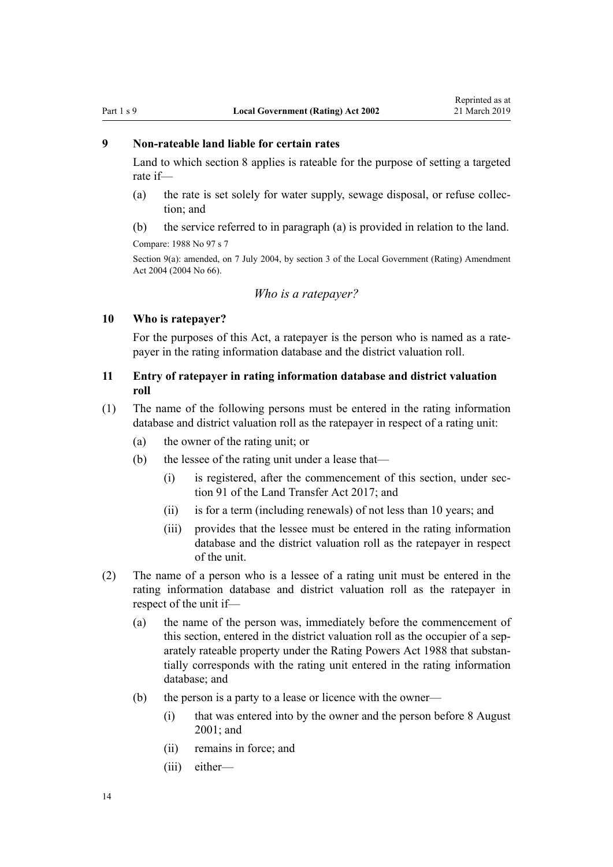#### <span id="page-13-0"></span>**9 Non-rateable land liable for certain rates**

Land to which [section 8](#page-12-0) applies is rateable for the purpose of setting a targeted rate if—

- (a) the rate is set solely for water supply, sewage disposal, or refuse collection; and
- (b) the service referred to in paragraph (a) is provided in relation to the land.

Compare: 1988 No 97 s 7

Section 9(a): amended, on 7 July 2004, by [section 3](http://legislation.govt.nz/pdflink.aspx?id=DLM304033) of the Local Government (Rating) Amendment Act 2004 (2004 No 66).

#### *Who is a ratepayer?*

#### **10 Who is ratepayer?**

For the purposes of this Act, a ratepayer is the person who is named as a ratepayer in the rating information database and the district valuation roll.

# **11 Entry of ratepayer in rating information database and district valuation roll**

- (1) The name of the following persons must be entered in the rating information database and district valuation roll as the ratepayer in respect of a rating unit:
	- (a) the owner of the rating unit; or
	- (b) the lessee of the rating unit under a lease that—
		- (i) is registered, after the commencement of this section, under [sec](http://legislation.govt.nz/pdflink.aspx?id=DLM6731233)[tion 91](http://legislation.govt.nz/pdflink.aspx?id=DLM6731233) of the Land Transfer Act 2017; and
		- (ii) is for a term (including renewals) of not less than 10 years; and
		- (iii) provides that the lessee must be entered in the rating information database and the district valuation roll as the ratepayer in respect of the unit.
- (2) The name of a person who is a lessee of a rating unit must be entered in the rating information database and district valuation roll as the ratepayer in respect of the unit if—
	- (a) the name of the person was, immediately before the commencement of this section, entered in the district valuation roll as the occupier of a separately rateable property under the Rating Powers Act 1988 that substantially corresponds with the rating unit entered in the rating information database; and
	- (b) the person is a party to a lease or licence with the owner—
		- (i) that was entered into by the owner and the person before 8 August 2001; and
		- (ii) remains in force; and
		- (iii) either—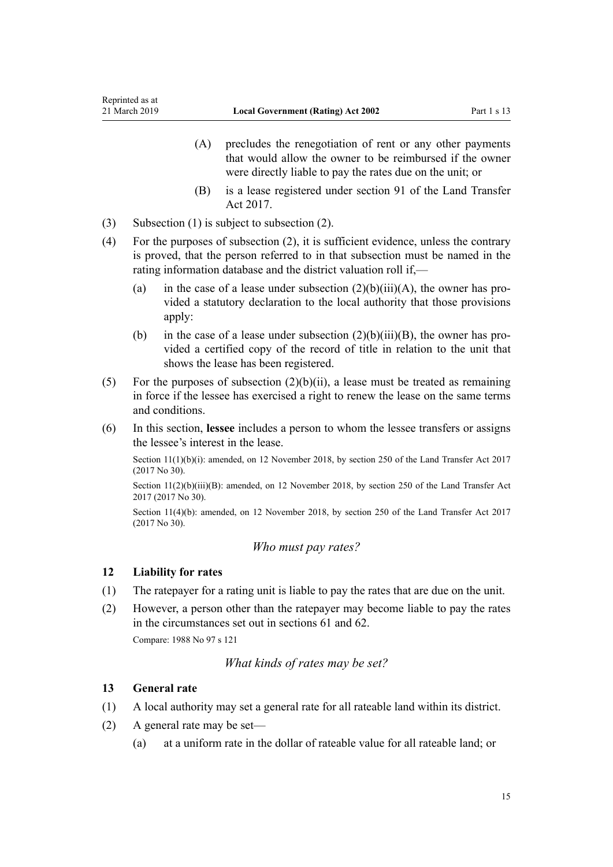- <span id="page-14-0"></span>(A) precludes the renegotiation of rent or any other payments that would allow the owner to be reimbursed if the owner were directly liable to pay the rates due on the unit; or
- (B) is a lease registered under [section 91](http://legislation.govt.nz/pdflink.aspx?id=DLM6731233) of the Land Transfer Act 2017.
- (3) Subsection (1) is subject to subsection (2).
- (4) For the purposes of subsection (2), it is sufficient evidence, unless the contrary is proved, that the person referred to in that subsection must be named in the rating information database and the district valuation roll if,—
	- (a) in the case of a lease under subsection  $(2)(b)(iii)(A)$ , the owner has provided a statutory declaration to the local authority that those provisions apply:
	- (b) in the case of a lease under subsection  $(2)(b)(iii)(B)$ , the owner has provided a certified copy of the record of title in relation to the unit that shows the lease has been registered.
- (5) For the purposes of subsection  $(2)(b)(ii)$ , a lease must be treated as remaining in force if the lessee has exercised a right to renew the lease on the same terms and conditions.
- (6) In this section, **lessee** includes a person to whom the lessee transfers or assigns the lessee's interest in the lease.

Section 11(1)(b)(i): amended, on 12 November 2018, by [section 250](http://legislation.govt.nz/pdflink.aspx?id=DLM6731493) of the Land Transfer Act 2017 (2017 No 30).

Section 11(2)(b)(iii)(B): amended, on 12 November 2018, by [section 250](http://legislation.govt.nz/pdflink.aspx?id=DLM6731493) of the Land Transfer Act 2017 (2017 No 30).

Section 11(4)(b): amended, on 12 November 2018, by [section 250](http://legislation.govt.nz/pdflink.aspx?id=DLM6731493) of the Land Transfer Act 2017 (2017 No 30).

# *Who must pay rates?*

#### **12 Liability for rates**

- (1) The ratepayer for a rating unit is liable to pay the rates that are due on the unit.
- (2) However, a person other than the ratepayer may become liable to pay the rates in the circumstances set out in [sections 61](#page-38-0) and [62](#page-38-0).

Compare: 1988 No 97 s 121

# *What kinds of rates may be set?*

#### **13 General rate**

- (1) A local authority may set a general rate for all rateable land within its district.
- (2) A general rate may be set—
	- (a) at a uniform rate in the dollar of rateable value for all rateable land; or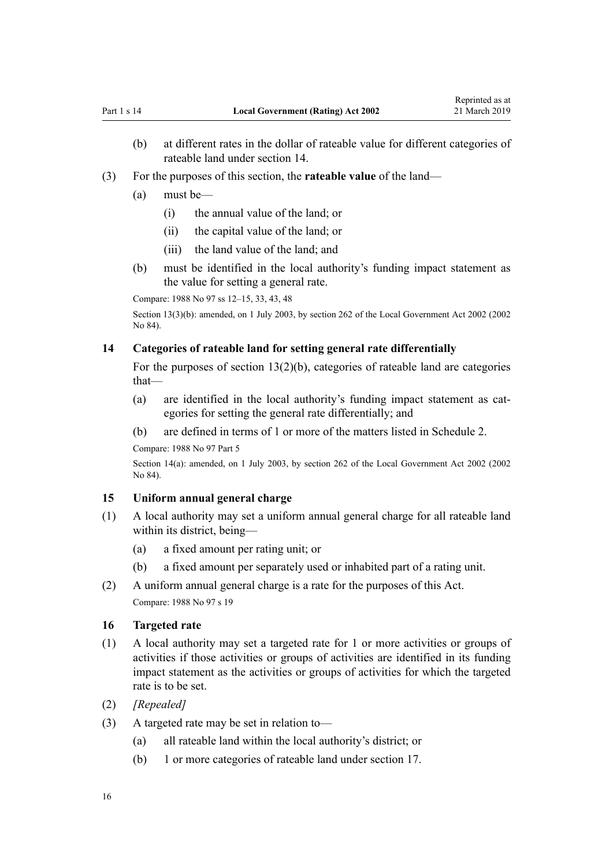- <span id="page-15-0"></span>(b) at different rates in the dollar of rateable value for different categories of rateable land under section 14.
- (3) For the purposes of this section, the **rateable value** of the land—
	- (a) must be—
		- (i) the annual value of the land; or
		- (ii) the capital value of the land; or
		- (iii) the land value of the land; and
	- (b) must be identified in the local authority's funding impact statement as the value for setting a general rate.

Compare: 1988 No 97 ss 12–15, 33, 43, 48

Section 13(3)(b): amended, on 1 July 2003, by [section 262](http://legislation.govt.nz/pdflink.aspx?id=DLM174088) of the Local Government Act 2002 (2002 No 84).

#### **14 Categories of rateable land for setting general rate differentially**

For the purposes of [section 13\(2\)\(b\),](#page-14-0) categories of rateable land are categories that—

- (a) are identified in the local authority's funding impact statement as categories for setting the general rate differentially; and
- (b) are defined in terms of 1 or more of the matters listed in [Schedule 2](#page-86-0).

Compare: 1988 No 97 Part 5

Section 14(a): amended, on 1 July 2003, by [section 262](http://legislation.govt.nz/pdflink.aspx?id=DLM174088) of the Local Government Act 2002 (2002 No 84).

#### **15 Uniform annual general charge**

- (1) A local authority may set a uniform annual general charge for all rateable land within its district, being—
	- (a) a fixed amount per rating unit; or
	- (b) a fixed amount per separately used or inhabited part of a rating unit.
- (2) A uniform annual general charge is a rate for the purposes of this Act. Compare: 1988 No 97 s 19

#### **16 Targeted rate**

- (1) A local authority may set a targeted rate for 1 or more activities or groups of activities if those activities or groups of activities are identified in its funding impact statement as the activities or groups of activities for which the targeted rate is to be set.
- (2) *[Repealed]*
- (3) A targeted rate may be set in relation to—
	- (a) all rateable land within the local authority's district; or
	- (b) 1 or more categories of rateable land under [section 17.](#page-16-0)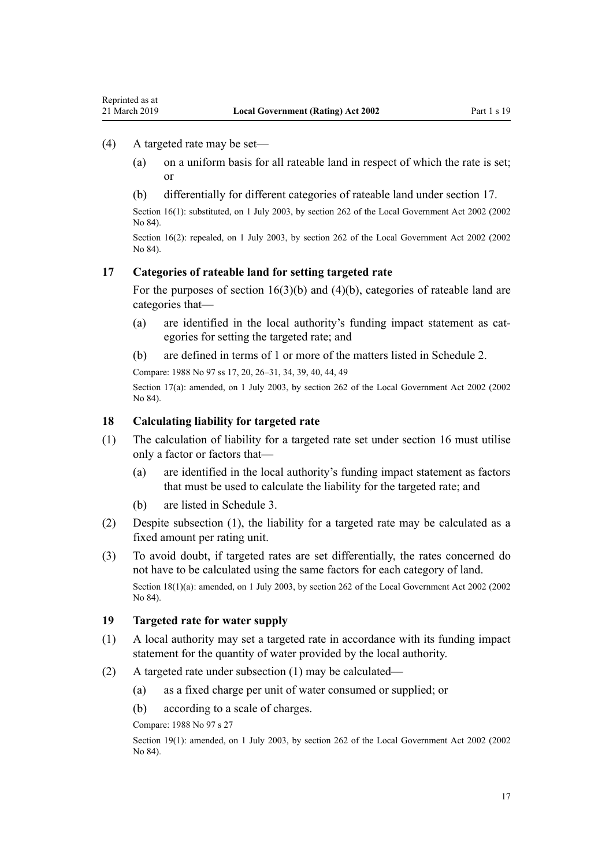#### (4) A targeted rate may be set—

<span id="page-16-0"></span>Reprinted as at

- (a) on a uniform basis for all rateable land in respect of which the rate is set; or
- (b) differentially for different categories of rateable land under section 17.

Section 16(1): substituted, on 1 July 2003, by [section 262](http://legislation.govt.nz/pdflink.aspx?id=DLM174088) of the Local Government Act 2002 (2002 No 84).

Section 16(2): repealed, on 1 July 2003, by [section 262](http://legislation.govt.nz/pdflink.aspx?id=DLM174088) of the Local Government Act 2002 (2002 No 84).

#### **17 Categories of rateable land for setting targeted rate**

For the purposes of section  $16(3)(b)$  and  $(4)(b)$ , categories of rateable land are categories that—

- (a) are identified in the local authority's funding impact statement as categories for setting the targeted rate; and
- (b) are defined in terms of 1 or more of the matters listed in [Schedule 2](#page-86-0).

Compare: 1988 No 97 ss 17, 20, 26–31, 34, 39, 40, 44, 49

Section 17(a): amended, on 1 July 2003, by [section 262](http://legislation.govt.nz/pdflink.aspx?id=DLM174088) of the Local Government Act 2002 (2002) No 84).

#### **18 Calculating liability for targeted rate**

- (1) The calculation of liability for a targeted rate set under [section 16](#page-15-0) must utilise only a factor or factors that—
	- (a) are identified in the local authority's funding impact statement as factors that must be used to calculate the liability for the targeted rate; and
	- (b) are listed in [Schedule 3.](#page-87-0)
- (2) Despite subsection (1), the liability for a targeted rate may be calculated as a fixed amount per rating unit.
- (3) To avoid doubt, if targeted rates are set differentially, the rates concerned do not have to be calculated using the same factors for each category of land.

Section 18(1)(a): amended, on 1 July 2003, by [section 262](http://legislation.govt.nz/pdflink.aspx?id=DLM174088) of the Local Government Act 2002 (2002 No 84).

#### **19 Targeted rate for water supply**

- (1) A local authority may set a targeted rate in accordance with its funding impact statement for the quantity of water provided by the local authority.
- (2) A targeted rate under subsection (1) may be calculated—
	- (a) as a fixed charge per unit of water consumed or supplied; or
	- (b) according to a scale of charges.

Compare: 1988 No 97 s 27

Section 19(1): amended, on 1 July 2003, by [section 262](http://legislation.govt.nz/pdflink.aspx?id=DLM174088) of the Local Government Act 2002 (2002) No 84).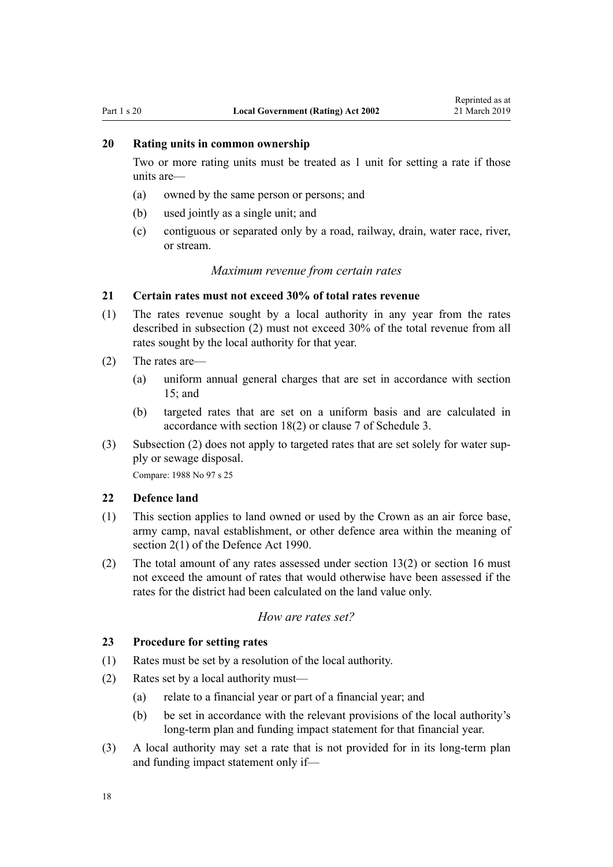# <span id="page-17-0"></span>**20 Rating units in common ownership**

Two or more rating units must be treated as 1 unit for setting a rate if those units are—

- (a) owned by the same person or persons; and
- (b) used jointly as a single unit; and
- (c) contiguous or separated only by a road, railway, drain, water race, river, or stream.

#### *Maximum revenue from certain rates*

#### **21 Certain rates must not exceed 30% of total rates revenue**

- (1) The rates revenue sought by a local authority in any year from the rates described in subsection (2) must not exceed 30% of the total revenue from all rates sought by the local authority for that year.
- (2) The rates are—
	- (a) uniform annual general charges that are set in accordance with [section](#page-15-0) [15;](#page-15-0) and
	- (b) targeted rates that are set on a uniform basis and are calculated in accordance with [section 18\(2\)](#page-16-0) or [clause 7](#page-87-0) of Schedule 3.
- (3) Subsection (2) does not apply to targeted rates that are set solely for water supply or sewage disposal.

Compare: 1988 No 97 s 25

#### **22 Defence land**

- (1) This section applies to land owned or used by the Crown as an air force base, army camp, naval establishment, or other defence area within the meaning of [section 2\(1\)](http://legislation.govt.nz/pdflink.aspx?id=DLM204978) of the Defence Act 1990.
- (2) The total amount of any rates assessed under [section 13\(2\)](#page-14-0) or [section 16](#page-15-0) must not exceed the amount of rates that would otherwise have been assessed if the rates for the district had been calculated on the land value only.

#### *How are rates set?*

#### **23 Procedure for setting rates**

- (1) Rates must be set by a resolution of the local authority.
- (2) Rates set by a local authority must—
	- (a) relate to a financial year or part of a financial year; and
	- (b) be set in accordance with the relevant provisions of the local authority's long-term plan and funding impact statement for that financial year.
- (3) A local authority may set a rate that is not provided for in its long-term plan and funding impact statement only if—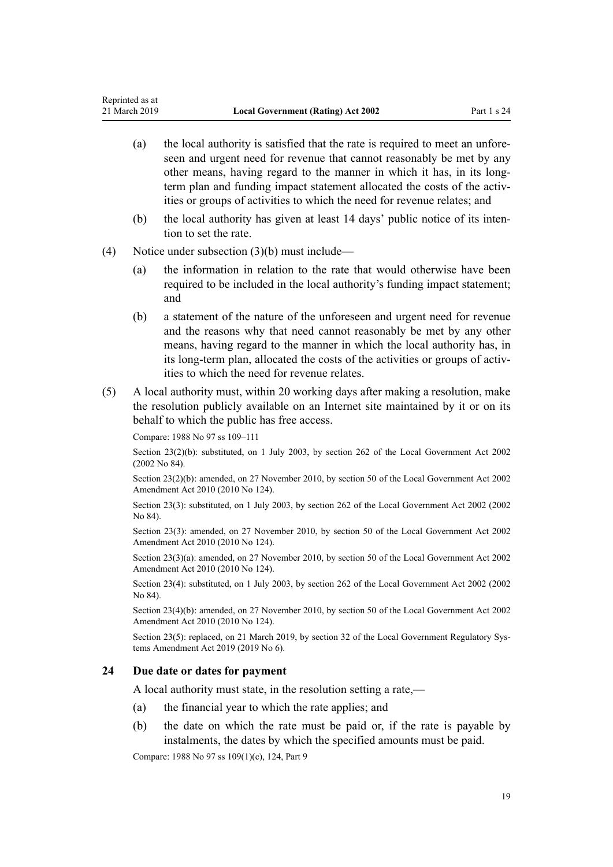- <span id="page-18-0"></span>(a) the local authority is satisfied that the rate is required to meet an unforeseen and urgent need for revenue that cannot reasonably be met by any other means, having regard to the manner in which it has, in its longterm plan and funding impact statement allocated the costs of the activities or groups of activities to which the need for revenue relates; and
- (b) the local authority has given at least 14 days' public notice of its intention to set the rate.
- (4) Notice under subsection (3)(b) must include—
	- (a) the information in relation to the rate that would otherwise have been required to be included in the local authority's funding impact statement; and
	- (b) a statement of the nature of the unforeseen and urgent need for revenue and the reasons why that need cannot reasonably be met by any other means, having regard to the manner in which the local authority has, in its long-term plan, allocated the costs of the activities or groups of activities to which the need for revenue relates.
- (5) A local authority must, within 20 working days after making a resolution, make the resolution publicly available on an Internet site maintained by it or on its behalf to which the public has free access.

Compare: 1988 No 97 ss 109–111

Section 23(2)(b): substituted, on 1 July 2003, by [section 262](http://legislation.govt.nz/pdflink.aspx?id=DLM174088) of the Local Government Act 2002 (2002 No 84).

Section 23(2)(b): amended, on 27 November 2010, by [section 50](http://legislation.govt.nz/pdflink.aspx?id=DLM2922485) of the Local Government Act 2002 Amendment Act 2010 (2010 No 124).

Section 23(3): substituted, on 1 July 2003, by [section 262](http://legislation.govt.nz/pdflink.aspx?id=DLM174088) of the Local Government Act 2002 (2002 No 84).

Section 23(3): amended, on 27 November 2010, by [section 50](http://legislation.govt.nz/pdflink.aspx?id=DLM2922485) of the Local Government Act 2002 Amendment Act 2010 (2010 No 124).

Section 23(3)(a): amended, on 27 November 2010, by [section 50](http://legislation.govt.nz/pdflink.aspx?id=DLM2922485) of the Local Government Act 2002 Amendment Act 2010 (2010 No 124).

Section 23(4): substituted, on 1 July 2003, by [section 262](http://legislation.govt.nz/pdflink.aspx?id=DLM174088) of the Local Government Act 2002 (2002 No 84).

Section 23(4)(b): amended, on 27 November 2010, by [section 50](http://legislation.govt.nz/pdflink.aspx?id=DLM2922485) of the Local Government Act 2002 Amendment Act 2010 (2010 No 124).

Section 23(5): replaced, on 21 March 2019, by [section 32](http://legislation.govt.nz/pdflink.aspx?id=LMS49090) of the Local Government Regulatory Systems Amendment Act 2019 (2019 No 6).

#### **24 Due date or dates for payment**

A local authority must state, in the resolution setting a rate,—

- (a) the financial year to which the rate applies; and
- (b) the date on which the rate must be paid or, if the rate is payable by instalments, the dates by which the specified amounts must be paid.

Compare: 1988 No 97 ss 109(1)(c), 124, Part 9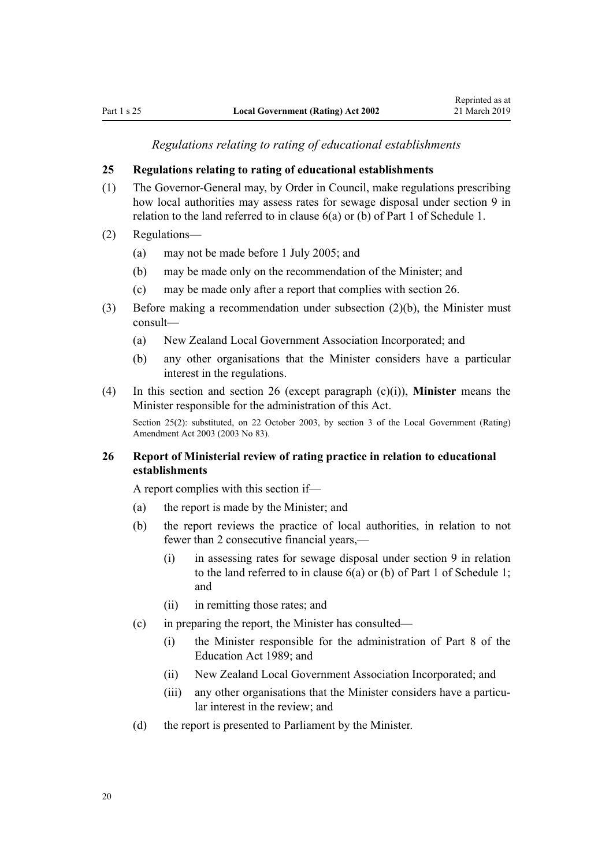*Regulations relating to rating of educational establishments*

#### <span id="page-19-0"></span>**25 Regulations relating to rating of educational establishments**

- (1) The Governor-General may, by Order in Council, make regulations prescribing how local authorities may assess rates for sewage disposal under [section 9](#page-13-0) in relation to the land referred to in [clause 6\(a\) or \(b\)](#page-81-0) of Part 1 of Schedule 1.
- (2) Regulations—
	- (a) may not be made before 1 July 2005; and
	- (b) may be made only on the recommendation of the Minister; and
	- (c) may be made only after a report that complies with section 26.
- (3) Before making a recommendation under subsection (2)(b), the Minister must consult—
	- (a) New Zealand Local Government Association Incorporated; and
	- (b) any other organisations that the Minister considers have a particular interest in the regulations.
- (4) In this section and section 26 (except paragraph (c)(i)), **Minister** means the Minister responsible for the administration of this Act.

Section 25(2): substituted, on 22 October 2003, by [section 3](http://legislation.govt.nz/pdflink.aspx?id=DLM217665) of the Local Government (Rating) Amendment Act 2003 (2003 No 83).

# **26 Report of Ministerial review of rating practice in relation to educational establishments**

A report complies with this section if—

- (a) the report is made by the Minister; and
- (b) the report reviews the practice of local authorities, in relation to not fewer than 2 consecutive financial years,—
	- (i) in assessing rates for sewage disposal under [section 9](#page-13-0) in relation to the land referred to in [clause 6\(a\) or \(b\)](#page-81-0) of Part 1 of Schedule 1; and
	- (ii) in remitting those rates; and
- (c) in preparing the report, the Minister has consulted—
	- (i) the Minister responsible for the administration of [Part 8](http://legislation.govt.nz/pdflink.aspx?id=DLM180130) of the Education Act 1989; and
	- (ii) New Zealand Local Government Association Incorporated; and
	- (iii) any other organisations that the Minister considers have a particular interest in the review; and
- (d) the report is presented to Parliament by the Minister.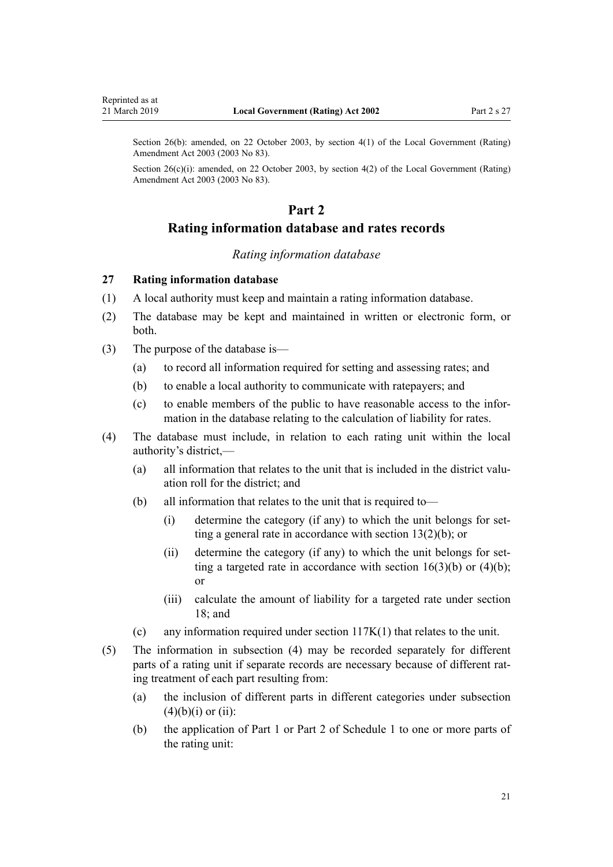<span id="page-20-0"></span>Section 26(b): amended, on 22 October 2003, by [section 4\(1\)](http://legislation.govt.nz/pdflink.aspx?id=DLM217666) of the Local Government (Rating) Amendment Act 2003 (2003 No 83).

Section 26(c)(i): amended, on 22 October 2003, by [section 4\(2\)](http://legislation.govt.nz/pdflink.aspx?id=DLM217666) of the Local Government (Rating) Amendment Act 2003 (2003 No 83).

# **Part 2**

# **Rating information database and rates records**

#### *Rating information database*

#### **27 Rating information database**

- (1) A local authority must keep and maintain a rating information database.
- (2) The database may be kept and maintained in written or electronic form, or both.
- (3) The purpose of the database is—
	- (a) to record all information required for setting and assessing rates; and
	- (b) to enable a local authority to communicate with ratepayers; and
	- (c) to enable members of the public to have reasonable access to the information in the database relating to the calculation of liability for rates.
- (4) The database must include, in relation to each rating unit within the local authority's district,—
	- (a) all information that relates to the unit that is included in the district valuation roll for the district; and
	- (b) all information that relates to the unit that is required to—
		- (i) determine the category (if any) to which the unit belongs for setting a general rate in accordance with [section 13\(2\)\(b\)](#page-14-0); or
		- (ii) determine the category (if any) to which the unit belongs for setting a targeted rate in accordance with section  $16(3)(b)$  or  $(4)(b)$ ; or
		- (iii) calculate the amount of liability for a targeted rate under [section](#page-16-0) [18;](#page-16-0) and
	- (c) any information required under [section 117K\(1\)](#page-65-0) that relates to the unit.
- (5) The information in subsection (4) may be recorded separately for different parts of a rating unit if separate records are necessary because of different rating treatment of each part resulting from:
	- (a) the inclusion of different parts in different categories under subsection  $(4)(b)(i)$  or  $(ii)$ :
	- (b) the application of [Part 1](#page-80-0) or [Part 2](#page-85-0) of Schedule 1 to one or more parts of the rating unit: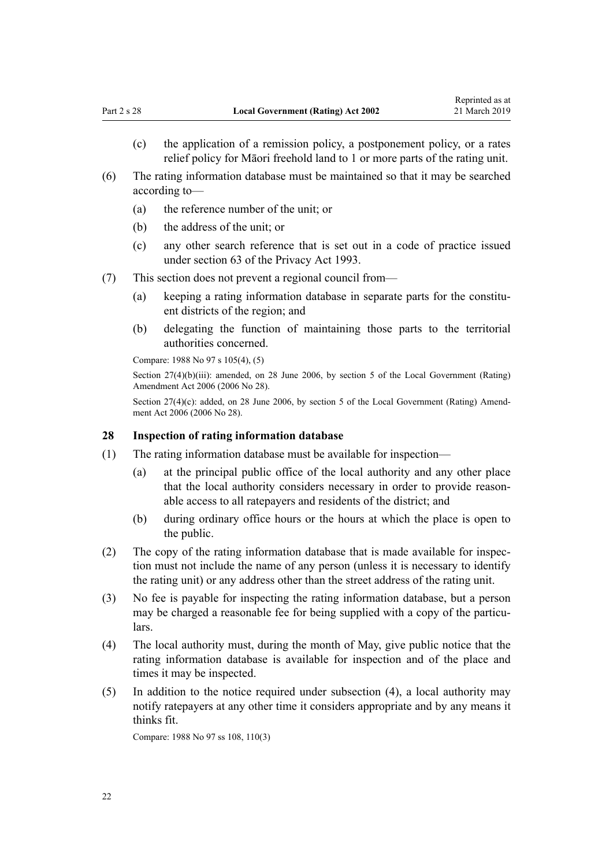- <span id="page-21-0"></span>(c) the application of a remission policy, a postponement policy, or a rates relief policy for Māori freehold land to 1 or more parts of the rating unit.
- (6) The rating information database must be maintained so that it may be searched according to—
	- (a) the reference number of the unit; or
	- (b) the address of the unit; or
	- (c) any other search reference that is set out in a code of practice issued under [section 63](http://legislation.govt.nz/pdflink.aspx?id=DLM297436) of the Privacy Act 1993.
- (7) This section does not prevent a regional council from—
	- (a) keeping a rating information database in separate parts for the constituent districts of the region; and
	- (b) delegating the function of maintaining those parts to the territorial authorities concerned.

Compare: 1988 No 97 s 105(4), (5)

Section 27(4)(b)(iii): amended, on 28 June 2006, by [section 5](http://legislation.govt.nz/pdflink.aspx?id=DLM374308) of the Local Government (Rating) Amendment Act 2006 (2006 No 28).

Section 27(4)(c): added, on 28 June 2006, by [section 5](http://legislation.govt.nz/pdflink.aspx?id=DLM374308) of the Local Government (Rating) Amendment Act 2006 (2006 No 28).

#### **28 Inspection of rating information database**

- (1) The rating information database must be available for inspection—
	- (a) at the principal public office of the local authority and any other place that the local authority considers necessary in order to provide reasonable access to all ratepayers and residents of the district; and
	- (b) during ordinary office hours or the hours at which the place is open to the public.
- (2) The copy of the rating information database that is made available for inspection must not include the name of any person (unless it is necessary to identify the rating unit) or any address other than the street address of the rating unit.
- (3) No fee is payable for inspecting the rating information database, but a person may be charged a reasonable fee for being supplied with a copy of the particulars.
- (4) The local authority must, during the month of May, give public notice that the rating information database is available for inspection and of the place and times it may be inspected.
- (5) In addition to the notice required under subsection (4), a local authority may notify ratepayers at any other time it considers appropriate and by any means it thinks fit.

Compare: 1988 No 97 ss 108, 110(3)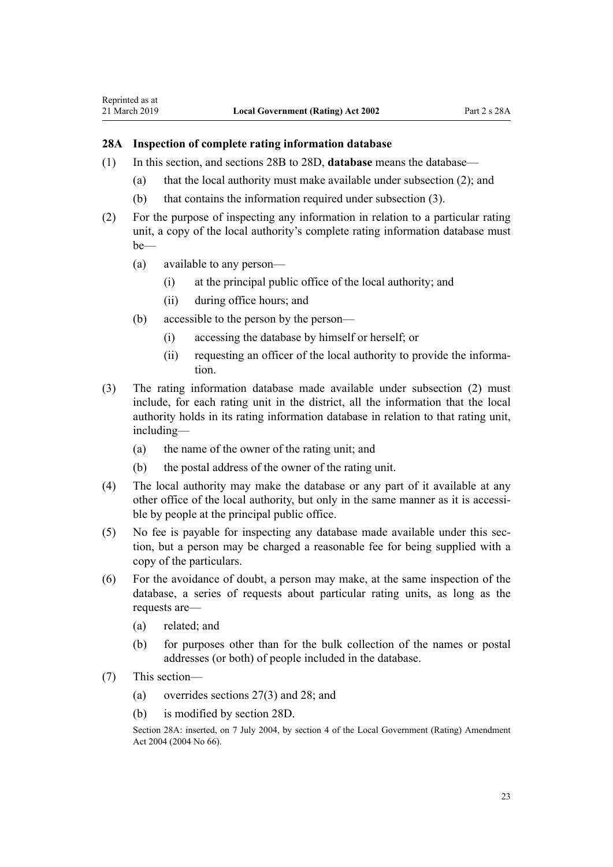#### <span id="page-22-0"></span>**28A Inspection of complete rating information database**

- (1) In this section, and [sections 28B to 28D,](#page-23-0) **database** means the database—
	- (a) that the local authority must make available under subsection (2); and
	- (b) that contains the information required under subsection (3).
- (2) For the purpose of inspecting any information in relation to a particular rating unit, a copy of the local authority's complete rating information database must be—
	- (a) available to any person—
		- (i) at the principal public office of the local authority; and
		- (ii) during office hours; and
	- (b) accessible to the person by the person—
		- (i) accessing the database by himself or herself; or
		- (ii) requesting an officer of the local authority to provide the information.
- (3) The rating information database made available under subsection (2) must include, for each rating unit in the district, all the information that the local authority holds in its rating information database in relation to that rating unit, including—
	- (a) the name of the owner of the rating unit; and
	- (b) the postal address of the owner of the rating unit.
- (4) The local authority may make the database or any part of it available at any other office of the local authority, but only in the same manner as it is accessible by people at the principal public office.
- (5) No fee is payable for inspecting any database made available under this section, but a person may be charged a reasonable fee for being supplied with a copy of the particulars.
- (6) For the avoidance of doubt, a person may make, at the same inspection of the database, a series of requests about particular rating units, as long as the requests are—
	- (a) related; and
	- (b) for purposes other than for the bulk collection of the names or postal addresses (or both) of people included in the database.
- (7) This section—
	- (a) overrides [sections 27\(3\)](#page-20-0) and [28;](#page-21-0) and
	- (b) is modified by [section 28D.](#page-23-0)

Section 28A: inserted, on 7 July 2004, by [section 4](http://legislation.govt.nz/pdflink.aspx?id=DLM304034) of the Local Government (Rating) Amendment Act 2004 (2004 No 66).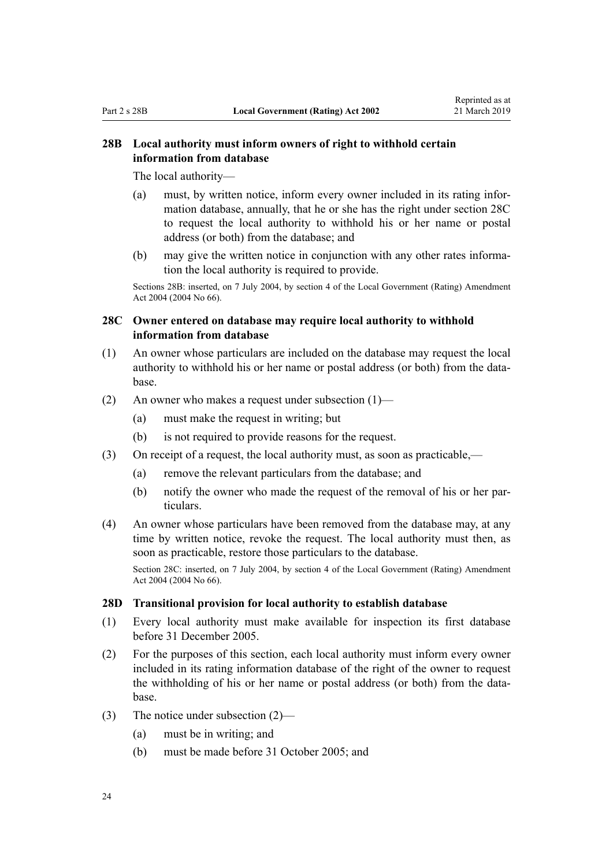# <span id="page-23-0"></span>**28B Local authority must inform owners of right to withhold certain information from database**

The local authority—

- (a) must, by written notice, inform every owner included in its rating information database, annually, that he or she has the right under section 28C to request the local authority to withhold his or her name or postal address (or both) from the database; and
- (b) may give the written notice in conjunction with any other rates information the local authority is required to provide.

Sections 28B: inserted, on 7 July 2004, by [section 4](http://legislation.govt.nz/pdflink.aspx?id=DLM304034) of the Local Government (Rating) Amendment Act 2004 (2004 No 66).

# **28C Owner entered on database may require local authority to withhold information from database**

- (1) An owner whose particulars are included on the database may request the local authority to withhold his or her name or postal address (or both) from the database.
- (2) An owner who makes a request under subsection (1)—
	- (a) must make the request in writing; but
	- (b) is not required to provide reasons for the request.
- (3) On receipt of a request, the local authority must, as soon as practicable,—
	- (a) remove the relevant particulars from the database; and
	- (b) notify the owner who made the request of the removal of his or her particulars.
- (4) An owner whose particulars have been removed from the database may, at any time by written notice, revoke the request. The local authority must then, as soon as practicable, restore those particulars to the database.

Section 28C: inserted, on 7 July 2004, by [section 4](http://legislation.govt.nz/pdflink.aspx?id=DLM304034) of the Local Government (Rating) Amendment Act 2004 (2004 No 66).

#### **28D Transitional provision for local authority to establish database**

- (1) Every local authority must make available for inspection its first database before 31 December 2005.
- (2) For the purposes of this section, each local authority must inform every owner included in its rating information database of the right of the owner to request the withholding of his or her name or postal address (or both) from the database.
- (3) The notice under subsection (2)—
	- (a) must be in writing; and
	- (b) must be made before 31 October 2005; and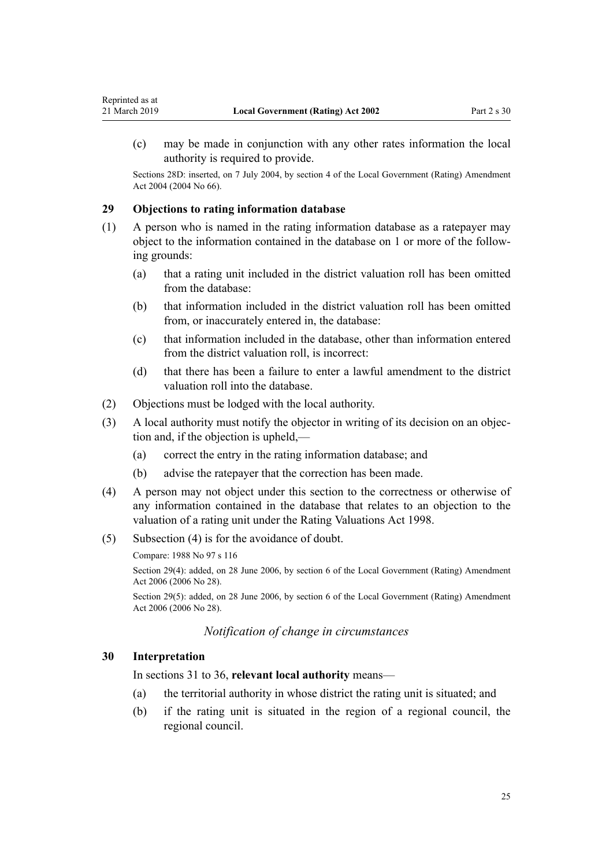<span id="page-24-0"></span>(c) may be made in conjunction with any other rates information the local authority is required to provide.

Sections 28D: inserted, on 7 July 2004, by [section 4](http://legislation.govt.nz/pdflink.aspx?id=DLM304034) of the Local Government (Rating) Amendment Act 2004 (2004 No 66).

#### **29 Objections to rating information database**

- (1) A person who is named in the rating information database as a ratepayer may object to the information contained in the database on 1 or more of the following grounds:
	- (a) that a rating unit included in the district valuation roll has been omitted from the database:
	- (b) that information included in the district valuation roll has been omitted from, or inaccurately entered in, the database:
	- (c) that information included in the database, other than information entered from the district valuation roll, is incorrect:
	- (d) that there has been a failure to enter a lawful amendment to the district valuation roll into the database.
- (2) Objections must be lodged with the local authority.
- (3) A local authority must notify the objector in writing of its decision on an objection and, if the objection is upheld,—
	- (a) correct the entry in the rating information database; and
	- (b) advise the ratepayer that the correction has been made.
- (4) A person may not object under this section to the correctness or otherwise of any information contained in the database that relates to an objection to the valuation of a rating unit under the [Rating Valuations Act 1998](http://legislation.govt.nz/pdflink.aspx?id=DLM427296).
- (5) Subsection (4) is for the avoidance of doubt.

Compare: 1988 No 97 s 116

Section 29(4): added, on 28 June 2006, by [section 6](http://legislation.govt.nz/pdflink.aspx?id=DLM374309) of the Local Government (Rating) Amendment Act 2006 (2006 No 28).

Section 29(5): added, on 28 June 2006, by [section 6](http://legislation.govt.nz/pdflink.aspx?id=DLM374309) of the Local Government (Rating) Amendment Act 2006 (2006 No 28).

#### *Notification of change in circumstances*

#### **30 Interpretation**

In [sections 31 to 36](#page-25-0), **relevant local authority** means—

- (a) the territorial authority in whose district the rating unit is situated; and
- (b) if the rating unit is situated in the region of a regional council, the regional council.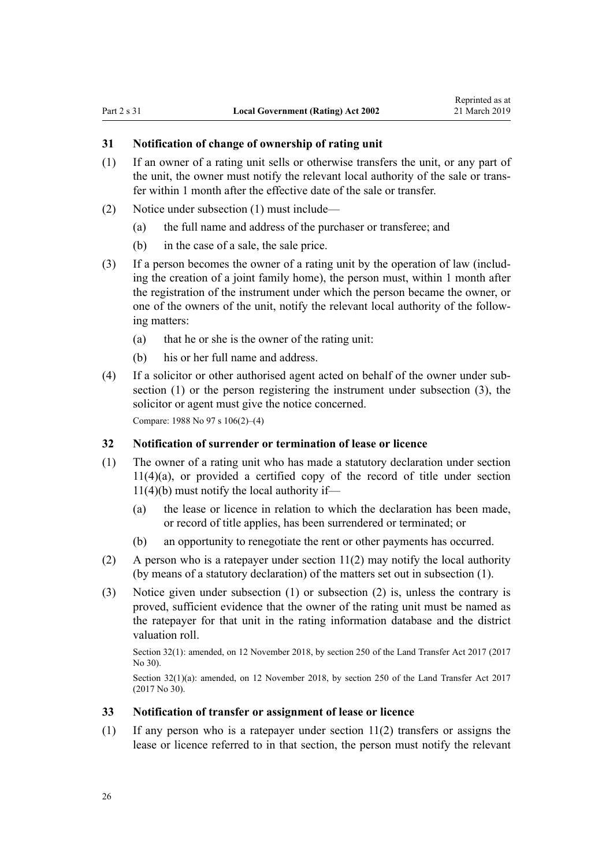## <span id="page-25-0"></span>**31 Notification of change of ownership of rating unit**

- (1) If an owner of a rating unit sells or otherwise transfers the unit, or any part of the unit, the owner must notify the relevant local authority of the sale or transfer within 1 month after the effective date of the sale or transfer.
- (2) Notice under subsection (1) must include—
	- (a) the full name and address of the purchaser or transferee; and
	- (b) in the case of a sale, the sale price.
- (3) If a person becomes the owner of a rating unit by the operation of law (including the creation of a joint family home), the person must, within 1 month after the registration of the instrument under which the person became the owner, or one of the owners of the unit, notify the relevant local authority of the following matters:
	- (a) that he or she is the owner of the rating unit:
	- (b) his or her full name and address.
- (4) If a solicitor or other authorised agent acted on behalf of the owner under subsection (1) or the person registering the instrument under subsection (3), the solicitor or agent must give the notice concerned.

Compare: 1988 No 97 s 106(2)–(4)

#### **32 Notification of surrender or termination of lease or licence**

- (1) The owner of a rating unit who has made a statutory declaration under [section](#page-13-0) [11\(4\)\(a\)](#page-13-0), or provided a certified copy of the record of title under section  $11(4)(b)$  must notify the local authority if—
	- (a) the lease or licence in relation to which the declaration has been made, or record of title applies, has been surrendered or terminated; or
	- (b) an opportunity to renegotiate the rent or other payments has occurred.
- (2) A person who is a ratepayer under [section 11\(2\)](#page-13-0) may notify the local authority (by means of a statutory declaration) of the matters set out in subsection (1).
- (3) Notice given under subsection (1) or subsection (2) is, unless the contrary is proved, sufficient evidence that the owner of the rating unit must be named as the ratepayer for that unit in the rating information database and the district valuation roll.

Section 32(1): amended, on 12 November 2018, by [section 250](http://legislation.govt.nz/pdflink.aspx?id=DLM6731493) of the Land Transfer Act 2017 (2017) No 30).

Section 32(1)(a): amended, on 12 November 2018, by [section 250](http://legislation.govt.nz/pdflink.aspx?id=DLM6731493) of the Land Transfer Act 2017 (2017 No 30).

#### **33 Notification of transfer or assignment of lease or licence**

 $(1)$  If any person who is a ratepayer under [section 11\(2\)](#page-13-0) transfers or assigns the lease or licence referred to in that section, the person must notify the relevant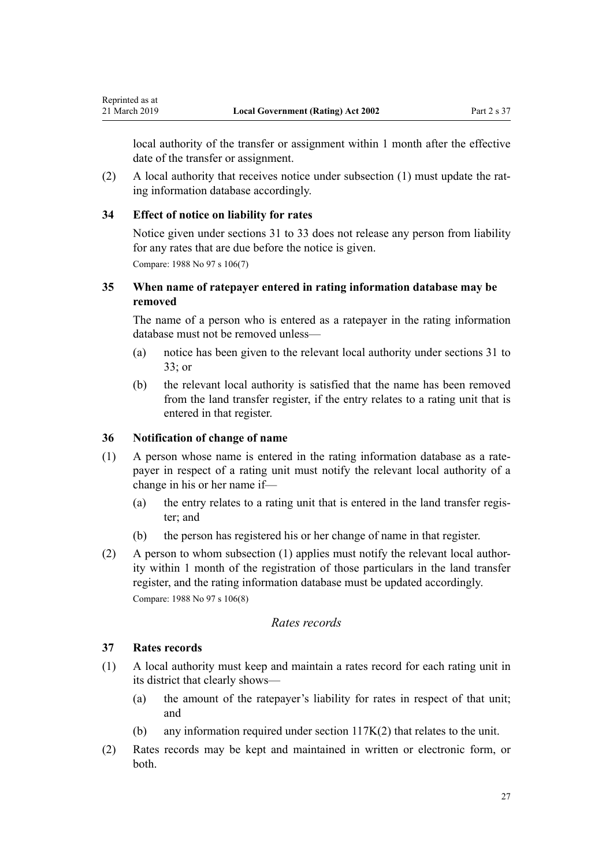<span id="page-26-0"></span>Reprinted as at

local authority of the transfer or assignment within 1 month after the effective date of the transfer or assignment.

(2) A local authority that receives notice under subsection (1) must update the rating information database accordingly.

#### **34 Effect of notice on liability for rates**

Notice given under [sections 31 to 33](#page-25-0) does not release any person from liability for any rates that are due before the notice is given.

Compare: 1988 No 97 s 106(7)

# **35 When name of ratepayer entered in rating information database may be removed**

The name of a person who is entered as a ratepayer in the rating information database must not be removed unless—

- (a) notice has been given to the relevant local authority under [sections 31](#page-25-0) to [33;](#page-25-0) or
- (b) the relevant local authority is satisfied that the name has been removed from the land transfer register, if the entry relates to a rating unit that is entered in that register.

#### **36 Notification of change of name**

- (1) A person whose name is entered in the rating information database as a ratepayer in respect of a rating unit must notify the relevant local authority of a change in his or her name if—
	- (a) the entry relates to a rating unit that is entered in the land transfer register; and
	- (b) the person has registered his or her change of name in that register.
- (2) A person to whom subsection (1) applies must notify the relevant local authority within 1 month of the registration of those particulars in the land transfer register, and the rating information database must be updated accordingly. Compare: 1988 No 97 s 106(8)

#### *Rates records*

#### **37 Rates records**

- (1) A local authority must keep and maintain a rates record for each rating unit in its district that clearly shows—
	- (a) the amount of the ratepayer's liability for rates in respect of that unit; and
	- (b) any information required under [section 117K\(2\)](#page-65-0) that relates to the unit.
- (2) Rates records may be kept and maintained in written or electronic form, or both.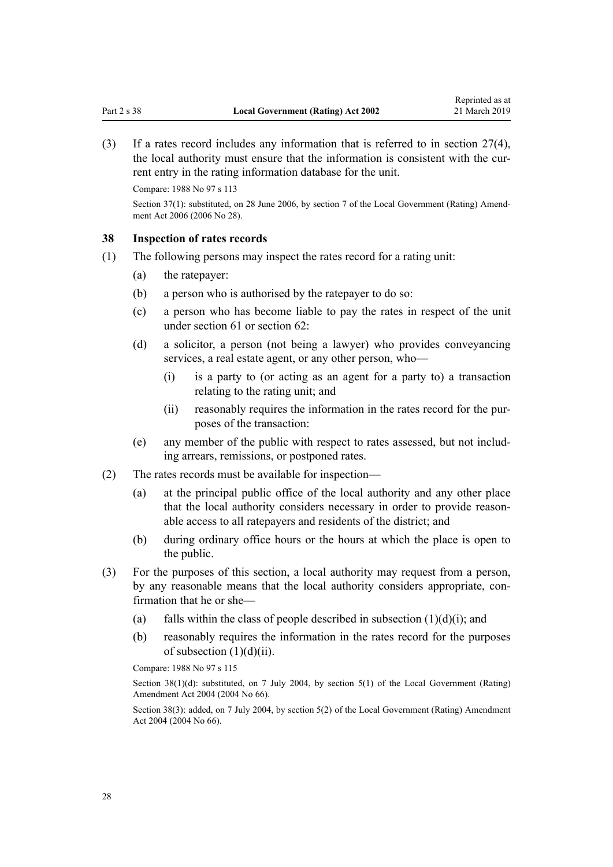<span id="page-27-0"></span>(3) If a rates record includes any information that is referred to in [section 27\(4\)](#page-20-0), the local authority must ensure that the information is consistent with the current entry in the rating information database for the unit.

Compare: 1988 No 97 s 113

Section 37(1): substituted, on 28 June 2006, by [section 7](http://legislation.govt.nz/pdflink.aspx?id=DLM374310) of the Local Government (Rating) Amendment Act 2006 (2006 No 28).

#### **38 Inspection of rates records**

- (1) The following persons may inspect the rates record for a rating unit:
	- (a) the ratepayer:
	- (b) a person who is authorised by the ratepayer to do so:
	- (c) a person who has become liable to pay the rates in respect of the unit under [section 61](#page-38-0) or [section 62](#page-38-0):
	- (d) a solicitor, a person (not being a lawyer) who provides conveyancing services, a real estate agent, or any other person, who—
		- (i) is a party to (or acting as an agent for a party to) a transaction relating to the rating unit; and
		- (ii) reasonably requires the information in the rates record for the purposes of the transaction:
	- (e) any member of the public with respect to rates assessed, but not including arrears, remissions, or postponed rates.
- (2) The rates records must be available for inspection—
	- (a) at the principal public office of the local authority and any other place that the local authority considers necessary in order to provide reasonable access to all ratepayers and residents of the district; and
	- (b) during ordinary office hours or the hours at which the place is open to the public.
- (3) For the purposes of this section, a local authority may request from a person, by any reasonable means that the local authority considers appropriate, confirmation that he or she—
	- (a) falls within the class of people described in subsection  $(1)(d)(i)$ ; and
	- (b) reasonably requires the information in the rates record for the purposes of subsection  $(1)(d)(ii)$ .

Compare: 1988 No 97 s 115

Section 38(1)(d): substituted, on 7 July 2004, by [section 5\(1\)](http://legislation.govt.nz/pdflink.aspx?id=DLM304039) of the Local Government (Rating) Amendment Act 2004 (2004 No 66).

Section 38(3): added, on 7 July 2004, by [section 5\(2\)](http://legislation.govt.nz/pdflink.aspx?id=DLM304039) of the Local Government (Rating) Amendment Act 2004 (2004 No 66).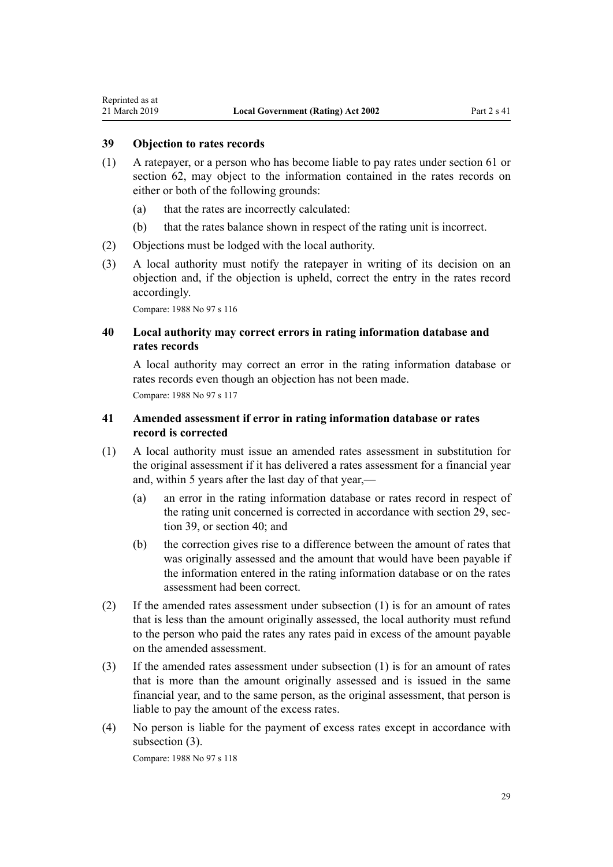# <span id="page-28-0"></span>**39 Objection to rates records**

- (1) A ratepayer, or a person who has become liable to pay rates under [section 61](#page-38-0) or [section 62](#page-38-0), may object to the information contained in the rates records on either or both of the following grounds:
	- (a) that the rates are incorrectly calculated:
	- (b) that the rates balance shown in respect of the rating unit is incorrect.
- (2) Objections must be lodged with the local authority.
- (3) A local authority must notify the ratepayer in writing of its decision on an objection and, if the objection is upheld, correct the entry in the rates record accordingly.

Compare: 1988 No 97 s 116

# **40 Local authority may correct errors in rating information database and rates records**

A local authority may correct an error in the rating information database or rates records even though an objection has not been made. Compare: 1988 No 97 s 117

# **41 Amended assessment if error in rating information database or rates record is corrected**

- (1) A local authority must issue an amended rates assessment in substitution for the original assessment if it has delivered a rates assessment for a financial year and, within 5 years after the last day of that year,—
	- (a) an error in the rating information database or rates record in respect of the rating unit concerned is corrected in accordance with [section 29,](#page-24-0) section 39, or section 40; and
	- (b) the correction gives rise to a difference between the amount of rates that was originally assessed and the amount that would have been payable if the information entered in the rating information database or on the rates assessment had been correct.
- (2) If the amended rates assessment under subsection (1) is for an amount of rates that is less than the amount originally assessed, the local authority must refund to the person who paid the rates any rates paid in excess of the amount payable on the amended assessment.
- (3) If the amended rates assessment under subsection (1) is for an amount of rates that is more than the amount originally assessed and is issued in the same financial year, and to the same person, as the original assessment, that person is liable to pay the amount of the excess rates.
- (4) No person is liable for the payment of excess rates except in accordance with subsection (3).

Compare: 1988 No 97 s 118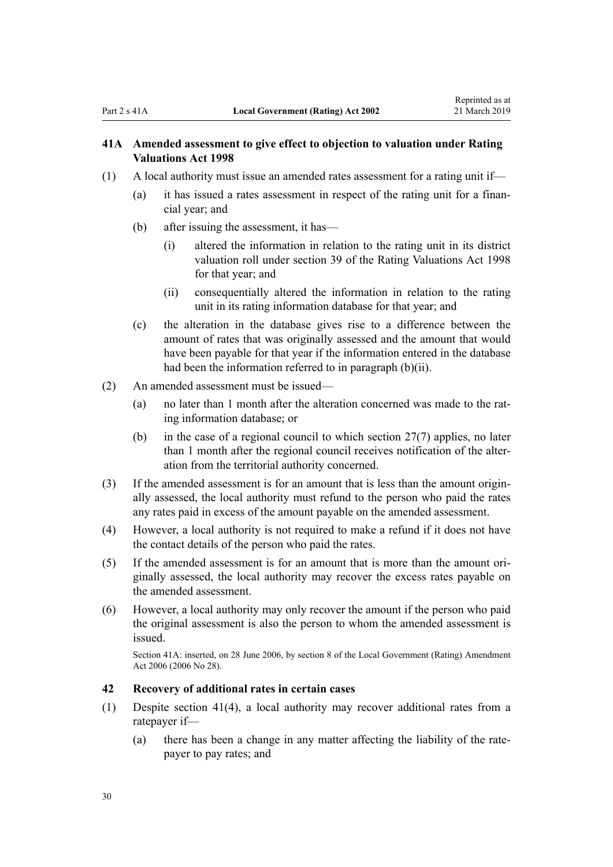# <span id="page-29-0"></span>**41A Amended assessment to give effect to objection to valuation under Rating Valuations Act 1998**

- (1) A local authority must issue an amended rates assessment for a rating unit if—
	- (a) it has issued a rates assessment in respect of the rating unit for a financial year; and
	- (b) after issuing the assessment, it has—
		- (i) altered the information in relation to the rating unit in its district valuation roll under [section 39](http://legislation.govt.nz/pdflink.aspx?id=DLM427687) of the Rating Valuations Act 1998 for that year; and
		- (ii) consequentially altered the information in relation to the rating unit in its rating information database for that year; and
	- (c) the alteration in the database gives rise to a difference between the amount of rates that was originally assessed and the amount that would have been payable for that year if the information entered in the database had been the information referred to in paragraph (b)(ii).
- (2) An amended assessment must be issued—
	- (a) no later than 1 month after the alteration concerned was made to the rating information database; or
	- (b) in the case of a regional council to which section  $27(7)$  applies, no later than 1 month after the regional council receives notification of the alteration from the territorial authority concerned.
- (3) If the amended assessment is for an amount that is less than the amount originally assessed, the local authority must refund to the person who paid the rates any rates paid in excess of the amount payable on the amended assessment.
- (4) However, a local authority is not required to make a refund if it does not have the contact details of the person who paid the rates.
- (5) If the amended assessment is for an amount that is more than the amount originally assessed, the local authority may recover the excess rates payable on the amended assessment.
- (6) However, a local authority may only recover the amount if the person who paid the original assessment is also the person to whom the amended assessment is issued.

Section 41A: inserted, on 28 June 2006, by [section 8](http://legislation.govt.nz/pdflink.aspx?id=DLM374311) of the Local Government (Rating) Amendment Act 2006 (2006 No 28).

# **42 Recovery of additional rates in certain cases**

- (1) Despite [section 41\(4\)](#page-28-0), a local authority may recover additional rates from a ratepayer if—
	- (a) there has been a change in any matter affecting the liability of the ratepayer to pay rates; and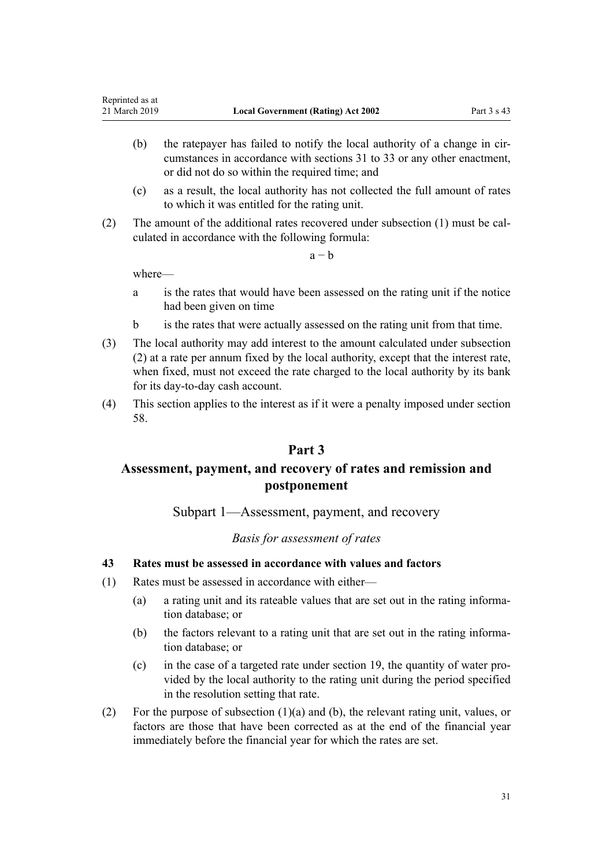- <span id="page-30-0"></span>(b) the ratepayer has failed to notify the local authority of a change in circumstances in accordance with [sections 31 to 33](#page-25-0) or any other enactment, or did not do so within the required time; and
- (c) as a result, the local authority has not collected the full amount of rates to which it was entitled for the rating unit.
- (2) The amount of the additional rates recovered under subsection (1) must be calculated in accordance with the following formula:

 $a - b$ 

where—

- a is the rates that would have been assessed on the rating unit if the notice had been given on time
- b is the rates that were actually assessed on the rating unit from that time.
- (3) The local authority may add interest to the amount calculated under subsection (2) at a rate per annum fixed by the local authority, except that the interest rate, when fixed, must not exceed the rate charged to the local authority by its bank for its day-to-day cash account.
- (4) This section applies to the interest as if it were a penalty imposed under [section](#page-37-0) [58.](#page-37-0)

# **Part 3**

# **Assessment, payment, and recovery of rates and remission and postponement**

Subpart 1—Assessment, payment, and recovery

# *Basis for assessment of rates*

# **43 Rates must be assessed in accordance with values and factors**

- (1) Rates must be assessed in accordance with either—
	- (a) a rating unit and its rateable values that are set out in the rating information database; or
	- (b) the factors relevant to a rating unit that are set out in the rating information database; or
	- (c) in the case of a targeted rate under [section 19,](#page-16-0) the quantity of water provided by the local authority to the rating unit during the period specified in the resolution setting that rate.
- (2) For the purpose of subsection (1)(a) and (b), the relevant rating unit, values, or factors are those that have been corrected as at the end of the financial year immediately before the financial year for which the rates are set.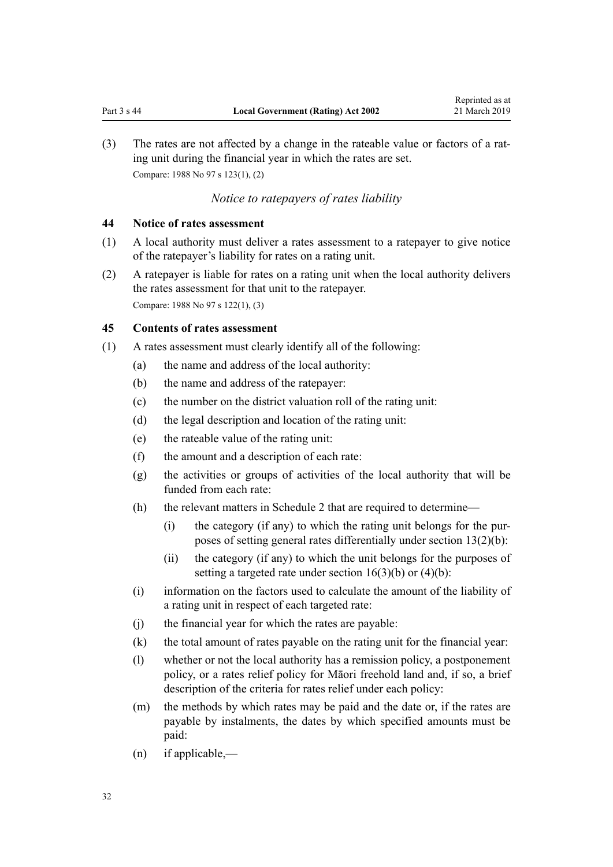<span id="page-31-0"></span>(3) The rates are not affected by a change in the rateable value or factors of a rating unit during the financial year in which the rates are set. Compare: 1988 No 97 s 123(1), (2)

# *Notice to ratepayers of rates liability*

# **44 Notice of rates assessment**

- (1) A local authority must deliver a rates assessment to a ratepayer to give notice of the ratepayer's liability for rates on a rating unit.
- (2) A ratepayer is liable for rates on a rating unit when the local authority delivers the rates assessment for that unit to the ratepayer. Compare: 1988 No 97 s 122(1), (3)

#### **45 Contents of rates assessment**

- (1) A rates assessment must clearly identify all of the following:
	- (a) the name and address of the local authority:
	- (b) the name and address of the ratepayer:
	- (c) the number on the district valuation roll of the rating unit:
	- (d) the legal description and location of the rating unit:
	- (e) the rateable value of the rating unit:
	- (f) the amount and a description of each rate:
	- (g) the activities or groups of activities of the local authority that will be funded from each rate:
	- (h) the relevant matters in [Schedule 2](#page-86-0) that are required to determine—
		- (i) the category (if any) to which the rating unit belongs for the purposes of setting general rates differentially under [section 13\(2\)\(b\)](#page-14-0):
		- (ii) the category (if any) to which the unit belongs for the purposes of setting a targeted rate under section  $16(3)(b)$  or  $(4)(b)$ :
	- (i) information on the factors used to calculate the amount of the liability of a rating unit in respect of each targeted rate:
	- (j) the financial year for which the rates are payable:
	- (k) the total amount of rates payable on the rating unit for the financial year:
	- (l) whether or not the local authority has a remission policy, a postponement policy, or a rates relief policy for Māori freehold land and, if so, a brief description of the criteria for rates relief under each policy:
	- (m) the methods by which rates may be paid and the date or, if the rates are payable by instalments, the dates by which specified amounts must be paid:
	- (n) if applicable,—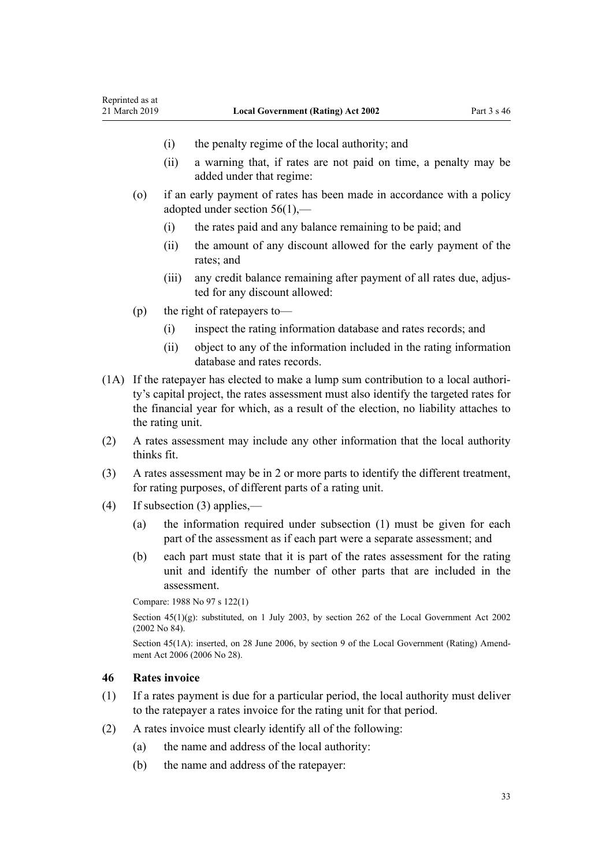- <span id="page-32-0"></span>(i) the penalty regime of the local authority; and
- (ii) a warning that, if rates are not paid on time, a penalty may be added under that regime:
- (o) if an early payment of rates has been made in accordance with a policy adopted under [section 56\(1\),](#page-36-0)—
	- (i) the rates paid and any balance remaining to be paid; and
	- (ii) the amount of any discount allowed for the early payment of the rates; and
	- (iii) any credit balance remaining after payment of all rates due, adjusted for any discount allowed:
- (p) the right of ratepayers to—
	- (i) inspect the rating information database and rates records; and
	- (ii) object to any of the information included in the rating information database and rates records.
- (1A) If the ratepayer has elected to make a lump sum contribution to a local authority's capital project, the rates assessment must also identify the targeted rates for the financial year for which, as a result of the election, no liability attaches to the rating unit.
- (2) A rates assessment may include any other information that the local authority thinks fit.
- (3) A rates assessment may be in 2 or more parts to identify the different treatment, for rating purposes, of different parts of a rating unit.
- (4) If subsection (3) applies,—
	- (a) the information required under subsection (1) must be given for each part of the assessment as if each part were a separate assessment; and
	- (b) each part must state that it is part of the rates assessment for the rating unit and identify the number of other parts that are included in the assessment.

```
Compare: 1988 No 97 s 122(1)
```
Section 45(1)(g): substituted, on 1 July 2003, by [section 262](http://legislation.govt.nz/pdflink.aspx?id=DLM174088) of the Local Government Act 2002 (2002 No 84).

Section 45(1A): inserted, on 28 June 2006, by [section 9](http://legislation.govt.nz/pdflink.aspx?id=DLM374313) of the Local Government (Rating) Amendment Act 2006 (2006 No 28).

#### **46 Rates invoice**

- (1) If a rates payment is due for a particular period, the local authority must deliver to the ratepayer a rates invoice for the rating unit for that period.
- (2) A rates invoice must clearly identify all of the following:
	- (a) the name and address of the local authority:
	- (b) the name and address of the ratepayer: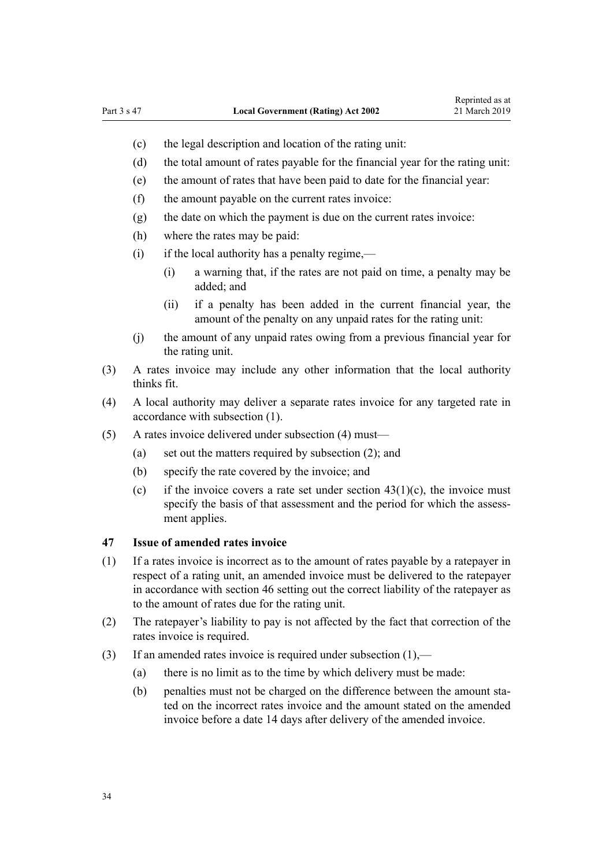- <span id="page-33-0"></span>(c) the legal description and location of the rating unit:
- (d) the total amount of rates payable for the financial year for the rating unit:
- (e) the amount of rates that have been paid to date for the financial year:
- (f) the amount payable on the current rates invoice:
- (g) the date on which the payment is due on the current rates invoice:
- (h) where the rates may be paid:
- (i) if the local authority has a penalty regime,—
	- (i) a warning that, if the rates are not paid on time, a penalty may be added; and
	- (ii) if a penalty has been added in the current financial year, the amount of the penalty on any unpaid rates for the rating unit:
- (j) the amount of any unpaid rates owing from a previous financial year for the rating unit.
- (3) A rates invoice may include any other information that the local authority thinks fit.
- (4) A local authority may deliver a separate rates invoice for any targeted rate in accordance with subsection (1).
- (5) A rates invoice delivered under subsection (4) must—
	- (a) set out the matters required by subsection (2); and
	- (b) specify the rate covered by the invoice; and
	- (c) if the invoice covers a rate set under section  $43(1)(c)$ , the invoice must specify the basis of that assessment and the period for which the assessment applies.

#### **47 Issue of amended rates invoice**

- (1) If a rates invoice is incorrect as to the amount of rates payable by a ratepayer in respect of a rating unit, an amended invoice must be delivered to the ratepayer in accordance with [section 46](#page-32-0) setting out the correct liability of the ratepayer as to the amount of rates due for the rating unit.
- (2) The ratepayer's liability to pay is not affected by the fact that correction of the rates invoice is required.
- (3) If an amended rates invoice is required under subsection (1),—
	- (a) there is no limit as to the time by which delivery must be made:
	- (b) penalties must not be charged on the difference between the amount stated on the incorrect rates invoice and the amount stated on the amended invoice before a date 14 days after delivery of the amended invoice.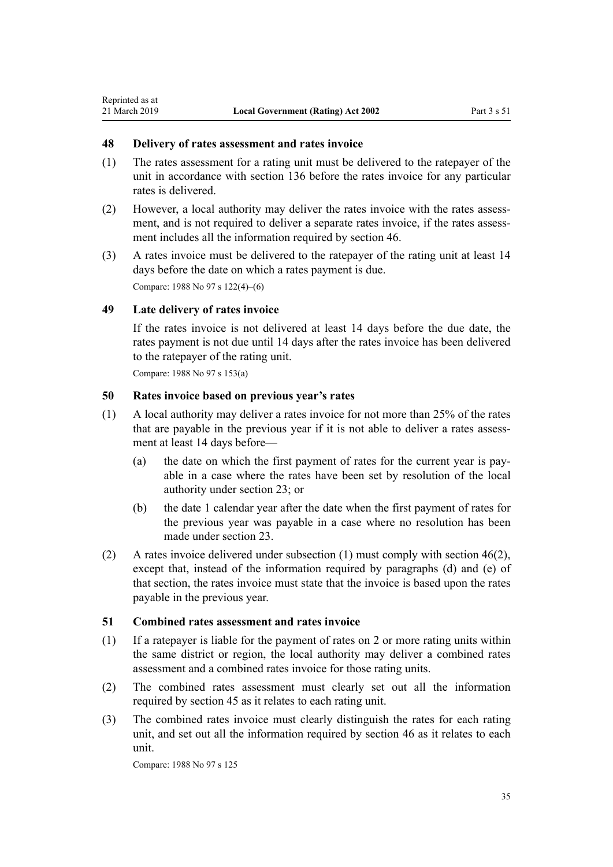#### **48 Delivery of rates assessment and rates invoice**

- (1) The rates assessment for a rating unit must be delivered to the ratepayer of the unit in accordance with [section 136](#page-75-0) before the rates invoice for any particular rates is delivered.
- (2) However, a local authority may deliver the rates invoice with the rates assessment, and is not required to deliver a separate rates invoice, if the rates assessment includes all the information required by [section 46](#page-32-0).
- (3) A rates invoice must be delivered to the ratepayer of the rating unit at least 14 days before the date on which a rates payment is due. Compare: 1988 No 97 s 122(4)–(6)

#### **49 Late delivery of rates invoice**

<span id="page-34-0"></span>Reprinted as at

If the rates invoice is not delivered at least 14 days before the due date, the rates payment is not due until 14 days after the rates invoice has been delivered to the ratepayer of the rating unit.

Compare: 1988 No 97 s 153(a)

#### **50 Rates invoice based on previous year's rates**

- (1) A local authority may deliver a rates invoice for not more than 25% of the rates that are payable in the previous year if it is not able to deliver a rates assessment at least 14 days before—
	- (a) the date on which the first payment of rates for the current year is payable in a case where the rates have been set by resolution of the local authority under [section 23;](#page-17-0) or
	- (b) the date 1 calendar year after the date when the first payment of rates for the previous year was payable in a case where no resolution has been made under [section 23](#page-17-0).
- (2) A rates invoice delivered under subsection  $(1)$  must comply with [section 46\(2\)](#page-32-0), except that, instead of the information required by paragraphs (d) and (e) of that section, the rates invoice must state that the invoice is based upon the rates payable in the previous year.

#### **51 Combined rates assessment and rates invoice**

- (1) If a ratepayer is liable for the payment of rates on 2 or more rating units within the same district or region, the local authority may deliver a combined rates assessment and a combined rates invoice for those rating units.
- (2) The combined rates assessment must clearly set out all the information required by [section 45](#page-31-0) as it relates to each rating unit.
- (3) The combined rates invoice must clearly distinguish the rates for each rating unit, and set out all the information required by [section 46](#page-32-0) as it relates to each unit.

Compare: 1988 No 97 s 125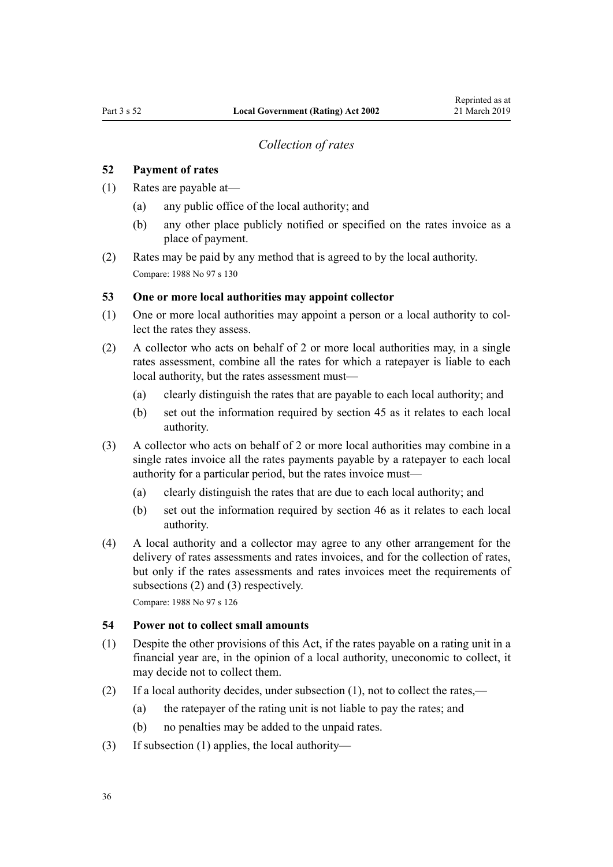#### *Collection of rates*

#### <span id="page-35-0"></span>**52 Payment of rates**

- (1) Rates are payable at—
	- (a) any public office of the local authority; and
	- (b) any other place publicly notified or specified on the rates invoice as a place of payment.
- (2) Rates may be paid by any method that is agreed to by the local authority. Compare: 1988 No 97 s 130

#### **53 One or more local authorities may appoint collector**

- (1) One or more local authorities may appoint a person or a local authority to collect the rates they assess.
- (2) A collector who acts on behalf of 2 or more local authorities may, in a single rates assessment, combine all the rates for which a ratepayer is liable to each local authority, but the rates assessment must—
	- (a) clearly distinguish the rates that are payable to each local authority; and
	- (b) set out the information required by [section 45](#page-31-0) as it relates to each local authority.
- (3) A collector who acts on behalf of 2 or more local authorities may combine in a single rates invoice all the rates payments payable by a ratepayer to each local authority for a particular period, but the rates invoice must—
	- (a) clearly distinguish the rates that are due to each local authority; and
	- (b) set out the information required by [section 46](#page-32-0) as it relates to each local authority.
- (4) A local authority and a collector may agree to any other arrangement for the delivery of rates assessments and rates invoices, and for the collection of rates, but only if the rates assessments and rates invoices meet the requirements of subsections (2) and (3) respectively.

Compare: 1988 No 97 s 126

# **54 Power not to collect small amounts**

- (1) Despite the other provisions of this Act, if the rates payable on a rating unit in a financial year are, in the opinion of a local authority, uneconomic to collect, it may decide not to collect them.
- (2) If a local authority decides, under subsection (1), not to collect the rates,—
	- (a) the ratepayer of the rating unit is not liable to pay the rates; and
	- (b) no penalties may be added to the unpaid rates.
- (3) If subsection (1) applies, the local authority—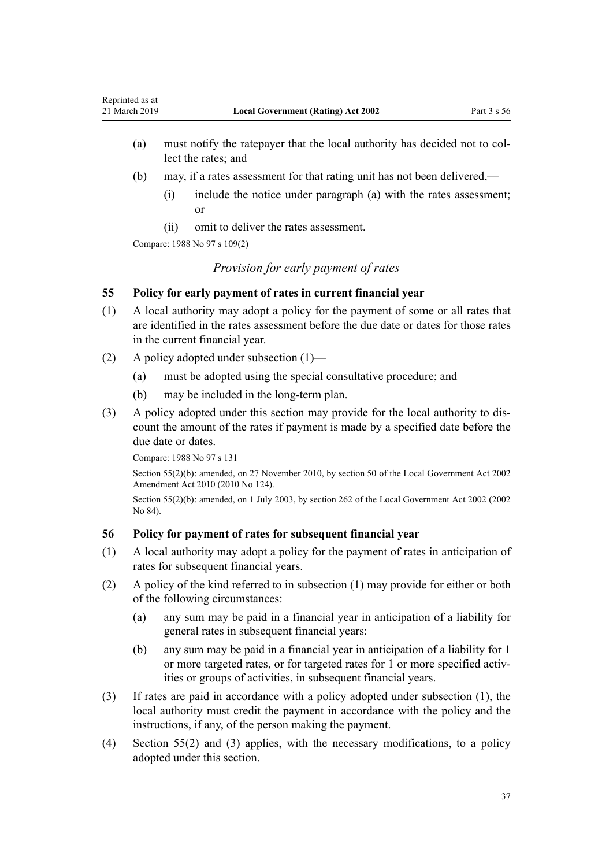- <span id="page-36-0"></span>(a) must notify the ratepayer that the local authority has decided not to collect the rates; and
- (b) may, if a rates assessment for that rating unit has not been delivered,—
	- (i) include the notice under paragraph (a) with the rates assessment; or
	- (ii) omit to deliver the rates assessment.

Compare: 1988 No 97 s 109(2)

*Provision for early payment of rates*

## **55 Policy for early payment of rates in current financial year**

- (1) A local authority may adopt a policy for the payment of some or all rates that are identified in the rates assessment before the due date or dates for those rates in the current financial year.
- (2) A policy adopted under subsection (1)—
	- (a) must be adopted using the special consultative procedure; and
	- (b) may be included in the long-term plan.
- (3) A policy adopted under this section may provide for the local authority to discount the amount of the rates if payment is made by a specified date before the due date or dates.

Compare: 1988 No 97 s 131

Section 55(2)(b): amended, on 27 November 2010, by [section 50](http://legislation.govt.nz/pdflink.aspx?id=DLM2922485) of the Local Government Act 2002 Amendment Act 2010 (2010 No 124).

Section 55(2)(b): amended, on 1 July 2003, by [section 262](http://legislation.govt.nz/pdflink.aspx?id=DLM174088) of the Local Government Act 2002 (2002 No 84).

### **56 Policy for payment of rates for subsequent financial year**

- (1) A local authority may adopt a policy for the payment of rates in anticipation of rates for subsequent financial years.
- (2) A policy of the kind referred to in subsection (1) may provide for either or both of the following circumstances:
	- (a) any sum may be paid in a financial year in anticipation of a liability for general rates in subsequent financial years:
	- (b) any sum may be paid in a financial year in anticipation of a liability for 1 or more targeted rates, or for targeted rates for 1 or more specified activities or groups of activities, in subsequent financial years.
- (3) If rates are paid in accordance with a policy adopted under subsection (1), the local authority must credit the payment in accordance with the policy and the instructions, if any, of the person making the payment.
- (4) Section 55(2) and (3) applies, with the necessary modifications, to a policy adopted under this section.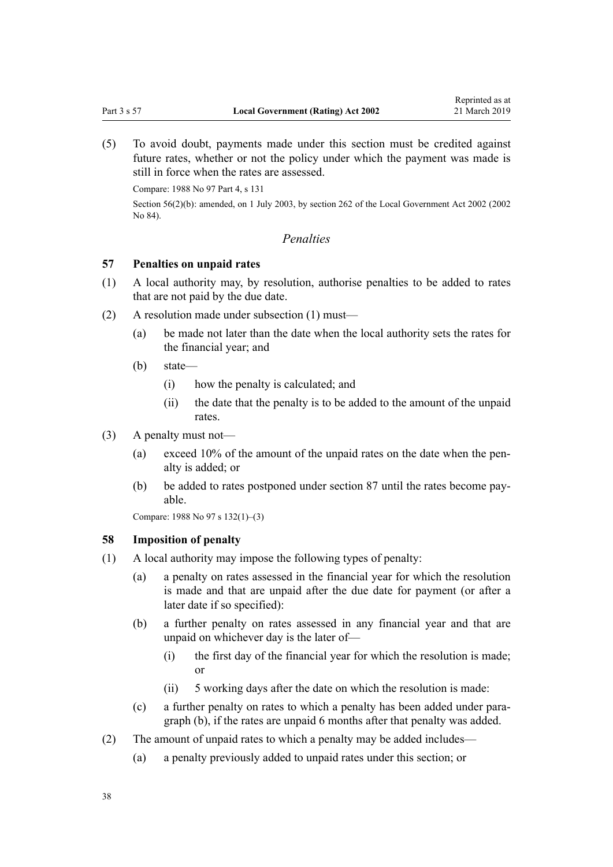<span id="page-37-0"></span>(5) To avoid doubt, payments made under this section must be credited against future rates, whether or not the policy under which the payment was made is still in force when the rates are assessed.

Compare: 1988 No 97 Part 4, s 131

Section 56(2)(b): amended, on 1 July 2003, by [section 262](http://legislation.govt.nz/pdflink.aspx?id=DLM174088) of the Local Government Act 2002 (2002 No 84).

## *Penalties*

### **57 Penalties on unpaid rates**

- (1) A local authority may, by resolution, authorise penalties to be added to rates that are not paid by the due date.
- (2) A resolution made under subsection (1) must—
	- (a) be made not later than the date when the local authority sets the rates for the financial year; and
	- (b) state—
		- (i) how the penalty is calculated; and
		- (ii) the date that the penalty is to be added to the amount of the unpaid rates.
- (3) A penalty must not—
	- (a) exceed 10% of the amount of the unpaid rates on the date when the penalty is added; or
	- (b) be added to rates postponed under [section 87](#page-48-0) until the rates become payable.

Compare: 1988 No 97 s 132(1)–(3)

### **58 Imposition of penalty**

- (1) A local authority may impose the following types of penalty:
	- (a) a penalty on rates assessed in the financial year for which the resolution is made and that are unpaid after the due date for payment (or after a later date if so specified):
	- (b) a further penalty on rates assessed in any financial year and that are unpaid on whichever day is the later of—
		- (i) the first day of the financial year for which the resolution is made; or
		- (ii) 5 working days after the date on which the resolution is made:
	- (c) a further penalty on rates to which a penalty has been added under paragraph (b), if the rates are unpaid 6 months after that penalty was added.
- (2) The amount of unpaid rates to which a penalty may be added includes—
	- (a) a penalty previously added to unpaid rates under this section; or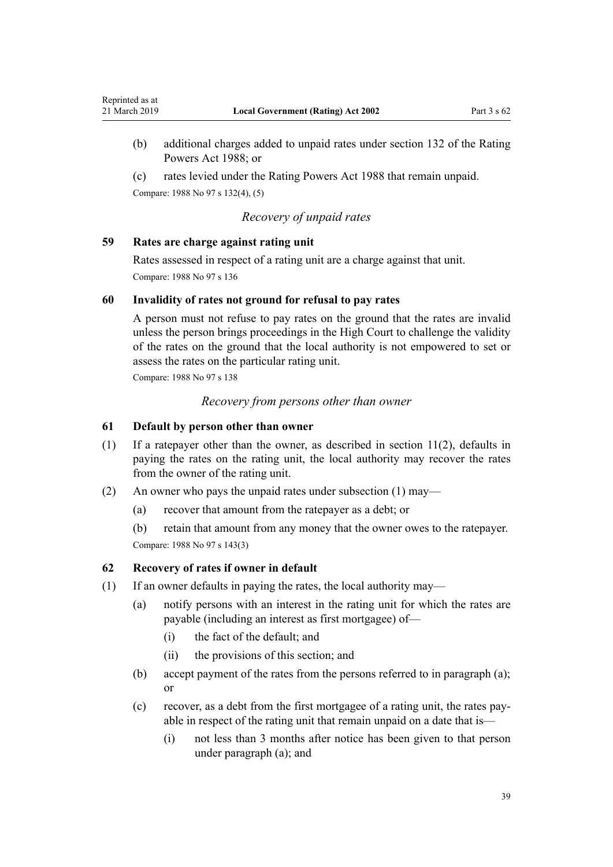- (b) additional charges added to unpaid rates under section 132 of the Rating Powers Act 1988; or
- (c) rates levied under the Rating Powers Act 1988 that remain unpaid.

Compare: 1988 No 97 s 132(4), (5)

### *Recovery of unpaid rates*

### **59 Rates are charge against rating unit**

Rates assessed in respect of a rating unit are a charge against that unit. Compare: 1988 No 97 s 136

### **60 Invalidity of rates not ground for refusal to pay rates**

A person must not refuse to pay rates on the ground that the rates are invalid unless the person brings proceedings in the High Court to challenge the validity of the rates on the ground that the local authority is not empowered to set or assess the rates on the particular rating unit.

Compare: 1988 No 97 s 138

*Recovery from persons other than owner*

### **61 Default by person other than owner**

- (1) If a ratepayer other than the owner, as described in [section 11\(2\)](#page-13-0), defaults in paying the rates on the rating unit, the local authority may recover the rates from the owner of the rating unit.
- (2) An owner who pays the unpaid rates under subsection (1) may—
	- (a) recover that amount from the ratepayer as a debt; or

(b) retain that amount from any money that the owner owes to the ratepayer. Compare: 1988 No 97 s 143(3)

### **62 Recovery of rates if owner in default**

- (1) If an owner defaults in paying the rates, the local authority may—
	- (a) notify persons with an interest in the rating unit for which the rates are payable (including an interest as first mortgagee) of—
		- (i) the fact of the default; and
		- (ii) the provisions of this section; and
	- (b) accept payment of the rates from the persons referred to in paragraph (a); or
	- (c) recover, as a debt from the first mortgagee of a rating unit, the rates payable in respect of the rating unit that remain unpaid on a date that is—
		- (i) not less than 3 months after notice has been given to that person under paragraph (a); and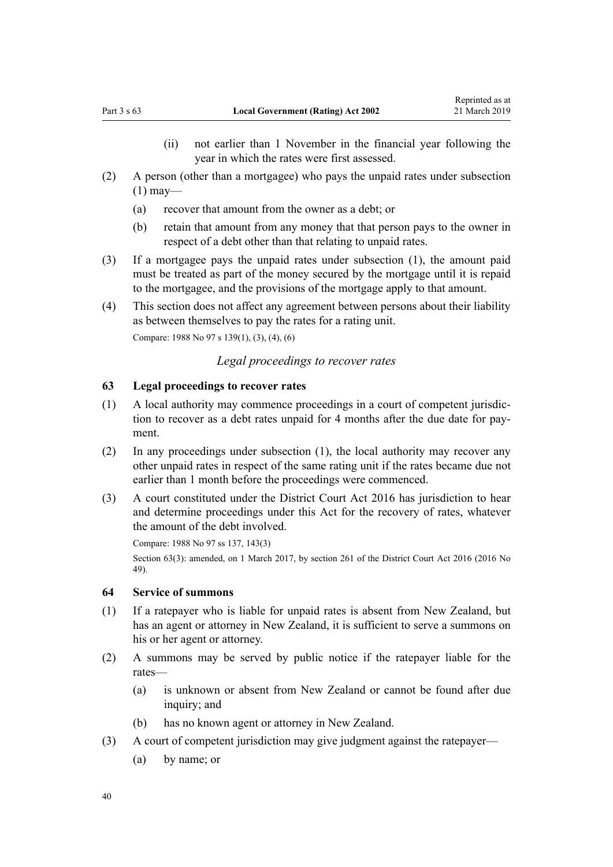- (ii) not earlier than 1 November in the financial year following the year in which the rates were first assessed.
- <span id="page-39-0"></span>(2) A person (other than a mortgagee) who pays the unpaid rates under subsection  $(1)$  may—
	- (a) recover that amount from the owner as a debt; or
	- (b) retain that amount from any money that that person pays to the owner in respect of a debt other than that relating to unpaid rates.
- (3) If a mortgagee pays the unpaid rates under subsection (1), the amount paid must be treated as part of the money secured by the mortgage until it is repaid to the mortgagee, and the provisions of the mortgage apply to that amount.
- (4) This section does not affect any agreement between persons about their liability as between themselves to pay the rates for a rating unit.

Compare: 1988 No 97 s 139(1), (3), (4), (6)

### *Legal proceedings to recover rates*

### **63 Legal proceedings to recover rates**

- (1) A local authority may commence proceedings in a court of competent jurisdiction to recover as a debt rates unpaid for 4 months after the due date for payment.
- (2) In any proceedings under subsection (1), the local authority may recover any other unpaid rates in respect of the same rating unit if the rates became due not earlier than 1 month before the proceedings were commenced.
- (3) A court constituted under the [District Court Act 2016](http://legislation.govt.nz/pdflink.aspx?id=DLM6942200) has jurisdiction to hear and determine proceedings under this Act for the recovery of rates, whatever the amount of the debt involved.

Compare: 1988 No 97 ss 137, 143(3) Section 63(3): amended, on 1 March 2017, by [section 261](http://legislation.govt.nz/pdflink.aspx?id=DLM6942680) of the District Court Act 2016 (2016 No 49).

# **64 Service of summons**

- (1) If a ratepayer who is liable for unpaid rates is absent from New Zealand, but has an agent or attorney in New Zealand, it is sufficient to serve a summons on his or her agent or attorney.
- (2) A summons may be served by public notice if the ratepayer liable for the rates—
	- (a) is unknown or absent from New Zealand or cannot be found after due inquiry; and
	- (b) has no known agent or attorney in New Zealand.
- (3) A court of competent jurisdiction may give judgment against the ratepayer—
	- (a) by name; or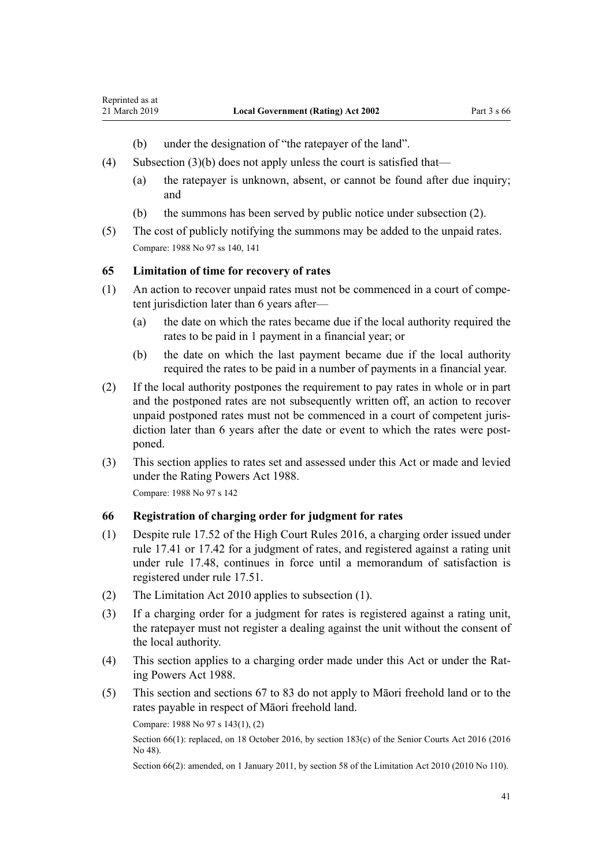- (b) under the designation of "the ratepayer of the land".
- (4) Subsection (3)(b) does not apply unless the court is satisfied that—
	- (a) the ratepayer is unknown, absent, or cannot be found after due inquiry; and
	- (b) the summons has been served by public notice under subsection (2).
- (5) The cost of publicly notifying the summons may be added to the unpaid rates. Compare: 1988 No 97 ss 140, 141

### **65 Limitation of time for recovery of rates**

<span id="page-40-0"></span>Reprinted as at

- (1) An action to recover unpaid rates must not be commenced in a court of competent jurisdiction later than 6 years after—
	- (a) the date on which the rates became due if the local authority required the rates to be paid in 1 payment in a financial year; or
	- (b) the date on which the last payment became due if the local authority required the rates to be paid in a number of payments in a financial year.
- (2) If the local authority postpones the requirement to pay rates in whole or in part and the postponed rates are not subsequently written off, an action to recover unpaid postponed rates must not be commenced in a court of competent jurisdiction later than 6 years after the date or event to which the rates were postponed.
- (3) This section applies to rates set and assessed under this Act or made and levied under the Rating Powers Act 1988.

Compare: 1988 No 97 s 142

### **66 Registration of charging order for judgment for rates**

- (1) Despite [rule 17.52](http://legislation.govt.nz/pdflink.aspx?id=DLM6952324) of the High Court Rules 2016, a charging order issued under [rule 17.41](http://legislation.govt.nz/pdflink.aspx?id=DLM6952312) or [17.42](http://legislation.govt.nz/pdflink.aspx?id=DLM6952313) for a judgment of rates, and registered against a rating unit under [rule 17.48,](http://legislation.govt.nz/pdflink.aspx?id=DLM6952320) continues in force until a memorandum of satisfaction is registered under [rule 17.51](http://legislation.govt.nz/pdflink.aspx?id=DLM6952323).
- (2) The [Limitation Act 2010](http://legislation.govt.nz/pdflink.aspx?id=DLM2033100) applies to subsection (1).
- (3) If a charging order for a judgment for rates is registered against a rating unit, the ratepayer must not register a dealing against the unit without the consent of the local authority.
- (4) This section applies to a charging order made under this Act or under the Rating Powers Act 1988.
- (5) This section and [sections 67 to 83](#page-41-0) do not apply to Māori freehold land or to the rates payable in respect of Māori freehold land.

Compare: 1988 No 97 s 143(1), (2)

Section 66(1): replaced, on 18 October 2016, by [section 183\(c\)](http://legislation.govt.nz/pdflink.aspx?id=DLM5759564) of the Senior Courts Act 2016 (2016) No 48).

Section 66(2): amended, on 1 January 2011, by [section 58](http://legislation.govt.nz/pdflink.aspx?id=DLM2033287) of the Limitation Act 2010 (2010 No 110).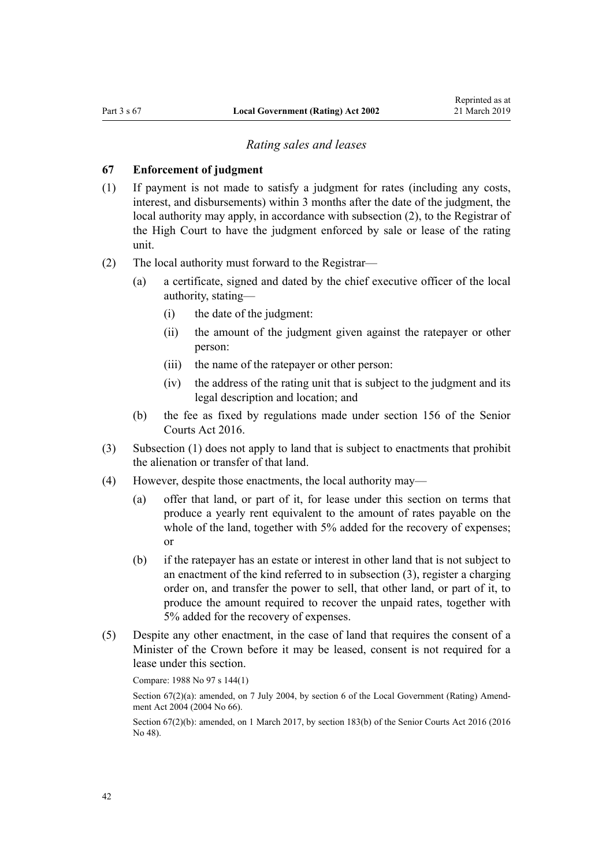### *Rating sales and leases*

#### <span id="page-41-0"></span>**67 Enforcement of judgment**

- (1) If payment is not made to satisfy a judgment for rates (including any costs, interest, and disbursements) within 3 months after the date of the judgment, the local authority may apply, in accordance with subsection (2), to the Registrar of the High Court to have the judgment enforced by sale or lease of the rating unit.
- (2) The local authority must forward to the Registrar—
	- (a) a certificate, signed and dated by the chief executive officer of the local authority, stating—
		- (i) the date of the judgment:
		- (ii) the amount of the judgment given against the ratepayer or other person:
		- (iii) the name of the ratepayer or other person:
		- (iv) the address of the rating unit that is subject to the judgment and its legal description and location; and
	- (b) the fee as fixed by regulations made under [section 156](http://legislation.govt.nz/pdflink.aspx?id=DLM5759513) of the Senior Courts Act 2016.
- (3) Subsection (1) does not apply to land that is subject to enactments that prohibit the alienation or transfer of that land.
- (4) However, despite those enactments, the local authority may—
	- (a) offer that land, or part of it, for lease under this section on terms that produce a yearly rent equivalent to the amount of rates payable on the whole of the land, together with 5% added for the recovery of expenses; or
	- (b) if the ratepayer has an estate or interest in other land that is not subject to an enactment of the kind referred to in subsection (3), register a charging order on, and transfer the power to sell, that other land, or part of it, to produce the amount required to recover the unpaid rates, together with 5% added for the recovery of expenses.
- (5) Despite any other enactment, in the case of land that requires the consent of a Minister of the Crown before it may be leased, consent is not required for a lease under this section.

Compare: 1988 No 97 s 144(1)

Section 67(2)(a): amended, on 7 July 2004, by [section 6](http://legislation.govt.nz/pdflink.aspx?id=DLM304040) of the Local Government (Rating) Amendment Act 2004 (2004 No 66).

Section 67(2)(b): amended, on 1 March 2017, by [section 183\(b\)](http://legislation.govt.nz/pdflink.aspx?id=DLM5759564) of the Senior Courts Act 2016 (2016) No 48).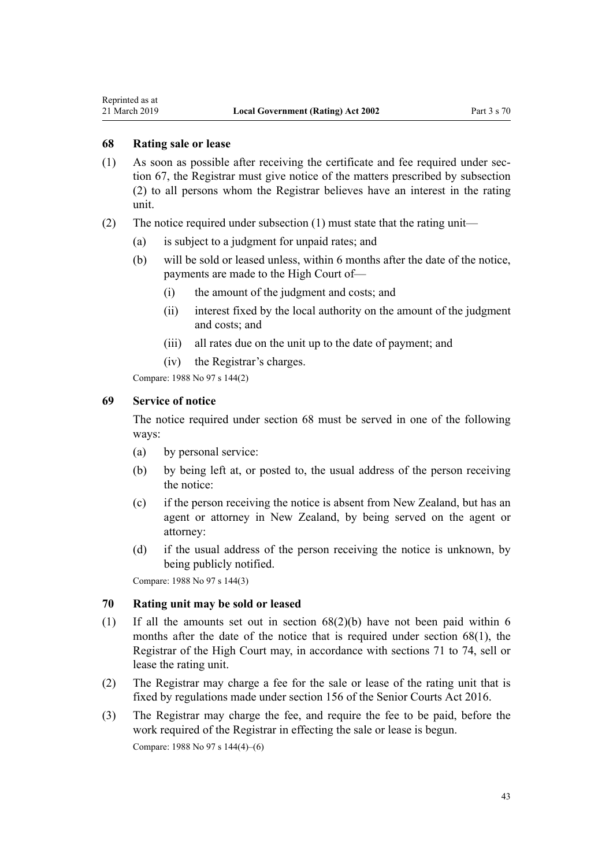<span id="page-42-0"></span>Reprinted as at

### **68 Rating sale or lease**

- (1) As soon as possible after receiving the certificate and fee required under [sec](#page-41-0)[tion 67](#page-41-0), the Registrar must give notice of the matters prescribed by subsection (2) to all persons whom the Registrar believes have an interest in the rating unit.
- (2) The notice required under subsection (1) must state that the rating unit—
	- (a) is subject to a judgment for unpaid rates; and
	- (b) will be sold or leased unless, within 6 months after the date of the notice, payments are made to the High Court of—
		- (i) the amount of the judgment and costs; and
		- (ii) interest fixed by the local authority on the amount of the judgment and costs; and
		- (iii) all rates due on the unit up to the date of payment; and
		- (iv) the Registrar's charges.

Compare: 1988 No 97 s 144(2)

### **69 Service of notice**

The notice required under section 68 must be served in one of the following ways:

- (a) by personal service:
- (b) by being left at, or posted to, the usual address of the person receiving the notice:
- (c) if the person receiving the notice is absent from New Zealand, but has an agent or attorney in New Zealand, by being served on the agent or attorney:
- (d) if the usual address of the person receiving the notice is unknown, by being publicly notified.

Compare: 1988 No 97 s 144(3)

# **70 Rating unit may be sold or leased**

- (1) If all the amounts set out in section 68(2)(b) have not been paid within 6 months after the date of the notice that is required under section 68(1), the Registrar of the High Court may, in accordance with [sections 71 to 74](#page-43-0), sell or lease the rating unit.
- (2) The Registrar may charge a fee for the sale or lease of the rating unit that is fixed by regulations made under [section 156](http://legislation.govt.nz/pdflink.aspx?id=DLM5759513) of the Senior Courts Act 2016.
- (3) The Registrar may charge the fee, and require the fee to be paid, before the work required of the Registrar in effecting the sale or lease is begun.

Compare: 1988 No 97 s 144(4)–(6)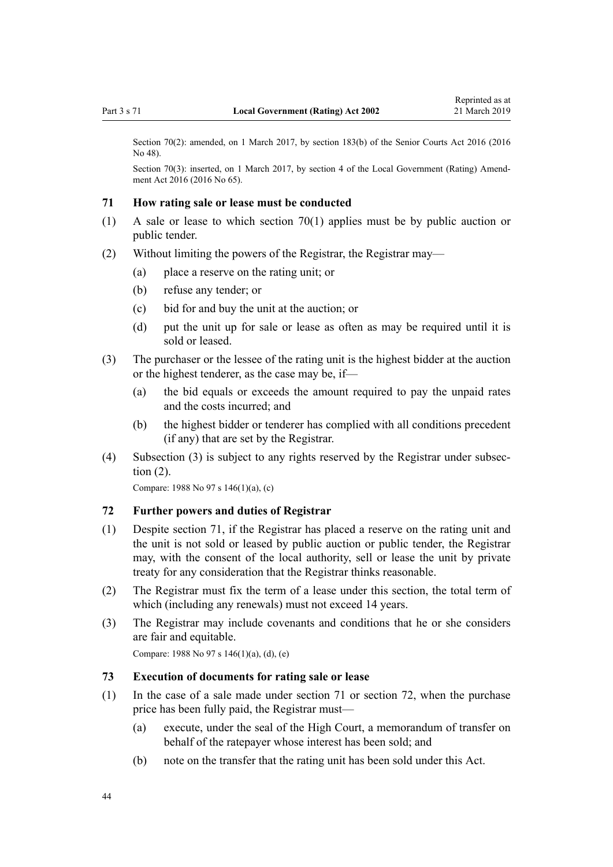<span id="page-43-0"></span>Section 70(2): amended, on 1 March 2017, by [section 183\(b\)](http://legislation.govt.nz/pdflink.aspx?id=DLM5759564) of the Senior Courts Act 2016 (2016) No 48).

Section 70(3): inserted, on 1 March 2017, by [section 4](http://legislation.govt.nz/pdflink.aspx?id=DLM6944182) of the Local Government (Rating) Amendment Act 2016 (2016 No 65).

#### **71 How rating sale or lease must be conducted**

- (1) A sale or lease to which [section 70\(1\)](#page-42-0) applies must be by public auction or public tender.
- (2) Without limiting the powers of the Registrar, the Registrar may—
	- (a) place a reserve on the rating unit; or
	- (b) refuse any tender; or
	- (c) bid for and buy the unit at the auction; or
	- (d) put the unit up for sale or lease as often as may be required until it is sold or leased.
- (3) The purchaser or the lessee of the rating unit is the highest bidder at the auction or the highest tenderer, as the case may be, if—
	- (a) the bid equals or exceeds the amount required to pay the unpaid rates and the costs incurred; and
	- (b) the highest bidder or tenderer has complied with all conditions precedent (if any) that are set by the Registrar.
- (4) Subsection (3) is subject to any rights reserved by the Registrar under subsection (2).

Compare: 1988 No 97 s 146(1)(a), (c)

### **72 Further powers and duties of Registrar**

- (1) Despite section 71, if the Registrar has placed a reserve on the rating unit and the unit is not sold or leased by public auction or public tender, the Registrar may, with the consent of the local authority, sell or lease the unit by private treaty for any consideration that the Registrar thinks reasonable.
- (2) The Registrar must fix the term of a lease under this section, the total term of which (including any renewals) must not exceed 14 years.
- (3) The Registrar may include covenants and conditions that he or she considers are fair and equitable.

Compare: 1988 No 97 s 146(1)(a), (d), (e)

### **73 Execution of documents for rating sale or lease**

- (1) In the case of a sale made under section 71 or section 72, when the purchase price has been fully paid, the Registrar must—
	- (a) execute, under the seal of the High Court, a memorandum of transfer on behalf of the ratepayer whose interest has been sold; and
	- (b) note on the transfer that the rating unit has been sold under this Act.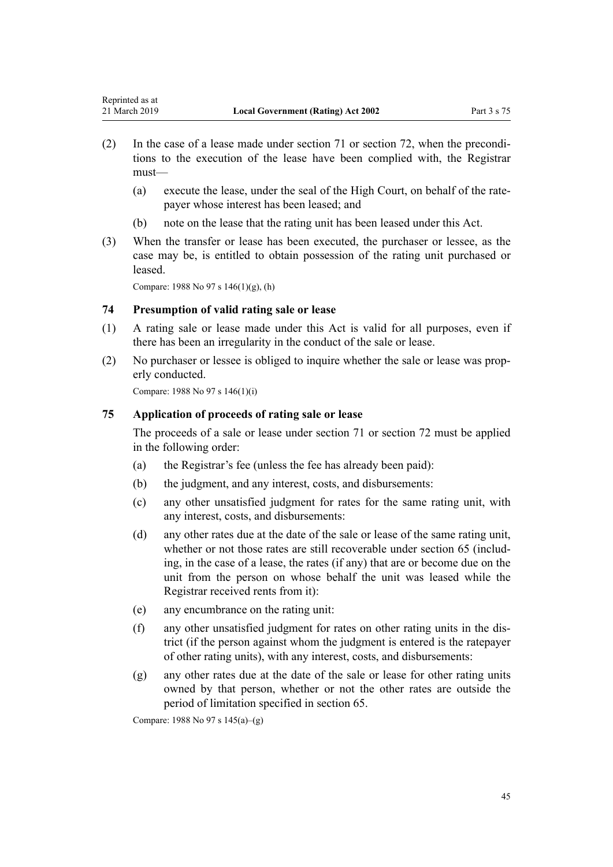- <span id="page-44-0"></span>(2) In the case of a lease made under [section 71](#page-43-0) or [section 72,](#page-43-0) when the preconditions to the execution of the lease have been complied with, the Registrar must—
	- (a) execute the lease, under the seal of the High Court, on behalf of the ratepayer whose interest has been leased; and
	- (b) note on the lease that the rating unit has been leased under this Act.
- (3) When the transfer or lease has been executed, the purchaser or lessee, as the case may be, is entitled to obtain possession of the rating unit purchased or leased.

Compare: 1988 No 97 s 146(1)(g), (h)

### **74 Presumption of valid rating sale or lease**

- (1) A rating sale or lease made under this Act is valid for all purposes, even if there has been an irregularity in the conduct of the sale or lease.
- (2) No purchaser or lessee is obliged to inquire whether the sale or lease was properly conducted.

Compare: 1988 No 97 s 146(1)(i)

### **75 Application of proceeds of rating sale or lease**

The proceeds of a sale or lease under [section 71](#page-43-0) or [section 72](#page-43-0) must be applied in the following order:

- (a) the Registrar's fee (unless the fee has already been paid):
- (b) the judgment, and any interest, costs, and disbursements:
- (c) any other unsatisfied judgment for rates for the same rating unit, with any interest, costs, and disbursements:
- (d) any other rates due at the date of the sale or lease of the same rating unit, whether or not those rates are still recoverable under [section 65](#page-40-0) (including, in the case of a lease, the rates (if any) that are or become due on the unit from the person on whose behalf the unit was leased while the Registrar received rents from it):
- (e) any encumbrance on the rating unit:
- (f) any other unsatisfied judgment for rates on other rating units in the district (if the person against whom the judgment is entered is the ratepayer of other rating units), with any interest, costs, and disbursements:
- (g) any other rates due at the date of the sale or lease for other rating units owned by that person, whether or not the other rates are outside the period of limitation specified in [section 65.](#page-40-0)

Compare: 1988 No 97 s 145(a)–(g)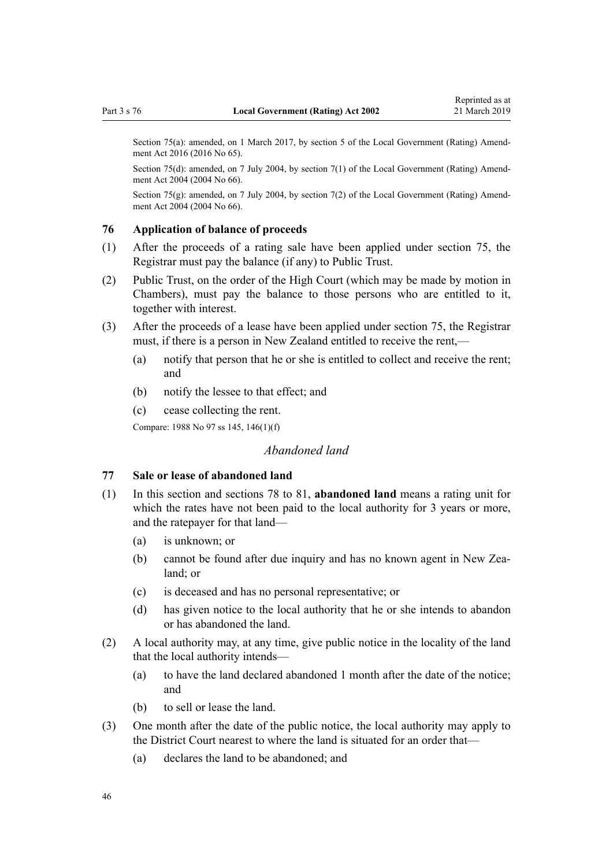<span id="page-45-0"></span>Section 75(a): amended, on 1 March 2017, by [section 5](http://legislation.govt.nz/pdflink.aspx?id=DLM6944183) of the Local Government (Rating) Amendment Act 2016 (2016 No 65).

Section 75(d): amended, on 7 July 2004, by [section 7\(1\)](http://legislation.govt.nz/pdflink.aspx?id=DLM304041) of the Local Government (Rating) Amendment Act 2004 (2004 No 66).

Section 75(g): amended, on 7 July 2004, by [section 7\(2\)](http://legislation.govt.nz/pdflink.aspx?id=DLM304041) of the Local Government (Rating) Amendment Act 2004 (2004 No 66).

#### **76 Application of balance of proceeds**

- (1) After the proceeds of a rating sale have been applied under [section 75](#page-44-0), the Registrar must pay the balance (if any) to Public Trust.
- (2) Public Trust, on the order of the High Court (which may be made by motion in Chambers), must pay the balance to those persons who are entitled to it, together with interest.
- (3) After the proceeds of a lease have been applied under [section 75](#page-44-0), the Registrar must, if there is a person in New Zealand entitled to receive the rent,—
	- (a) notify that person that he or she is entitled to collect and receive the rent; and
	- (b) notify the lessee to that effect; and
	- (c) cease collecting the rent.

Compare: 1988 No 97 ss 145, 146(1)(f)

# *Abandoned land*

### **77 Sale or lease of abandoned land**

- (1) In this section and [sections 78 to 81](#page-46-0), **abandoned land** means a rating unit for which the rates have not been paid to the local authority for 3 years or more, and the ratepayer for that land—
	- (a) is unknown; or
	- (b) cannot be found after due inquiry and has no known agent in New Zealand; or
	- (c) is deceased and has no personal representative; or
	- (d) has given notice to the local authority that he or she intends to abandon or has abandoned the land.
- (2) A local authority may, at any time, give public notice in the locality of the land that the local authority intends—
	- (a) to have the land declared abandoned 1 month after the date of the notice; and
	- (b) to sell or lease the land.
- (3) One month after the date of the public notice, the local authority may apply to the District Court nearest to where the land is situated for an order that—
	- (a) declares the land to be abandoned; and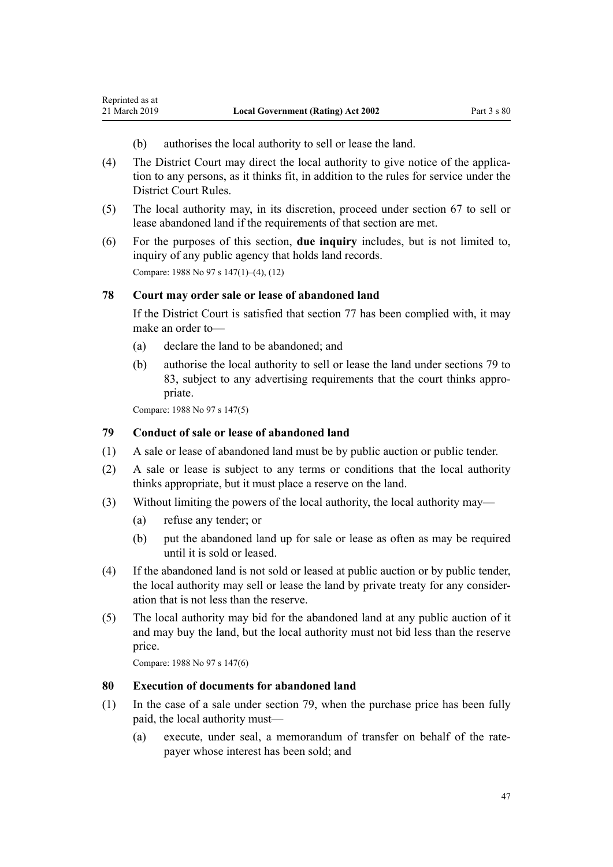- (b) authorises the local authority to sell or lease the land.
- (4) The District Court may direct the local authority to give notice of the application to any persons, as it thinks fit, in addition to the rules for service under the District Court Rules.
- (5) The local authority may, in its discretion, proceed under [section 67](#page-41-0) to sell or lease abandoned land if the requirements of that section are met.
- (6) For the purposes of this section, **due inquiry** includes, but is not limited to, inquiry of any public agency that holds land records. Compare: 1988 No 97 s 147(1)–(4), (12)

### **78 Court may order sale or lease of abandoned land**

If the District Court is satisfied that [section 77](#page-45-0) has been complied with, it may make an order to—

- (a) declare the land to be abandoned; and
- (b) authorise the local authority to sell or lease the land under sections 79 to 83, subject to any advertising requirements that the court thinks appropriate.

Compare: 1988 No 97 s 147(5)

<span id="page-46-0"></span>Reprinted as at

### **79 Conduct of sale or lease of abandoned land**

- (1) A sale or lease of abandoned land must be by public auction or public tender.
- (2) A sale or lease is subject to any terms or conditions that the local authority thinks appropriate, but it must place a reserve on the land.
- (3) Without limiting the powers of the local authority, the local authority may—
	- (a) refuse any tender; or
	- (b) put the abandoned land up for sale or lease as often as may be required until it is sold or leased.
- (4) If the abandoned land is not sold or leased at public auction or by public tender, the local authority may sell or lease the land by private treaty for any consideration that is not less than the reserve.
- (5) The local authority may bid for the abandoned land at any public auction of it and may buy the land, but the local authority must not bid less than the reserve price.

Compare: 1988 No 97 s 147(6)

### **80 Execution of documents for abandoned land**

- (1) In the case of a sale under section 79, when the purchase price has been fully paid, the local authority must—
	- (a) execute, under seal, a memorandum of transfer on behalf of the ratepayer whose interest has been sold; and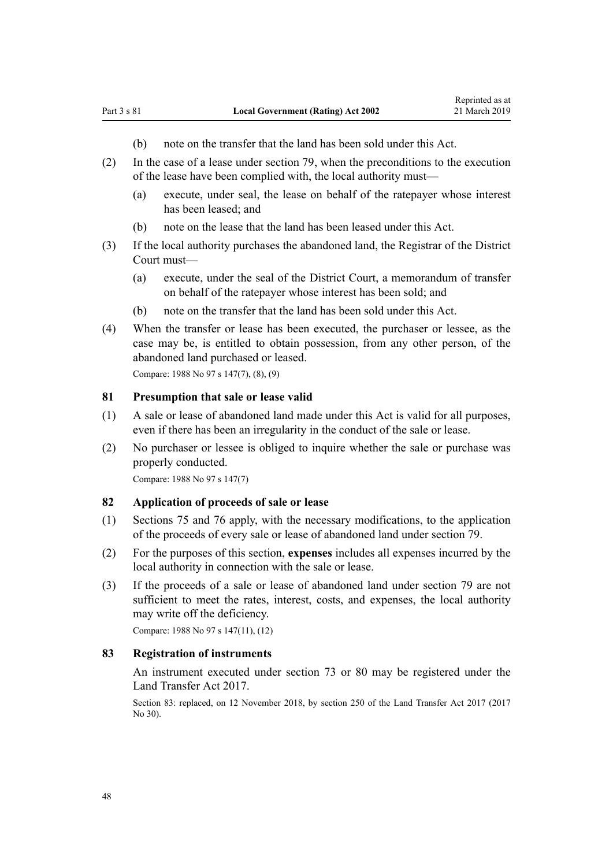- (b) note on the transfer that the land has been sold under this Act.
- (2) In the case of a lease under [section 79](#page-46-0), when the preconditions to the execution of the lease have been complied with, the local authority must—
	- (a) execute, under seal, the lease on behalf of the ratepayer whose interest has been leased; and
	- (b) note on the lease that the land has been leased under this Act.
- (3) If the local authority purchases the abandoned land, the Registrar of the District Court must—
	- (a) execute, under the seal of the District Court, a memorandum of transfer on behalf of the ratepayer whose interest has been sold; and
	- (b) note on the transfer that the land has been sold under this Act.
- (4) When the transfer or lease has been executed, the purchaser or lessee, as the case may be, is entitled to obtain possession, from any other person, of the abandoned land purchased or leased.

Compare: 1988 No 97 s 147(7), (8), (9)

### **81 Presumption that sale or lease valid**

- (1) A sale or lease of abandoned land made under this Act is valid for all purposes, even if there has been an irregularity in the conduct of the sale or lease.
- (2) No purchaser or lessee is obliged to inquire whether the sale or purchase was properly conducted.

Compare: 1988 No 97 s 147(7)

## **82 Application of proceeds of sale or lease**

- (1) [Sections 75](#page-44-0) and [76](#page-45-0) apply, with the necessary modifications, to the application of the proceeds of every sale or lease of abandoned land under [section 79](#page-46-0).
- (2) For the purposes of this section, **expenses** includes all expenses incurred by the local authority in connection with the sale or lease.
- (3) If the proceeds of a sale or lease of abandoned land under [section 79](#page-46-0) are not sufficient to meet the rates, interest, costs, and expenses, the local authority may write off the deficiency.

Compare: 1988 No 97 s 147(11), (12)

## **83 Registration of instruments**

An instrument executed under [section 73](#page-43-0) or [80](#page-46-0) may be registered under the [Land Transfer Act 2017.](http://legislation.govt.nz/pdflink.aspx?id=DLM6731002)

Section 83: replaced, on 12 November 2018, by [section 250](http://legislation.govt.nz/pdflink.aspx?id=DLM6731493) of the Land Transfer Act 2017 (2017 No 30).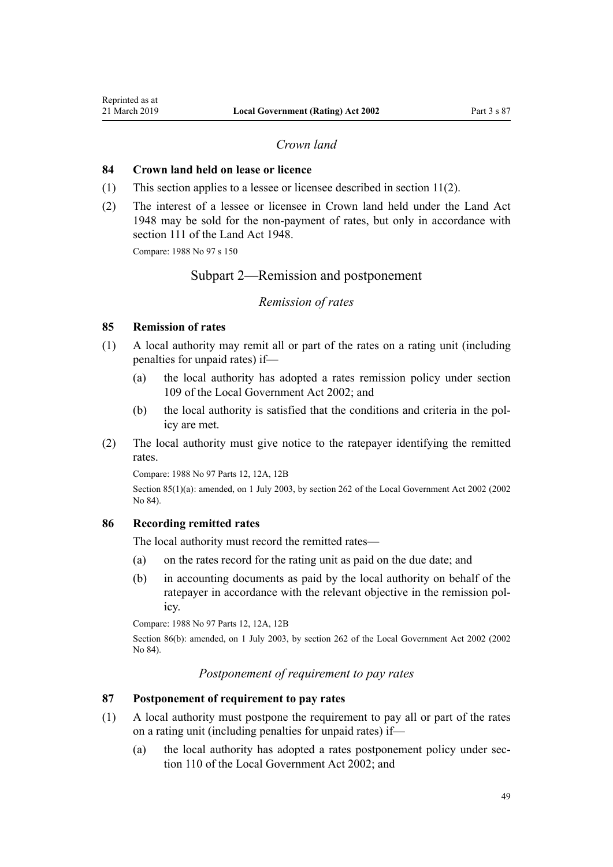# *Crown land*

### <span id="page-48-0"></span>**84 Crown land held on lease or licence**

- (1) This section applies to a lessee or licensee described in [section 11\(2\).](#page-13-0)
- (2) The interest of a lessee or licensee in Crown land held under the [Land Act](http://legislation.govt.nz/pdflink.aspx?id=DLM250585) [1948](http://legislation.govt.nz/pdflink.aspx?id=DLM250585) may be sold for the non-payment of rates, but only in accordance with [section 111](http://legislation.govt.nz/pdflink.aspx?id=DLM252193) of the Land Act 1948.

Compare: 1988 No 97 s 150

# Subpart 2—Remission and postponement

### *Remission of rates*

### **85 Remission of rates**

- (1) A local authority may remit all or part of the rates on a rating unit (including penalties for unpaid rates) if—
	- (a) the local authority has adopted a rates remission policy under [section](http://legislation.govt.nz/pdflink.aspx?id=DLM172372) [109](http://legislation.govt.nz/pdflink.aspx?id=DLM172372) of the Local Government Act 2002; and
	- (b) the local authority is satisfied that the conditions and criteria in the policy are met.
- (2) The local authority must give notice to the ratepayer identifying the remitted rates.

Compare: 1988 No 97 Parts 12, 12A, 12B

Section 85(1)(a): amended, on 1 July 2003, by [section 262](http://legislation.govt.nz/pdflink.aspx?id=DLM174088) of the Local Government Act 2002 (2002 No 84).

### **86 Recording remitted rates**

The local authority must record the remitted rates—

- (a) on the rates record for the rating unit as paid on the due date; and
- (b) in accounting documents as paid by the local authority on behalf of the ratepayer in accordance with the relevant objective in the remission policy.

Compare: 1988 No 97 Parts 12, 12A, 12B

Section 86(b): amended, on 1 July 2003, by [section 262](http://legislation.govt.nz/pdflink.aspx?id=DLM174088) of the Local Government Act 2002 (2002) No 84).

*Postponement of requirement to pay rates*

### **87 Postponement of requirement to pay rates**

- (1) A local authority must postpone the requirement to pay all or part of the rates on a rating unit (including penalties for unpaid rates) if—
	- (a) the local authority has adopted a rates postponement policy under [sec](http://legislation.govt.nz/pdflink.aspx?id=DLM172374)[tion 110](http://legislation.govt.nz/pdflink.aspx?id=DLM172374) of the Local Government Act 2002; and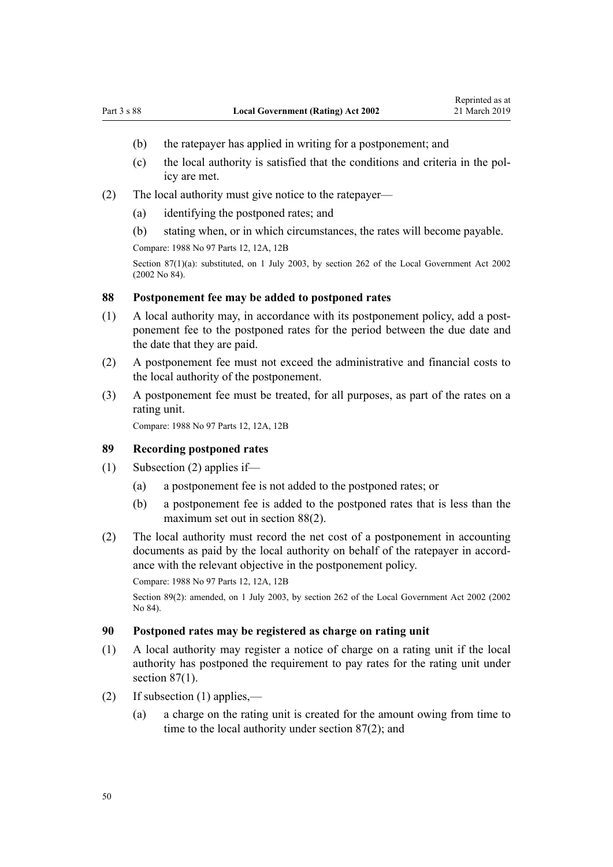- <span id="page-49-0"></span>(b) the ratepayer has applied in writing for a postponement; and
- (c) the local authority is satisfied that the conditions and criteria in the policy are met.
- (2) The local authority must give notice to the ratepayer—
	- (a) identifying the postponed rates; and
	- (b) stating when, or in which circumstances, the rates will become payable. Compare: 1988 No 97 Parts 12, 12A, 12B

Section 87(1)(a): substituted, on 1 July 2003, by [section 262](http://legislation.govt.nz/pdflink.aspx?id=DLM174088) of the Local Government Act 2002 (2002 No 84).

#### **88 Postponement fee may be added to postponed rates**

- (1) A local authority may, in accordance with its postponement policy, add a postponement fee to the postponed rates for the period between the due date and the date that they are paid.
- (2) A postponement fee must not exceed the administrative and financial costs to the local authority of the postponement.
- (3) A postponement fee must be treated, for all purposes, as part of the rates on a rating unit.

Compare: 1988 No 97 Parts 12, 12A, 12B

### **89 Recording postponed rates**

- (1) Subsection (2) applies if—
	- (a) a postponement fee is not added to the postponed rates; or
	- (b) a postponement fee is added to the postponed rates that is less than the maximum set out in section 88(2).
- (2) The local authority must record the net cost of a postponement in accounting documents as paid by the local authority on behalf of the ratepayer in accordance with the relevant objective in the postponement policy.

Compare: 1988 No 97 Parts 12, 12A, 12B

Section 89(2): amended, on 1 July 2003, by [section 262](http://legislation.govt.nz/pdflink.aspx?id=DLM174088) of the Local Government Act 2002 (2002) No 84).

### **90 Postponed rates may be registered as charge on rating unit**

- (1) A local authority may register a notice of charge on a rating unit if the local authority has postponed the requirement to pay rates for the rating unit under section  $87(1)$ .
- (2) If subsection (1) applies,—
	- (a) a charge on the rating unit is created for the amount owing from time to time to the local authority under [section 87\(2\)](#page-48-0); and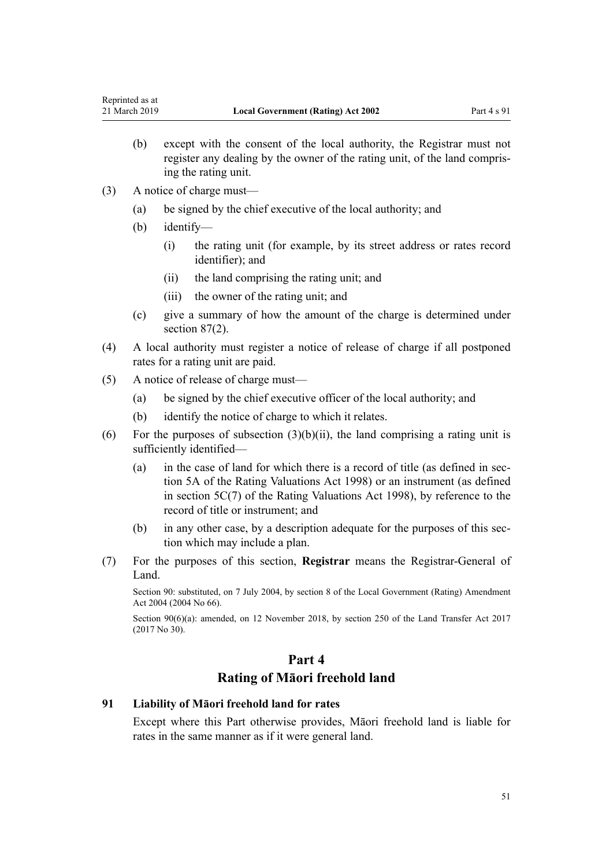- (b) except with the consent of the local authority, the Registrar must not register any dealing by the owner of the rating unit, of the land comprising the rating unit.
- (3) A notice of charge must—
	- (a) be signed by the chief executive of the local authority; and
	- (b) identify—
		- (i) the rating unit (for example, by its street address or rates record identifier); and
		- (ii) the land comprising the rating unit; and
		- (iii) the owner of the rating unit; and
	- (c) give a summary of how the amount of the charge is determined under [section 87\(2\).](#page-48-0)
- (4) A local authority must register a notice of release of charge if all postponed rates for a rating unit are paid.
- (5) A notice of release of charge must—
	- (a) be signed by the chief executive officer of the local authority; and
	- (b) identify the notice of charge to which it relates.
- (6) For the purposes of subsection  $(3)(b)(ii)$ , the land comprising a rating unit is sufficiently identified—
	- (a) in the case of land for which there is a record of title (as defined in [sec](http://legislation.govt.nz/pdflink.aspx?id=DLM427497)[tion 5A](http://legislation.govt.nz/pdflink.aspx?id=DLM427497) of the Rating Valuations Act 1998) or an instrument (as defined in [section 5C\(7\)](http://legislation.govt.nz/pdflink.aspx?id=DLM427602) of the Rating Valuations Act 1998), by reference to the record of title or instrument; and
	- (b) in any other case, by a description adequate for the purposes of this section which may include a plan.
- (7) For the purposes of this section, **Registrar** means the Registrar-General of Land.

Section 90: substituted, on 7 July 2004, by [section 8](http://legislation.govt.nz/pdflink.aspx?id=DLM304042) of the Local Government (Rating) Amendment Act 2004 (2004 No 66).

Section 90(6)(a): amended, on 12 November 2018, by [section 250](http://legislation.govt.nz/pdflink.aspx?id=DLM6731493) of the Land Transfer Act 2017 (2017 No 30).

# **Part 4 Rating of Māori freehold land**

### **91 Liability of Māori freehold land for rates**

Except where this Part otherwise provides, Māori freehold land is liable for rates in the same manner as if it were general land.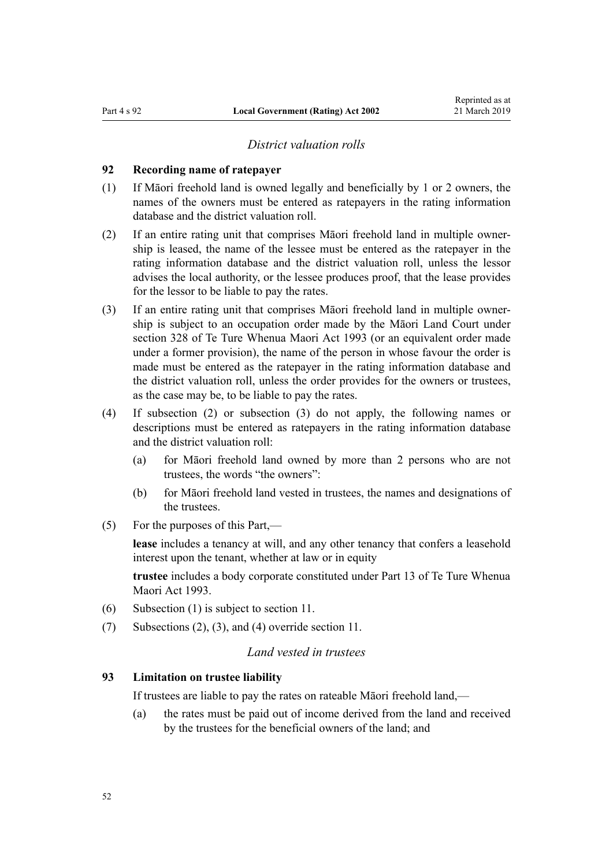### *District valuation rolls*

### <span id="page-51-0"></span>**92 Recording name of ratepayer**

- (1) If Māori freehold land is owned legally and beneficially by 1 or 2 owners, the names of the owners must be entered as ratepayers in the rating information database and the district valuation roll.
- (2) If an entire rating unit that comprises Māori freehold land in multiple ownership is leased, the name of the lessee must be entered as the ratepayer in the rating information database and the district valuation roll, unless the lessor advises the local authority, or the lessee produces proof, that the lease provides for the lessor to be liable to pay the rates.
- (3) If an entire rating unit that comprises Māori freehold land in multiple ownership is subject to an occupation order made by the Māori Land Court under [section 328](http://legislation.govt.nz/pdflink.aspx?id=DLM292863) of Te Ture Whenua Maori Act 1993 (or an equivalent order made under a former provision), the name of the person in whose favour the order is made must be entered as the ratepayer in the rating information database and the district valuation roll, unless the order provides for the owners or trustees, as the case may be, to be liable to pay the rates.
- (4) If subsection (2) or subsection (3) do not apply, the following names or descriptions must be entered as ratepayers in the rating information database and the district valuation roll:
	- (a) for Māori freehold land owned by more than 2 persons who are not trustees, the words "the owners":
	- (b) for Māori freehold land vested in trustees, the names and designations of the trustees.
- (5) For the purposes of this Part,—

**lease** includes a tenancy at will, and any other tenancy that confers a leasehold interest upon the tenant, whether at law or in equity

**trustee** includes a body corporate constituted under [Part 13](http://legislation.govt.nz/pdflink.aspx?id=DLM292146) of Te Ture Whenua Maori Act 1993.

- (6) Subsection (1) is subject to [section 11](#page-13-0).
- (7) Subsections (2), (3), and (4) override [section 11.](#page-13-0)

# *Land vested in trustees*

#### **93 Limitation on trustee liability**

If trustees are liable to pay the rates on rateable Māori freehold land,—

(a) the rates must be paid out of income derived from the land and received by the trustees for the beneficial owners of the land; and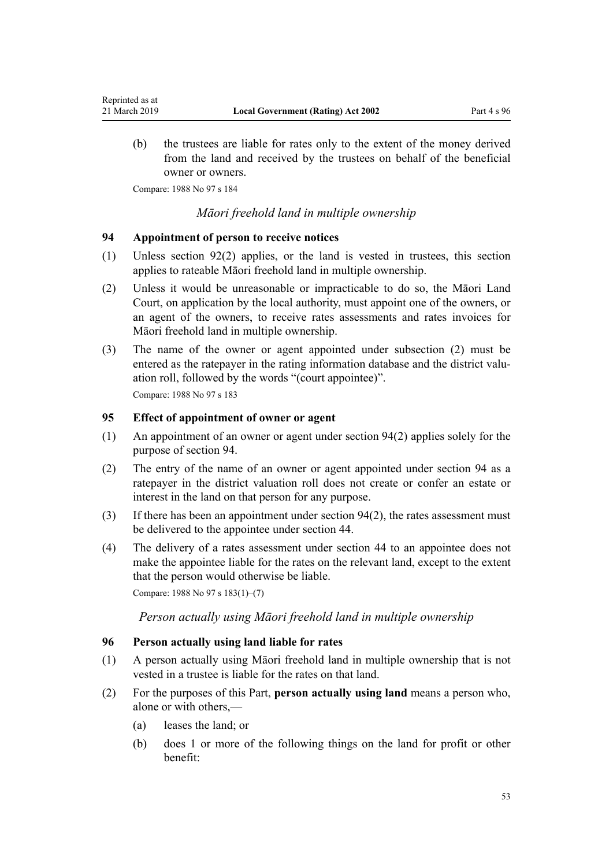(b) the trustees are liable for rates only to the extent of the money derived from the land and received by the trustees on behalf of the beneficial owner or owners.

Compare: 1988 No 97 s 184

<span id="page-52-0"></span>Reprinted as at

## *Māori freehold land in multiple ownership*

### **94 Appointment of person to receive notices**

- (1) Unless [section 92\(2\)](#page-51-0) applies, or the land is vested in trustees, this section applies to rateable Māori freehold land in multiple ownership.
- (2) Unless it would be unreasonable or impracticable to do so, the Māori Land Court, on application by the local authority, must appoint one of the owners, or an agent of the owners, to receive rates assessments and rates invoices for Māori freehold land in multiple ownership.
- (3) The name of the owner or agent appointed under subsection (2) must be entered as the ratepayer in the rating information database and the district valuation roll, followed by the words "(court appointee)". Compare: 1988 No 97 s 183

### **95 Effect of appointment of owner or agent**

- (1) An appointment of an owner or agent under section 94(2) applies solely for the purpose of section 94.
- (2) The entry of the name of an owner or agent appointed under section 94 as a ratepayer in the district valuation roll does not create or confer an estate or interest in the land on that person for any purpose.
- (3) If there has been an appointment under section 94(2), the rates assessment must be delivered to the appointee under [section 44.](#page-31-0)
- (4) The delivery of a rates assessment under [section 44](#page-31-0) to an appointee does not make the appointee liable for the rates on the relevant land, except to the extent that the person would otherwise be liable.

Compare: 1988 No 97 s 183(1)–(7)

*Person actually using Māori freehold land in multiple ownership*

### **96 Person actually using land liable for rates**

- (1) A person actually using Māori freehold land in multiple ownership that is not vested in a trustee is liable for the rates on that land.
- (2) For the purposes of this Part, **person actually using land** means a person who, alone or with others,—
	- (a) leases the land; or
	- (b) does 1 or more of the following things on the land for profit or other benefit: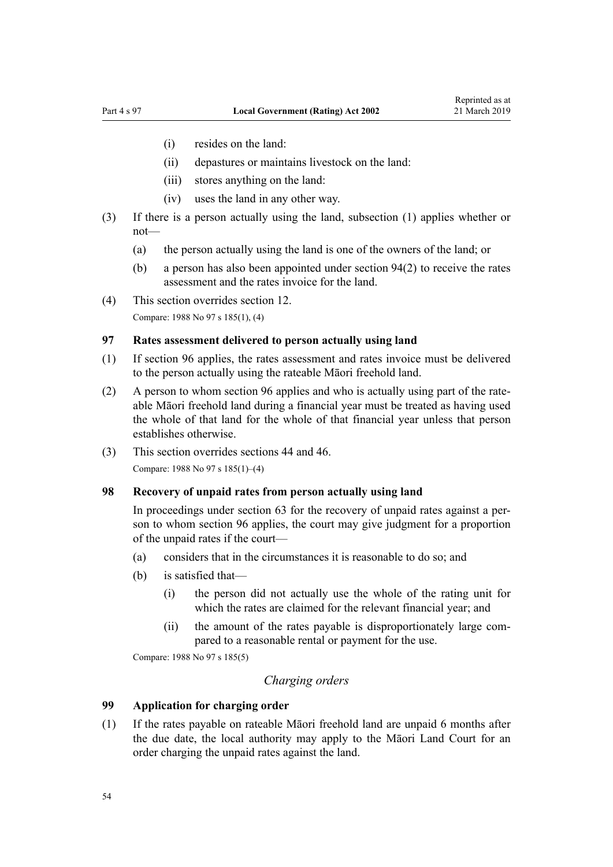- <span id="page-53-0"></span>(i) resides on the land:
- (ii) depastures or maintains livestock on the land:
- (iii) stores anything on the land:
- (iv) uses the land in any other way.
- (3) If there is a person actually using the land, subsection (1) applies whether or not—
	- (a) the person actually using the land is one of the owners of the land; or
	- (b) a person has also been appointed under [section 94\(2\)](#page-52-0) to receive the rates assessment and the rates invoice for the land.
- (4) This section overrides [section 12.](#page-14-0)

Compare: 1988 No 97 s 185(1), (4)

# **97 Rates assessment delivered to person actually using land**

- (1) If [section 96](#page-52-0) applies, the rates assessment and rates invoice must be delivered to the person actually using the rateable Māori freehold land.
- (2) A person to whom [section 96](#page-52-0) applies and who is actually using part of the rateable Māori freehold land during a financial year must be treated as having used the whole of that land for the whole of that financial year unless that person establishes otherwise.
- (3) This section overrides [sections 44](#page-31-0) and [46.](#page-32-0) Compare: 1988 No 97 s 185(1)–(4)

### **98 Recovery of unpaid rates from person actually using land**

In proceedings under [section 63](#page-39-0) for the recovery of unpaid rates against a person to whom [section 96](#page-52-0) applies, the court may give judgment for a proportion of the unpaid rates if the court—

- (a) considers that in the circumstances it is reasonable to do so; and
- (b) is satisfied that—
	- (i) the person did not actually use the whole of the rating unit for which the rates are claimed for the relevant financial year; and
	- (ii) the amount of the rates payable is disproportionately large compared to a reasonable rental or payment for the use.

Compare: 1988 No 97 s 185(5)

### *Charging orders*

### **99 Application for charging order**

(1) If the rates payable on rateable Māori freehold land are unpaid 6 months after the due date, the local authority may apply to the Māori Land Court for an order charging the unpaid rates against the land.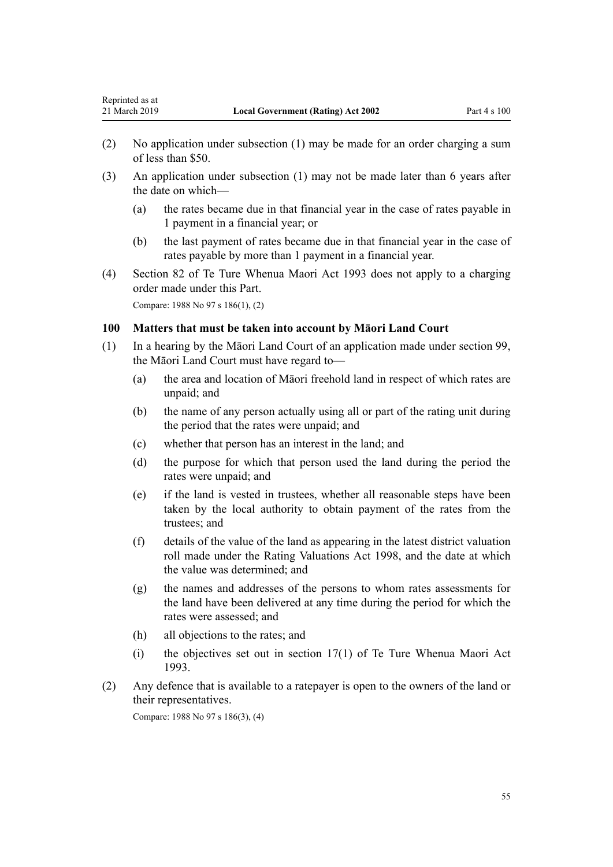- (2) No application under subsection (1) may be made for an order charging a sum of less than \$50.
- (3) An application under subsection (1) may not be made later than 6 years after the date on which—
	- (a) the rates became due in that financial year in the case of rates payable in 1 payment in a financial year; or
	- (b) the last payment of rates became due in that financial year in the case of rates payable by more than 1 payment in a financial year.
- (4) [Section 82](http://legislation.govt.nz/pdflink.aspx?id=DLM290975) of Te Ture Whenua Maori Act 1993 does not apply to a charging order made under this Part.

Compare: 1988 No 97 s 186(1), (2)

## **100 Matters that must be taken into account by Māori Land Court**

- (1) In a hearing by the Māori Land Court of an application made under [section 99](#page-53-0), the Māori Land Court must have regard to—
	- (a) the area and location of Māori freehold land in respect of which rates are unpaid; and
	- (b) the name of any person actually using all or part of the rating unit during the period that the rates were unpaid; and
	- (c) whether that person has an interest in the land; and
	- (d) the purpose for which that person used the land during the period the rates were unpaid; and
	- (e) if the land is vested in trustees, whether all reasonable steps have been taken by the local authority to obtain payment of the rates from the trustees; and
	- (f) details of the value of the land as appearing in the latest district valuation roll made under the [Rating Valuations Act 1998](http://legislation.govt.nz/pdflink.aspx?id=DLM427296), and the date at which the value was determined; and
	- (g) the names and addresses of the persons to whom rates assessments for the land have been delivered at any time during the period for which the rates were assessed; and
	- (h) all objections to the rates; and
	- (i) the objectives set out in [section 17\(1\)](http://legislation.govt.nz/pdflink.aspx?id=DLM290547) of Te Ture Whenua Maori Act 1993.
- (2) Any defence that is available to a ratepayer is open to the owners of the land or their representatives.

Compare: 1988 No 97 s 186(3), (4)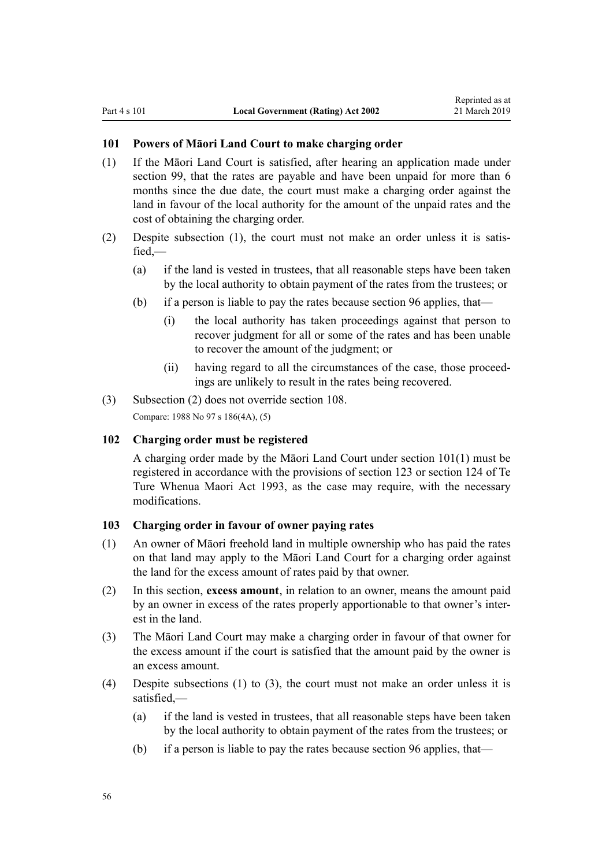### <span id="page-55-0"></span>**101 Powers of Māori Land Court to make charging order**

- (1) If the Māori Land Court is satisfied, after hearing an application made under [section 99,](#page-53-0) that the rates are payable and have been unpaid for more than 6 months since the due date, the court must make a charging order against the land in favour of the local authority for the amount of the unpaid rates and the cost of obtaining the charging order.
- (2) Despite subsection (1), the court must not make an order unless it is satisfied,—
	- (a) if the land is vested in trustees, that all reasonable steps have been taken by the local authority to obtain payment of the rates from the trustees; or
	- (b) if a person is liable to pay the rates because [section 96](#page-52-0) applies, that—
		- (i) the local authority has taken proceedings against that person to recover judgment for all or some of the rates and has been unable to recover the amount of the judgment; or
		- (ii) having regard to all the circumstances of the case, those proceedings are unlikely to result in the rates being recovered.
- (3) Subsection (2) does not override [section 108](#page-57-0).

Compare: 1988 No 97 s 186(4A), (5)

#### **102 Charging order must be registered**

A charging order made by the Māori Land Court under section 101(1) must be registered in accordance with the provisions of [section 123](http://legislation.govt.nz/pdflink.aspx?id=DLM291271) or [section 124](http://legislation.govt.nz/pdflink.aspx?id=DLM291276) of Te Ture Whenua Maori Act 1993, as the case may require, with the necessary modifications.

### **103 Charging order in favour of owner paying rates**

- (1) An owner of Māori freehold land in multiple ownership who has paid the rates on that land may apply to the Māori Land Court for a charging order against the land for the excess amount of rates paid by that owner.
- (2) In this section, **excess amount**, in relation to an owner, means the amount paid by an owner in excess of the rates properly apportionable to that owner's interest in the land.
- (3) The Māori Land Court may make a charging order in favour of that owner for the excess amount if the court is satisfied that the amount paid by the owner is an excess amount.
- (4) Despite subsections (1) to (3), the court must not make an order unless it is satisfied,—
	- (a) if the land is vested in trustees, that all reasonable steps have been taken by the local authority to obtain payment of the rates from the trustees; or
	- (b) if a person is liable to pay the rates because [section 96](#page-52-0) applies, that—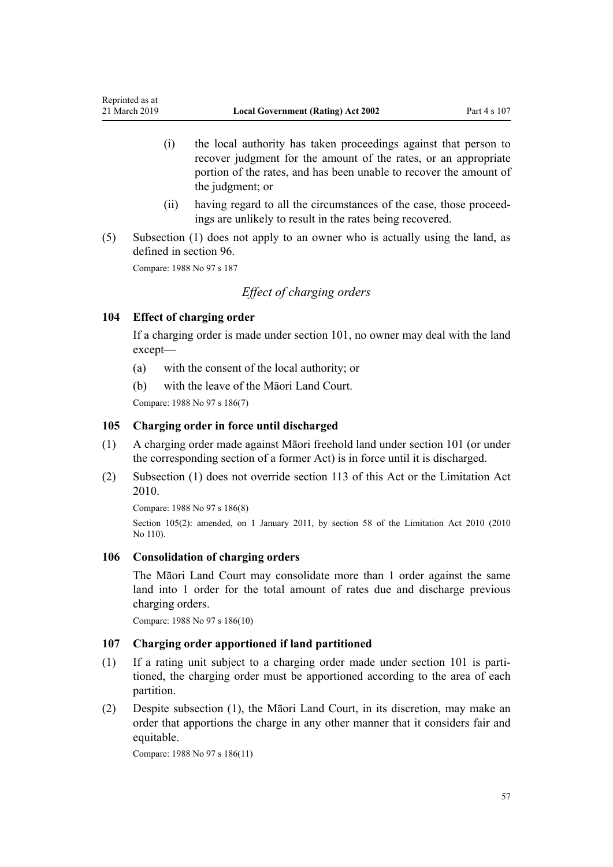- (i) the local authority has taken proceedings against that person to recover judgment for the amount of the rates, or an appropriate portion of the rates, and has been unable to recover the amount of the judgment; or
- (ii) having regard to all the circumstances of the case, those proceedings are unlikely to result in the rates being recovered.
- (5) Subsection (1) does not apply to an owner who is actually using the land, as defined in [section 96](#page-52-0).

Compare: 1988 No 97 s 187

# *Effect of charging orders*

## **104 Effect of charging order**

If a charging order is made under [section 101,](#page-55-0) no owner may deal with the land except—

- (a) with the consent of the local authority; or
- (b) with the leave of the Māori Land Court.

Compare: 1988 No 97 s 186(7)

## **105 Charging order in force until discharged**

- (1) A charging order made against Māori freehold land under [section 101](#page-55-0) (or under the corresponding section of a former Act) is in force until it is discharged.
- (2) Subsection (1) does not override [section 113](#page-58-0) of this Act or the [Limitation Act](http://legislation.govt.nz/pdflink.aspx?id=DLM2033100) [2010](http://legislation.govt.nz/pdflink.aspx?id=DLM2033100).

Compare: 1988 No 97 s 186(8)

Section 105(2): amended, on 1 January 2011, by [section 58](http://legislation.govt.nz/pdflink.aspx?id=DLM2033287) of the Limitation Act 2010 (2010 No 110).

### **106 Consolidation of charging orders**

The Māori Land Court may consolidate more than 1 order against the same land into 1 order for the total amount of rates due and discharge previous charging orders.

Compare: 1988 No 97 s 186(10)

### **107 Charging order apportioned if land partitioned**

- (1) If a rating unit subject to a charging order made under [section 101](#page-55-0) is partitioned, the charging order must be apportioned according to the area of each partition.
- (2) Despite subsection (1), the Māori Land Court, in its discretion, may make an order that apportions the charge in any other manner that it considers fair and equitable.

Compare: 1988 No 97 s 186(11)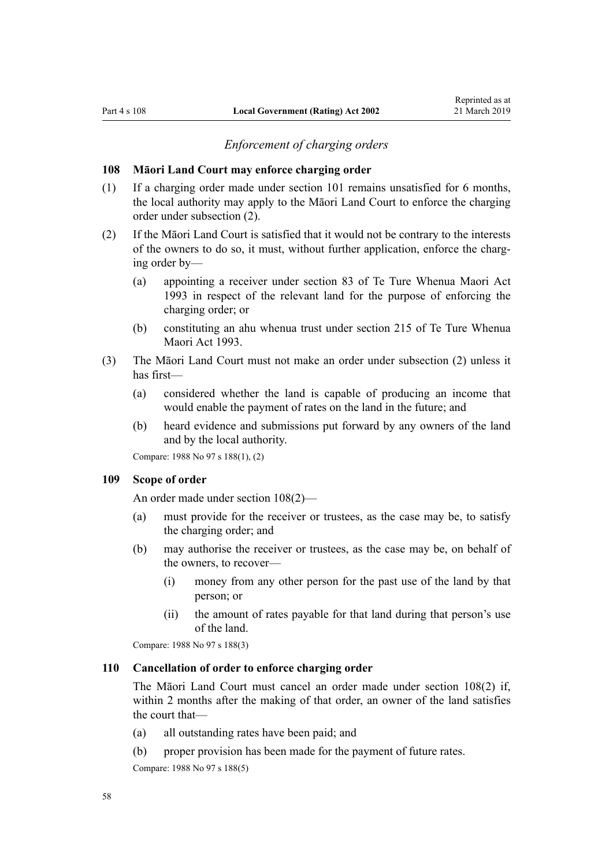### *Enforcement of charging orders*

#### <span id="page-57-0"></span>**108 Māori Land Court may enforce charging order**

- (1) If a charging order made under [section 101](#page-55-0) remains unsatisfied for 6 months, the local authority may apply to the Māori Land Court to enforce the charging order under subsection (2).
- (2) If the Māori Land Court is satisfied that it would not be contrary to the interests of the owners to do so, it must, without further application, enforce the charging order by—
	- (a) appointing a receiver under [section 83](http://legislation.govt.nz/pdflink.aspx?id=DLM290978) of Te Ture Whenua Maori Act 1993 in respect of the relevant land for the purpose of enforcing the charging order; or
	- (b) constituting an ahu whenua trust under [section 215](http://legislation.govt.nz/pdflink.aspx?id=DLM291887) of Te Ture Whenua Maori Act 1993.
- (3) The Māori Land Court must not make an order under subsection (2) unless it has first—
	- (a) considered whether the land is capable of producing an income that would enable the payment of rates on the land in the future; and
	- (b) heard evidence and submissions put forward by any owners of the land and by the local authority.

Compare: 1988 No 97 s 188(1), (2)

#### **109 Scope of order**

An order made under section 108(2)—

- (a) must provide for the receiver or trustees, as the case may be, to satisfy the charging order; and
- (b) may authorise the receiver or trustees, as the case may be, on behalf of the owners, to recover—
	- (i) money from any other person for the past use of the land by that person; or
	- (ii) the amount of rates payable for that land during that person's use of the land.

Compare: 1988 No 97 s 188(3)

#### **110 Cancellation of order to enforce charging order**

The Māori Land Court must cancel an order made under section 108(2) if, within 2 months after the making of that order, an owner of the land satisfies the court that—

- (a) all outstanding rates have been paid; and
- (b) proper provision has been made for the payment of future rates.

Compare: 1988 No 97 s 188(5)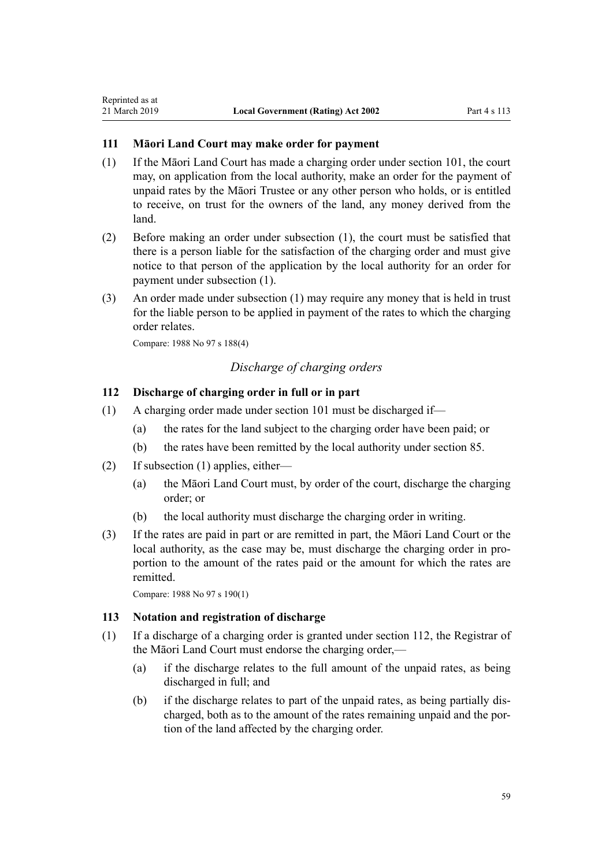### **111 Māori Land Court may make order for payment**

- (1) If the Māori Land Court has made a charging order under [section 101,](#page-55-0) the court may, on application from the local authority, make an order for the payment of unpaid rates by the Māori Trustee or any other person who holds, or is entitled to receive, on trust for the owners of the land, any money derived from the land.
- (2) Before making an order under subsection (1), the court must be satisfied that there is a person liable for the satisfaction of the charging order and must give notice to that person of the application by the local authority for an order for payment under subsection (1).
- (3) An order made under subsection (1) may require any money that is held in trust for the liable person to be applied in payment of the rates to which the charging order relates.

Compare: 1988 No 97 s 188(4)

<span id="page-58-0"></span>Reprinted as at

# *Discharge of charging orders*

# **112 Discharge of charging order in full or in part**

- (1) A charging order made under [section 101](#page-55-0) must be discharged if—
	- (a) the rates for the land subject to the charging order have been paid; or
	- (b) the rates have been remitted by the local authority under [section 85](#page-48-0).
- (2) If subsection (1) applies, either—
	- (a) the Māori Land Court must, by order of the court, discharge the charging order; or
	- (b) the local authority must discharge the charging order in writing.
- (3) If the rates are paid in part or are remitted in part, the Māori Land Court or the local authority, as the case may be, must discharge the charging order in proportion to the amount of the rates paid or the amount for which the rates are remitted.

Compare: 1988 No 97 s 190(1)

### **113 Notation and registration of discharge**

- (1) If a discharge of a charging order is granted under section 112, the Registrar of the Māori Land Court must endorse the charging order,—
	- (a) if the discharge relates to the full amount of the unpaid rates, as being discharged in full; and
	- (b) if the discharge relates to part of the unpaid rates, as being partially discharged, both as to the amount of the rates remaining unpaid and the portion of the land affected by the charging order.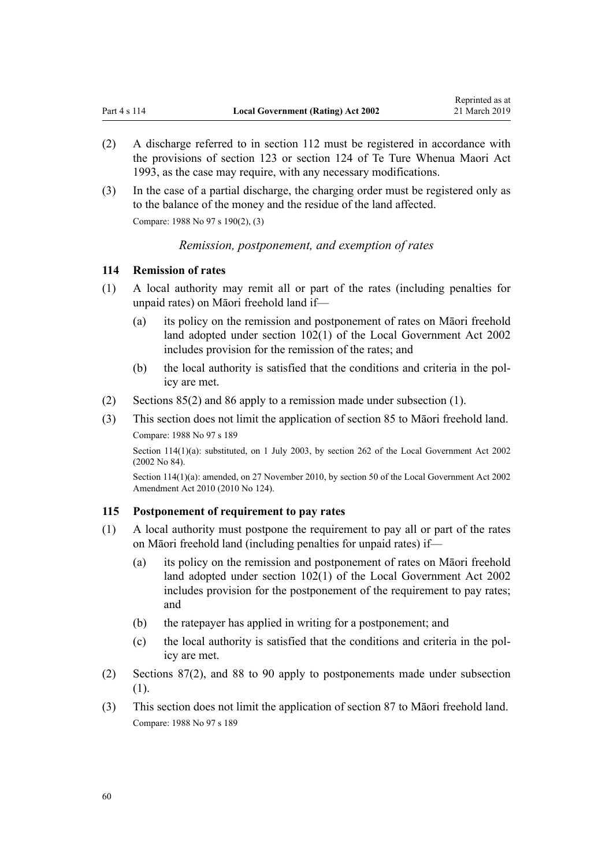- (2) A discharge referred to in [section 112](#page-58-0) must be registered in accordance with the provisions of [section 123](http://legislation.govt.nz/pdflink.aspx?id=DLM291271) or [section 124](http://legislation.govt.nz/pdflink.aspx?id=DLM291276) of Te Ture Whenua Maori Act 1993, as the case may require, with any necessary modifications.
- (3) In the case of a partial discharge, the charging order must be registered only as to the balance of the money and the residue of the land affected.

Compare: 1988 No 97 s 190(2), (3)

### *Remission, postponement, and exemption of rates*

### **114 Remission of rates**

- (1) A local authority may remit all or part of the rates (including penalties for unpaid rates) on Māori freehold land if—
	- (a) its policy on the remission and postponement of rates on Māori freehold land adopted under [section 102\(1\)](http://legislation.govt.nz/pdflink.aspx?id=DLM172359) of the Local Government Act 2002 includes provision for the remission of the rates; and
	- (b) the local authority is satisfied that the conditions and criteria in the policy are met.
- (2) [Sections 85\(2\)](#page-48-0) and [86](#page-48-0) apply to a remission made under subsection (1).
- (3) This section does not limit the application of [section 85](#page-48-0) to Māori freehold land.

Compare: 1988 No 97 s 189

Section 114(1)(a): substituted, on 1 July 2003, by [section 262](http://legislation.govt.nz/pdflink.aspx?id=DLM174088) of the Local Government Act 2002 (2002 No 84).

Section 114(1)(a): amended, on 27 November 2010, by [section 50](http://legislation.govt.nz/pdflink.aspx?id=DLM2922485) of the Local Government Act 2002 Amendment Act 2010 (2010 No 124).

#### **115 Postponement of requirement to pay rates**

- (1) A local authority must postpone the requirement to pay all or part of the rates on Māori freehold land (including penalties for unpaid rates) if—
	- (a) its policy on the remission and postponement of rates on Māori freehold land adopted under [section 102\(1\)](http://legislation.govt.nz/pdflink.aspx?id=DLM172359) of the Local Government Act 2002 includes provision for the postponement of the requirement to pay rates; and
	- (b) the ratepayer has applied in writing for a postponement; and
	- (c) the local authority is satisfied that the conditions and criteria in the policy are met.
- (2) [Sections 87\(2\)](#page-48-0), and [88 to 90](#page-49-0) apply to postponements made under subsection (1).
- (3) This section does not limit the application of [section 87](#page-48-0) to Māori freehold land. Compare: 1988 No 97 s 189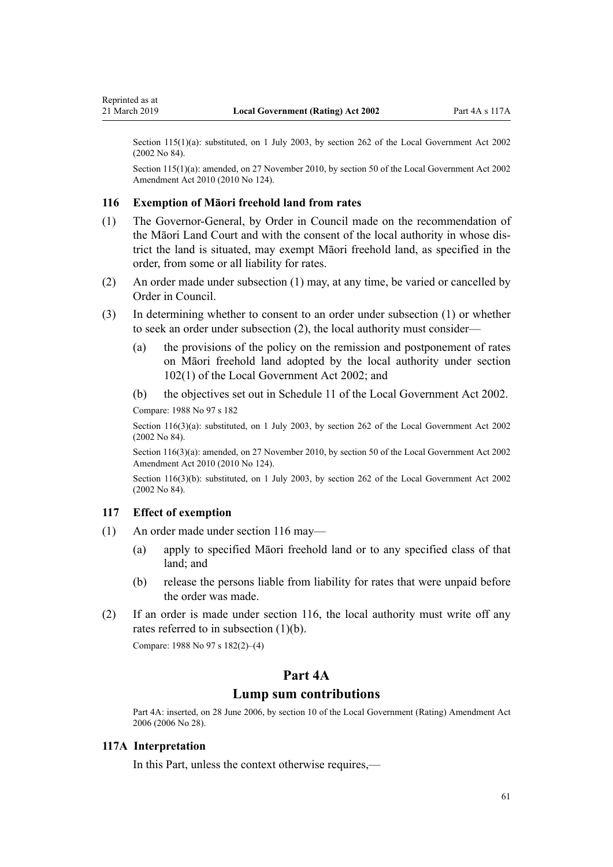Section 115(1)(a): substituted, on 1 July 2003, by [section 262](http://legislation.govt.nz/pdflink.aspx?id=DLM174088) of the Local Government Act 2002 (2002 No 84).

Section 115(1)(a): amended, on 27 November 2010, by [section 50](http://legislation.govt.nz/pdflink.aspx?id=DLM2922485) of the Local Government Act 2002 Amendment Act 2010 (2010 No 124).

#### **116 Exemption of Māori freehold land from rates**

- (1) The Governor-General, by Order in Council made on the recommendation of the Māori Land Court and with the consent of the local authority in whose district the land is situated, may exempt Māori freehold land, as specified in the order, from some or all liability for rates.
- (2) An order made under subsection (1) may, at any time, be varied or cancelled by Order in Council.
- (3) In determining whether to consent to an order under subsection (1) or whether to seek an order under subsection (2), the local authority must consider—
	- (a) the provisions of the policy on the remission and postponement of rates on Māori freehold land adopted by the local authority under [section](http://legislation.govt.nz/pdflink.aspx?id=DLM172359) [102\(1\)](http://legislation.govt.nz/pdflink.aspx?id=DLM172359) of the Local Government Act 2002; and
	- (b) the objectives set out in [Schedule 11](http://legislation.govt.nz/pdflink.aspx?id=DLM176082) of the Local Government Act 2002.

Compare: 1988 No 97 s 182

Section 116(3)(a): substituted, on 1 July 2003, by [section 262](http://legislation.govt.nz/pdflink.aspx?id=DLM174088) of the Local Government Act 2002 (2002 No 84).

Section 116(3)(a): amended, on 27 November 2010, by [section 50](http://legislation.govt.nz/pdflink.aspx?id=DLM2922485) of the Local Government Act 2002 Amendment Act 2010 (2010 No 124).

Section 116(3)(b): substituted, on 1 July 2003, by [section 262](http://legislation.govt.nz/pdflink.aspx?id=DLM174088) of the Local Government Act 2002 (2002 No 84).

### **117 Effect of exemption**

- (1) An order made under section 116 may—
	- (a) apply to specified Māori freehold land or to any specified class of that land; and
	- (b) release the persons liable from liability for rates that were unpaid before the order was made.
- (2) If an order is made under section 116, the local authority must write off any rates referred to in subsection (1)(b).

Compare: 1988 No 97 s 182(2)–(4)

# **Part 4A**

# **Lump sum contributions**

Part 4A: inserted, on 28 June 2006, by [section 10](http://legislation.govt.nz/pdflink.aspx?id=DLM374314) of the Local Government (Rating) Amendment Act 2006 (2006 No 28).

#### **117A Interpretation**

In this Part, unless the context otherwise requires,—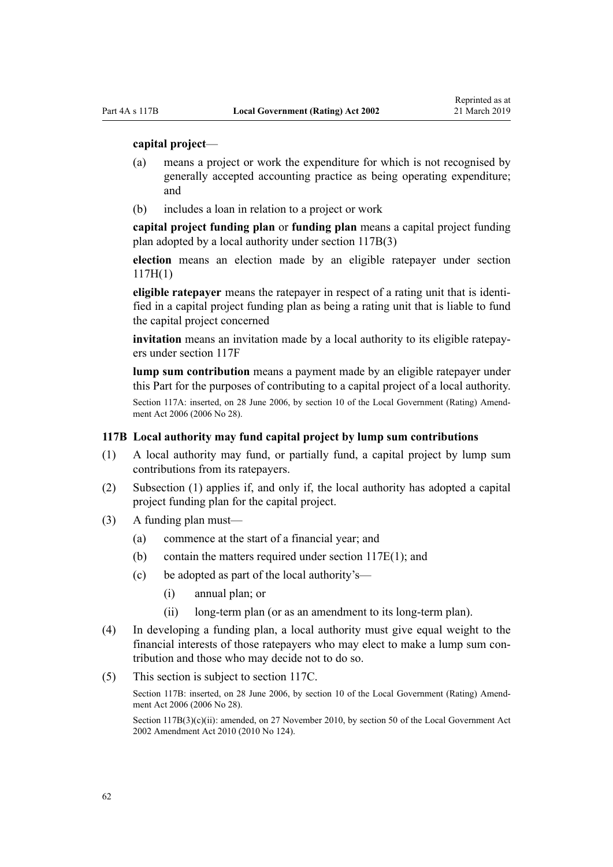#### <span id="page-61-0"></span>**capital project**—

- (a) means a project or work the expenditure for which is not recognised by generally accepted accounting practice as being operating expenditure; and
- (b) includes a loan in relation to a project or work

**capital project funding plan** or **funding plan** means a capital project funding plan adopted by a local authority under section 117B(3)

**election** means an election made by an eligible ratepayer under [section](#page-63-0) [117H\(1\)](#page-63-0)

**eligible ratepayer** means the ratepayer in respect of a rating unit that is identified in a capital project funding plan as being a rating unit that is liable to fund the capital project concerned

**invitation** means an invitation made by a local authority to its eligible ratepayers under [section 117F](#page-62-0)

**lump sum contribution** means a payment made by an eligible ratepayer under this Part for the purposes of contributing to a capital project of a local authority.

Section 117A: inserted, on 28 June 2006, by [section 10](http://legislation.govt.nz/pdflink.aspx?id=DLM374314) of the Local Government (Rating) Amendment Act 2006 (2006 No 28).

### **117B Local authority may fund capital project by lump sum contributions**

- (1) A local authority may fund, or partially fund, a capital project by lump sum contributions from its ratepayers.
- (2) Subsection (1) applies if, and only if, the local authority has adopted a capital project funding plan for the capital project.
- (3) A funding plan must—
	- (a) commence at the start of a financial year; and
	- (b) contain the matters required under [section 117E\(1\);](#page-62-0) and
	- (c) be adopted as part of the local authority's—
		- (i) annual plan; or
		- (ii) long-term plan (or as an amendment to its long-term plan).
- (4) In developing a funding plan, a local authority must give equal weight to the financial interests of those ratepayers who may elect to make a lump sum contribution and those who may decide not to do so.
- (5) This section is subject to [section 117C.](#page-62-0)

Section 117B: inserted, on 28 June 2006, by [section 10](http://legislation.govt.nz/pdflink.aspx?id=DLM374314) of the Local Government (Rating) Amendment Act 2006 (2006 No 28).

Section  $117B(3)(c)(ii)$ : amended, on 27 November 2010, by [section 50](http://legislation.govt.nz/pdflink.aspx?id=DLM2922485) of the Local Government Act 2002 Amendment Act 2010 (2010 No 124).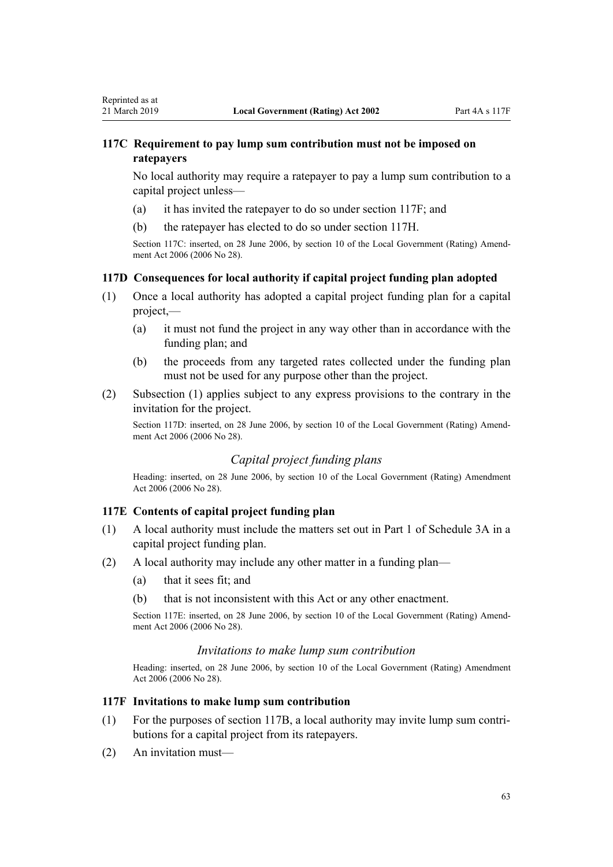# <span id="page-62-0"></span>**117C Requirement to pay lump sum contribution must not be imposed on ratepayers**

No local authority may require a ratepayer to pay a lump sum contribution to a capital project unless—

- (a) it has invited the ratepayer to do so under section 117F; and
- (b) the ratepayer has elected to do so under [section 117H](#page-63-0).

Section 117C: inserted, on 28 June 2006, by [section 10](http://legislation.govt.nz/pdflink.aspx?id=DLM374314) of the Local Government (Rating) Amendment Act 2006 (2006 No 28).

### **117D Consequences for local authority if capital project funding plan adopted**

- (1) Once a local authority has adopted a capital project funding plan for a capital project,—
	- (a) it must not fund the project in any way other than in accordance with the funding plan; and
	- (b) the proceeds from any targeted rates collected under the funding plan must not be used for any purpose other than the project.
- (2) Subsection (1) applies subject to any express provisions to the contrary in the invitation for the project.

Section 117D: inserted, on 28 June 2006, by [section 10](http://legislation.govt.nz/pdflink.aspx?id=DLM374314) of the Local Government (Rating) Amendment Act 2006 (2006 No 28).

# *Capital project funding plans*

Heading: inserted, on 28 June 2006, by [section 10](http://legislation.govt.nz/pdflink.aspx?id=DLM374314) of the Local Government (Rating) Amendment Act 2006 (2006 No 28).

### **117E Contents of capital project funding plan**

- (1) A local authority must include the matters set out in [Part 1](#page-88-0) of Schedule 3A in a capital project funding plan.
- (2) A local authority may include any other matter in a funding plan—
	- (a) that it sees fit; and
	- (b) that is not inconsistent with this Act or any other enactment.

Section 117E: inserted, on 28 June 2006, by [section 10](http://legislation.govt.nz/pdflink.aspx?id=DLM374314) of the Local Government (Rating) Amendment Act 2006 (2006 No 28).

### *Invitations to make lump sum contribution*

Heading: inserted, on 28 June 2006, by [section 10](http://legislation.govt.nz/pdflink.aspx?id=DLM374314) of the Local Government (Rating) Amendment Act 2006 (2006 No 28).

#### **117F Invitations to make lump sum contribution**

- (1) For the purposes of [section 117B](#page-61-0), a local authority may invite lump sum contributions for a capital project from its ratepayers.
- (2) An invitation must—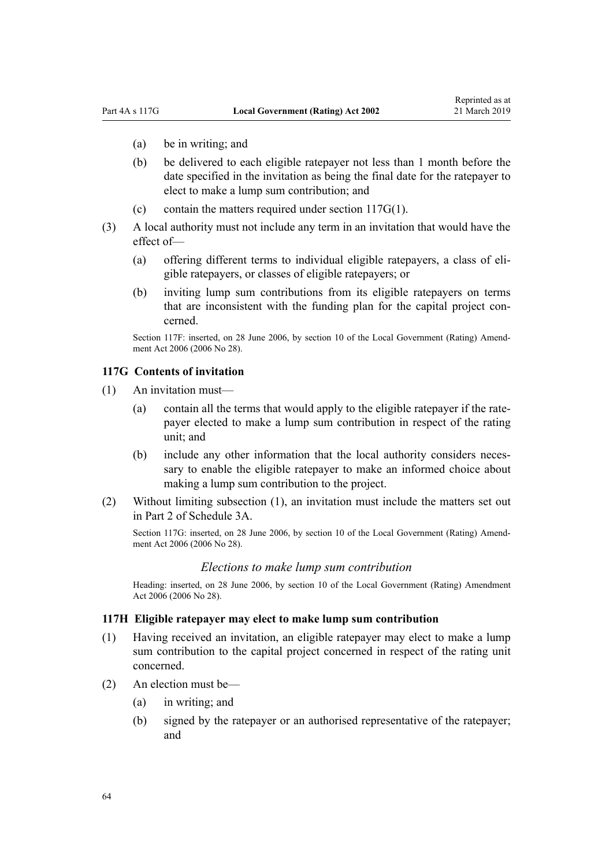- <span id="page-63-0"></span>(a) be in writing; and
- (b) be delivered to each eligible ratepayer not less than 1 month before the date specified in the invitation as being the final date for the ratepayer to elect to make a lump sum contribution; and
- (c) contain the matters required under section  $117G(1)$ .
- (3) A local authority must not include any term in an invitation that would have the effect of—
	- (a) offering different terms to individual eligible ratepayers, a class of eligible ratepayers, or classes of eligible ratepayers; or
	- (b) inviting lump sum contributions from its eligible ratepayers on terms that are inconsistent with the funding plan for the capital project concerned.

Section 117F: inserted, on 28 June 2006, by [section 10](http://legislation.govt.nz/pdflink.aspx?id=DLM374314) of the Local Government (Rating) Amendment Act 2006 (2006 No 28).

### **117G Contents of invitation**

- (1) An invitation must—
	- (a) contain all the terms that would apply to the eligible ratepayer if the ratepayer elected to make a lump sum contribution in respect of the rating unit; and
	- (b) include any other information that the local authority considers necessary to enable the eligible ratepayer to make an informed choice about making a lump sum contribution to the project.
- (2) Without limiting subsection (1), an invitation must include the matters set out in [Part 2](#page-89-0) of Schedule 3A.

Section 117G: inserted, on 28 June 2006, by [section 10](http://legislation.govt.nz/pdflink.aspx?id=DLM374314) of the Local Government (Rating) Amendment Act 2006 (2006 No 28).

#### *Elections to make lump sum contribution*

Heading: inserted, on 28 June 2006, by [section 10](http://legislation.govt.nz/pdflink.aspx?id=DLM374314) of the Local Government (Rating) Amendment Act 2006 (2006 No 28).

### **117H Eligible ratepayer may elect to make lump sum contribution**

- (1) Having received an invitation, an eligible ratepayer may elect to make a lump sum contribution to the capital project concerned in respect of the rating unit concerned.
- (2) An election must be—
	- (a) in writing; and
	- (b) signed by the ratepayer or an authorised representative of the ratepayer; and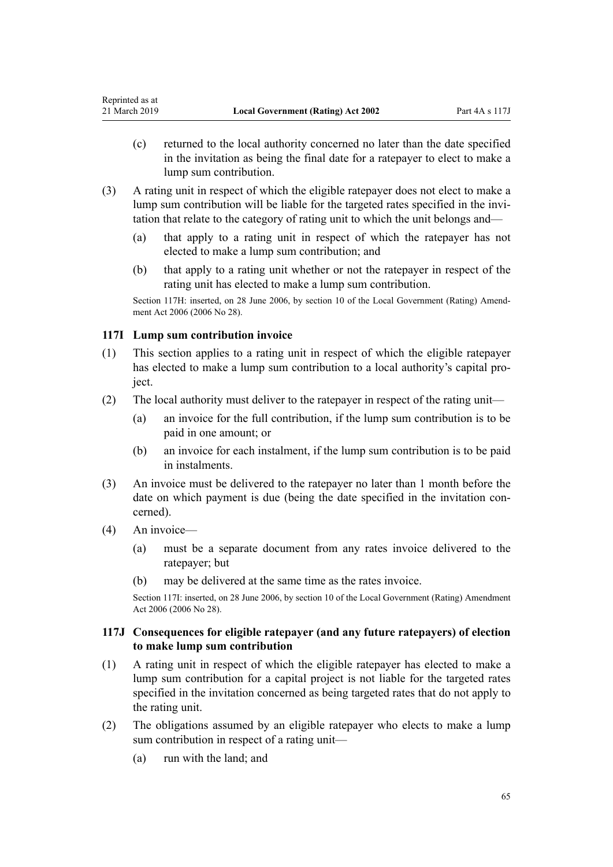- <span id="page-64-0"></span>(c) returned to the local authority concerned no later than the date specified in the invitation as being the final date for a ratepayer to elect to make a lump sum contribution.
- (3) A rating unit in respect of which the eligible ratepayer does not elect to make a lump sum contribution will be liable for the targeted rates specified in the invitation that relate to the category of rating unit to which the unit belongs and—
	- (a) that apply to a rating unit in respect of which the ratepayer has not elected to make a lump sum contribution; and
	- (b) that apply to a rating unit whether or not the ratepayer in respect of the rating unit has elected to make a lump sum contribution.

Section 117H: inserted, on 28 June 2006, by [section 10](http://legislation.govt.nz/pdflink.aspx?id=DLM374314) of the Local Government (Rating) Amendment Act 2006 (2006 No 28).

## **117I Lump sum contribution invoice**

- (1) This section applies to a rating unit in respect of which the eligible ratepayer has elected to make a lump sum contribution to a local authority's capital project.
- (2) The local authority must deliver to the ratepayer in respect of the rating unit—
	- (a) an invoice for the full contribution, if the lump sum contribution is to be paid in one amount; or
	- (b) an invoice for each instalment, if the lump sum contribution is to be paid in instalments.
- (3) An invoice must be delivered to the ratepayer no later than 1 month before the date on which payment is due (being the date specified in the invitation concerned).
- (4) An invoice—
	- (a) must be a separate document from any rates invoice delivered to the ratepayer; but
	- (b) may be delivered at the same time as the rates invoice.

Section 117I: inserted, on 28 June 2006, by [section 10](http://legislation.govt.nz/pdflink.aspx?id=DLM374314) of the Local Government (Rating) Amendment Act 2006 (2006 No 28).

## **117J Consequences for eligible ratepayer (and any future ratepayers) of election to make lump sum contribution**

- (1) A rating unit in respect of which the eligible ratepayer has elected to make a lump sum contribution for a capital project is not liable for the targeted rates specified in the invitation concerned as being targeted rates that do not apply to the rating unit.
- (2) The obligations assumed by an eligible ratepayer who elects to make a lump sum contribution in respect of a rating unit—
	- (a) run with the land; and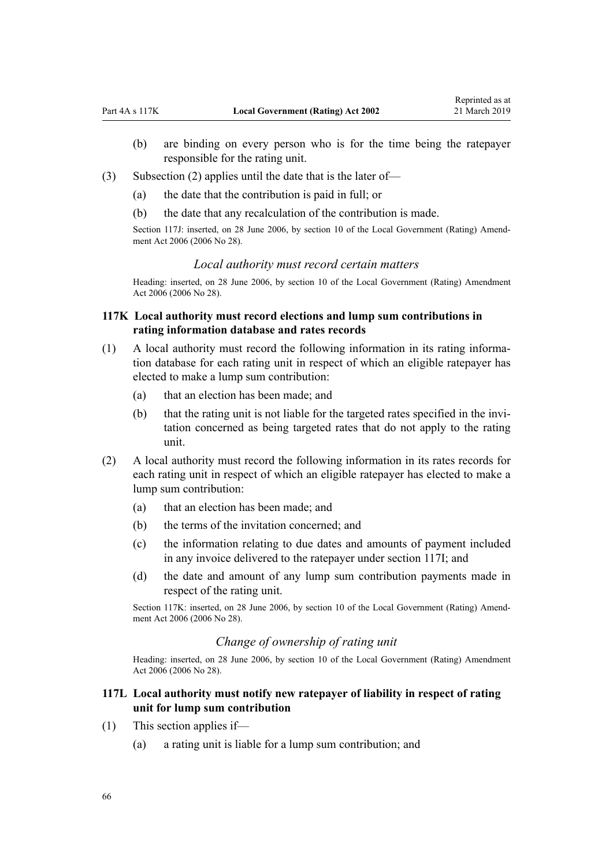- <span id="page-65-0"></span>(b) are binding on every person who is for the time being the ratepayer responsible for the rating unit.
- (3) Subsection (2) applies until the date that is the later of—
	- (a) the date that the contribution is paid in full; or
	- (b) the date that any recalculation of the contribution is made.

Section 117J: inserted, on 28 June 2006, by [section 10](http://legislation.govt.nz/pdflink.aspx?id=DLM374314) of the Local Government (Rating) Amendment Act 2006 (2006 No 28).

### *Local authority must record certain matters*

Heading: inserted, on 28 June 2006, by [section 10](http://legislation.govt.nz/pdflink.aspx?id=DLM374314) of the Local Government (Rating) Amendment Act 2006 (2006 No 28).

# **117K Local authority must record elections and lump sum contributions in rating information database and rates records**

- (1) A local authority must record the following information in its rating information database for each rating unit in respect of which an eligible ratepayer has elected to make a lump sum contribution:
	- (a) that an election has been made; and
	- (b) that the rating unit is not liable for the targeted rates specified in the invitation concerned as being targeted rates that do not apply to the rating unit.
- (2) A local authority must record the following information in its rates records for each rating unit in respect of which an eligible ratepayer has elected to make a lump sum contribution:
	- (a) that an election has been made; and
	- (b) the terms of the invitation concerned; and
	- (c) the information relating to due dates and amounts of payment included in any invoice delivered to the ratepayer under [section 117I](#page-64-0); and
	- (d) the date and amount of any lump sum contribution payments made in respect of the rating unit.

Section 117K: inserted, on 28 June 2006, by [section 10](http://legislation.govt.nz/pdflink.aspx?id=DLM374314) of the Local Government (Rating) Amendment Act 2006 (2006 No 28).

### *Change of ownership of rating unit*

Heading: inserted, on 28 June 2006, by [section 10](http://legislation.govt.nz/pdflink.aspx?id=DLM374314) of the Local Government (Rating) Amendment Act 2006 (2006 No 28).

# **117L Local authority must notify new ratepayer of liability in respect of rating unit for lump sum contribution**

- (1) This section applies if—
	- (a) a rating unit is liable for a lump sum contribution; and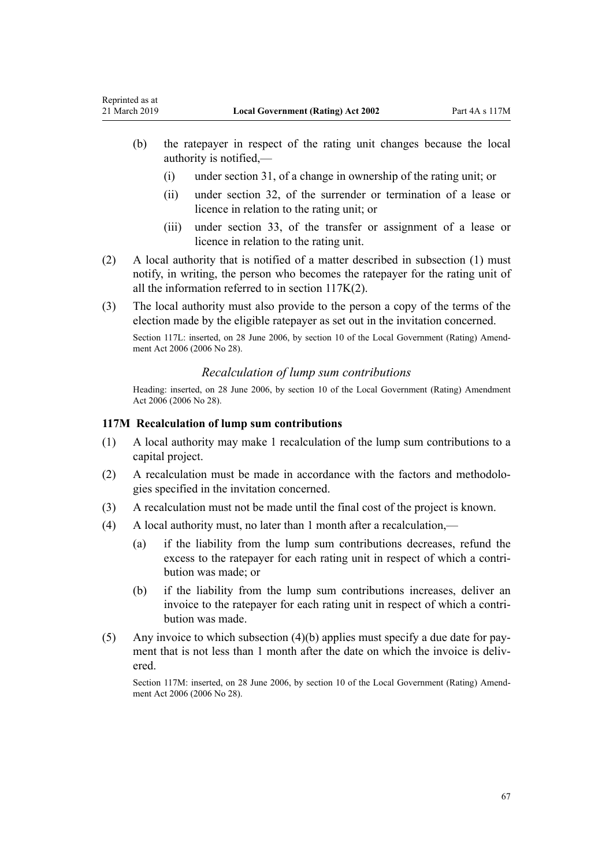<span id="page-66-0"></span>Reprinted as at

- (b) the ratepayer in respect of the rating unit changes because the local authority is notified,—
	- (i) under [section 31](#page-25-0), of a change in ownership of the rating unit; or
	- (ii) under [section 32,](#page-25-0) of the surrender or termination of a lease or licence in relation to the rating unit; or
	- (iii) under [section 33,](#page-25-0) of the transfer or assignment of a lease or licence in relation to the rating unit.
- (2) A local authority that is notified of a matter described in subsection (1) must notify, in writing, the person who becomes the ratepayer for the rating unit of all the information referred to in [section 117K\(2\).](#page-65-0)
- (3) The local authority must also provide to the person a copy of the terms of the election made by the eligible ratepayer as set out in the invitation concerned.

Section 117L: inserted, on 28 June 2006, by [section 10](http://legislation.govt.nz/pdflink.aspx?id=DLM374314) of the Local Government (Rating) Amendment Act 2006 (2006 No 28).

### *Recalculation of lump sum contributions*

Heading: inserted, on 28 June 2006, by [section 10](http://legislation.govt.nz/pdflink.aspx?id=DLM374314) of the Local Government (Rating) Amendment Act 2006 (2006 No 28).

### **117M Recalculation of lump sum contributions**

- (1) A local authority may make 1 recalculation of the lump sum contributions to a capital project.
- (2) A recalculation must be made in accordance with the factors and methodologies specified in the invitation concerned.
- (3) A recalculation must not be made until the final cost of the project is known.
- (4) A local authority must, no later than 1 month after a recalculation,—
	- (a) if the liability from the lump sum contributions decreases, refund the excess to the ratepayer for each rating unit in respect of which a contribution was made; or
	- (b) if the liability from the lump sum contributions increases, deliver an invoice to the ratepayer for each rating unit in respect of which a contribution was made.
- (5) Any invoice to which subsection (4)(b) applies must specify a due date for payment that is not less than 1 month after the date on which the invoice is delivered.

Section 117M: inserted, on 28 June 2006, by [section 10](http://legislation.govt.nz/pdflink.aspx?id=DLM374314) of the Local Government (Rating) Amendment Act 2006 (2006 No 28).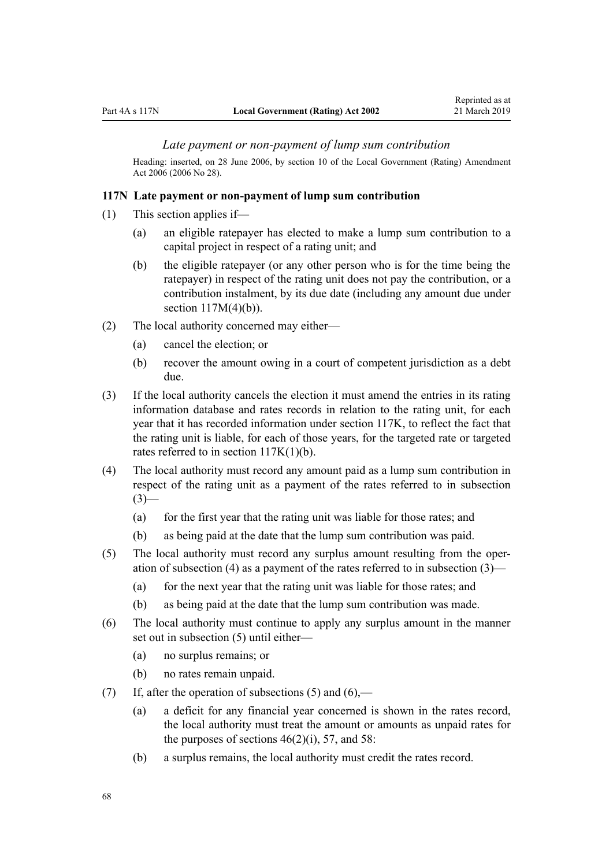### *Late payment or non-payment of lump sum contribution*

Heading: inserted, on 28 June 2006, by [section 10](http://legislation.govt.nz/pdflink.aspx?id=DLM374314) of the Local Government (Rating) Amendment Act 2006 (2006 No 28).

#### **117N Late payment or non-payment of lump sum contribution**

- (1) This section applies if—
	- (a) an eligible ratepayer has elected to make a lump sum contribution to a capital project in respect of a rating unit; and
	- (b) the eligible ratepayer (or any other person who is for the time being the ratepayer) in respect of the rating unit does not pay the contribution, or a contribution instalment, by its due date (including any amount due under section  $117M(4)(b)$ ).
- (2) The local authority concerned may either—
	- (a) cancel the election; or
	- (b) recover the amount owing in a court of competent jurisdiction as a debt due.
- (3) If the local authority cancels the election it must amend the entries in its rating information database and rates records in relation to the rating unit, for each year that it has recorded information under [section 117K,](#page-65-0) to reflect the fact that the rating unit is liable, for each of those years, for the targeted rate or targeted rates referred to in [section 117K\(1\)\(b\)](#page-65-0).
- (4) The local authority must record any amount paid as a lump sum contribution in respect of the rating unit as a payment of the rates referred to in subsection  $(3)$ —
	- (a) for the first year that the rating unit was liable for those rates; and
	- (b) as being paid at the date that the lump sum contribution was paid.
- (5) The local authority must record any surplus amount resulting from the operation of subsection (4) as a payment of the rates referred to in subsection (3)—
	- (a) for the next year that the rating unit was liable for those rates; and
	- (b) as being paid at the date that the lump sum contribution was made.
- (6) The local authority must continue to apply any surplus amount in the manner set out in subsection (5) until either—
	- (a) no surplus remains; or
	- (b) no rates remain unpaid.
- (7) If, after the operation of subsections (5) and  $(6)$ ,—
	- (a) a deficit for any financial year concerned is shown in the rates record, the local authority must treat the amount or amounts as unpaid rates for the purposes of sections  $46(2)(i)$ , [57](#page-37-0), and [58](#page-37-0):
	- (b) a surplus remains, the local authority must credit the rates record.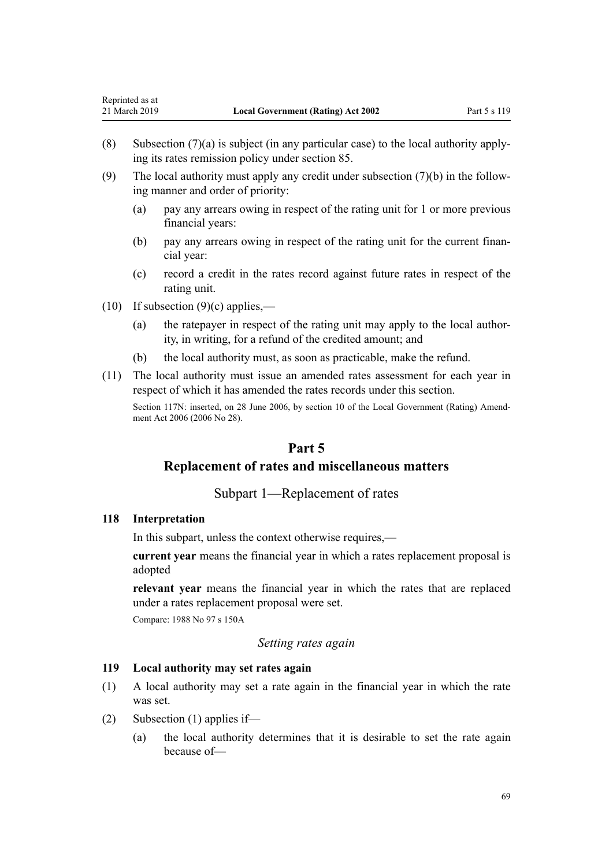- (8) Subsection (7)(a) is subject (in any particular case) to the local authority applying its rates remission policy under [section 85](#page-48-0).
- (9) The local authority must apply any credit under subsection (7)(b) in the following manner and order of priority:
	- (a) pay any arrears owing in respect of the rating unit for 1 or more previous financial years:
	- (b) pay any arrears owing in respect of the rating unit for the current financial year:
	- (c) record a credit in the rates record against future rates in respect of the rating unit.
- $(10)$  If subsection  $(9)(c)$  applies,—
	- (a) the ratepayer in respect of the rating unit may apply to the local authority, in writing, for a refund of the credited amount; and
	- (b) the local authority must, as soon as practicable, make the refund.
- (11) The local authority must issue an amended rates assessment for each year in respect of which it has amended the rates records under this section.

Section 117N: inserted, on 28 June 2006, by [section 10](http://legislation.govt.nz/pdflink.aspx?id=DLM374314) of the Local Government (Rating) Amendment Act 2006 (2006 No 28).

# **Part 5**

# **Replacement of rates and miscellaneous matters**

### Subpart 1—Replacement of rates

#### **118 Interpretation**

In this subpart, unless the context otherwise requires,—

**current year** means the financial year in which a rates replacement proposal is adopted

**relevant year** means the financial year in which the rates that are replaced under a rates replacement proposal were set.

Compare: 1988 No 97 s 150A

#### *Setting rates again*

#### **119 Local authority may set rates again**

- (1) A local authority may set a rate again in the financial year in which the rate was set.
- (2) Subsection (1) applies if—
	- (a) the local authority determines that it is desirable to set the rate again because of—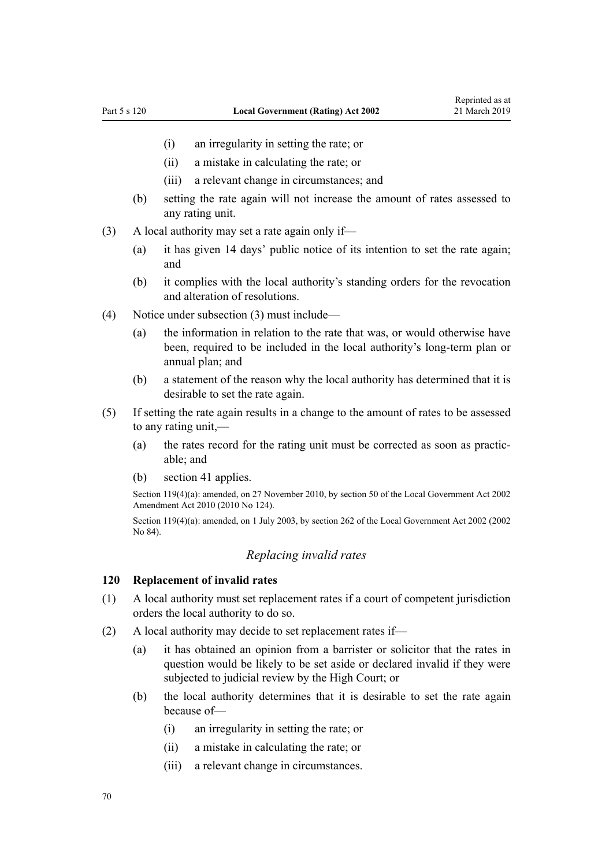- (i) an irregularity in setting the rate; or
- (ii) a mistake in calculating the rate; or
- (iii) a relevant change in circumstances; and
- (b) setting the rate again will not increase the amount of rates assessed to any rating unit.
- (3) A local authority may set a rate again only if—
	- (a) it has given 14 days' public notice of its intention to set the rate again; and
	- (b) it complies with the local authority's standing orders for the revocation and alteration of resolutions.
- (4) Notice under subsection (3) must include—
	- (a) the information in relation to the rate that was, or would otherwise have been, required to be included in the local authority's long-term plan or annual plan; and
	- (b) a statement of the reason why the local authority has determined that it is desirable to set the rate again.
- (5) If setting the rate again results in a change to the amount of rates to be assessed to any rating unit,—
	- (a) the rates record for the rating unit must be corrected as soon as practicable; and
	- (b) [section 41](#page-28-0) applies.

Section 119(4)(a): amended, on 27 November 2010, by [section 50](http://legislation.govt.nz/pdflink.aspx?id=DLM2922485) of the Local Government Act 2002 Amendment Act 2010 (2010 No 124).

Section 119(4)(a): amended, on 1 July 2003, by [section 262](http://legislation.govt.nz/pdflink.aspx?id=DLM174088) of the Local Government Act 2002 (2002) No 84).

### *Replacing invalid rates*

### **120 Replacement of invalid rates**

- (1) A local authority must set replacement rates if a court of competent jurisdiction orders the local authority to do so.
- (2) A local authority may decide to set replacement rates if—
	- (a) it has obtained an opinion from a barrister or solicitor that the rates in question would be likely to be set aside or declared invalid if they were subjected to judicial review by the High Court; or
	- (b) the local authority determines that it is desirable to set the rate again because of—
		- (i) an irregularity in setting the rate; or
		- (ii) a mistake in calculating the rate; or
		- (iii) a relevant change in circumstances.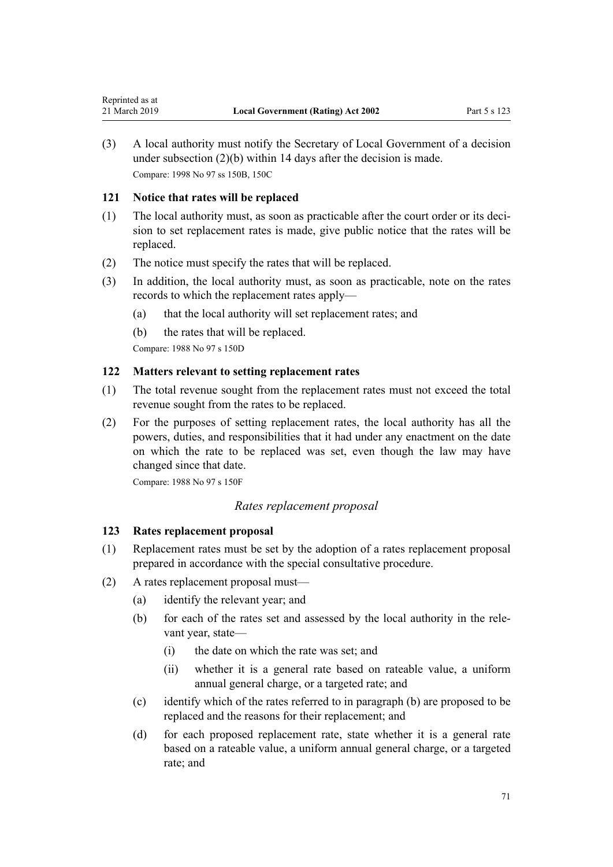(3) A local authority must notify the Secretary of Local Government of a decision under subsection (2)(b) within 14 days after the decision is made. Compare: 1998 No 97 ss 150B, 150C

## **121 Notice that rates will be replaced**

- (1) The local authority must, as soon as practicable after the court order or its decision to set replacement rates is made, give public notice that the rates will be replaced.
- (2) The notice must specify the rates that will be replaced.
- (3) In addition, the local authority must, as soon as practicable, note on the rates records to which the replacement rates apply—
	- (a) that the local authority will set replacement rates; and
	- (b) the rates that will be replaced.

Compare: 1988 No 97 s 150D

### **122 Matters relevant to setting replacement rates**

- (1) The total revenue sought from the replacement rates must not exceed the total revenue sought from the rates to be replaced.
- (2) For the purposes of setting replacement rates, the local authority has all the powers, duties, and responsibilities that it had under any enactment on the date on which the rate to be replaced was set, even though the law may have changed since that date.

Compare: 1988 No 97 s 150F

### *Rates replacement proposal*

# **123 Rates replacement proposal**

- (1) Replacement rates must be set by the adoption of a rates replacement proposal prepared in accordance with the special consultative procedure.
- (2) A rates replacement proposal must—
	- (a) identify the relevant year; and
	- (b) for each of the rates set and assessed by the local authority in the relevant year, state—
		- (i) the date on which the rate was set; and
		- (ii) whether it is a general rate based on rateable value, a uniform annual general charge, or a targeted rate; and
	- (c) identify which of the rates referred to in paragraph (b) are proposed to be replaced and the reasons for their replacement; and
	- (d) for each proposed replacement rate, state whether it is a general rate based on a rateable value, a uniform annual general charge, or a targeted rate; and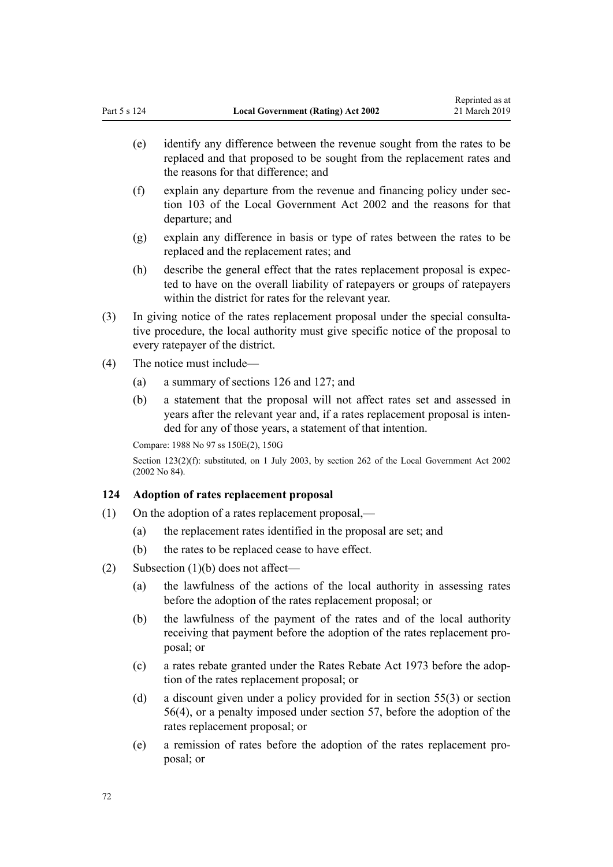- (e) identify any difference between the revenue sought from the rates to be replaced and that proposed to be sought from the replacement rates and the reasons for that difference; and
- (f) explain any departure from the revenue and financing policy under [sec](http://legislation.govt.nz/pdflink.aspx?id=DLM172360)[tion 103](http://legislation.govt.nz/pdflink.aspx?id=DLM172360) of the Local Government Act 2002 and the reasons for that departure; and
- (g) explain any difference in basis or type of rates between the rates to be replaced and the replacement rates; and
- (h) describe the general effect that the rates replacement proposal is expected to have on the overall liability of ratepayers or groups of ratepayers within the district for rates for the relevant year.
- (3) In giving notice of the rates replacement proposal under the special consultative procedure, the local authority must give specific notice of the proposal to every ratepayer of the district.
- (4) The notice must include—
	- (a) a summary of [sections 126](#page-72-0) and [127](#page-73-0); and
	- (b) a statement that the proposal will not affect rates set and assessed in years after the relevant year and, if a rates replacement proposal is intended for any of those years, a statement of that intention.

Compare: 1988 No 97 ss 150E(2), 150G

Section 123(2)(f): substituted, on 1 July 2003, by [section 262](http://legislation.govt.nz/pdflink.aspx?id=DLM174088) of the Local Government Act 2002 (2002 No 84).

### **124 Adoption of rates replacement proposal**

- (1) On the adoption of a rates replacement proposal,—
	- (a) the replacement rates identified in the proposal are set; and
	- (b) the rates to be replaced cease to have effect.
- (2) Subsection (1)(b) does not affect—
	- (a) the lawfulness of the actions of the local authority in assessing rates before the adoption of the rates replacement proposal; or
	- (b) the lawfulness of the payment of the rates and of the local authority receiving that payment before the adoption of the rates replacement proposal; or
	- (c) a rates rebate granted under the [Rates Rebate Act 1973](http://legislation.govt.nz/pdflink.aspx?id=DLM409295) before the adoption of the rates replacement proposal; or
	- (d) a discount given under a policy provided for in [section 55\(3\)](#page-36-0) or [section](#page-36-0) [56\(4\)](#page-36-0), or a penalty imposed under [section 57,](#page-37-0) before the adoption of the rates replacement proposal; or
	- (e) a remission of rates before the adoption of the rates replacement proposal; or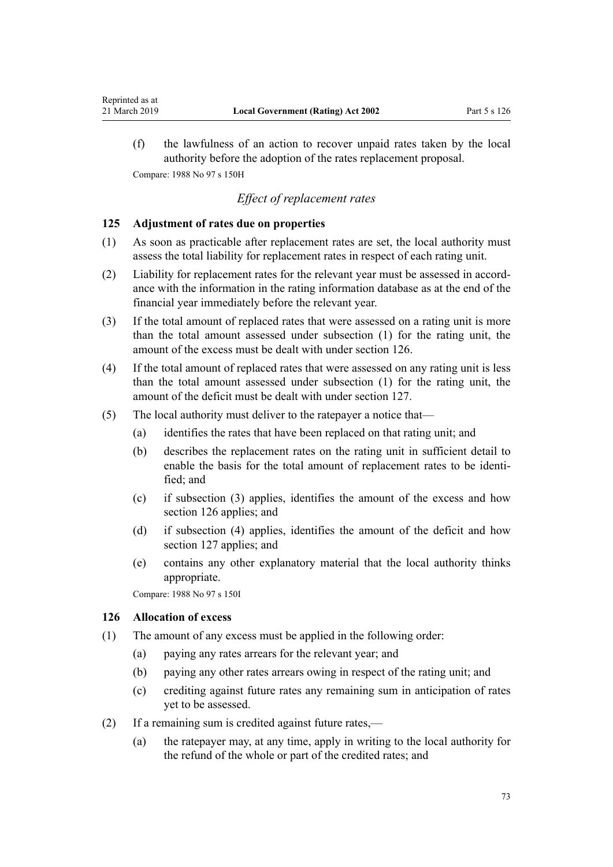(f) the lawfulness of an action to recover unpaid rates taken by the local authority before the adoption of the rates replacement proposal. Compare: 1988 No 97 s 150H

### *Effect of replacement rates*

#### **125 Adjustment of rates due on properties**

<span id="page-72-0"></span>Reprinted as at

- (1) As soon as practicable after replacement rates are set, the local authority must assess the total liability for replacement rates in respect of each rating unit.
- (2) Liability for replacement rates for the relevant year must be assessed in accordance with the information in the rating information database as at the end of the financial year immediately before the relevant year.
- (3) If the total amount of replaced rates that were assessed on a rating unit is more than the total amount assessed under subsection (1) for the rating unit, the amount of the excess must be dealt with under section 126.
- (4) If the total amount of replaced rates that were assessed on any rating unit is less than the total amount assessed under subsection (1) for the rating unit, the amount of the deficit must be dealt with under [section 127](#page-73-0).
- (5) The local authority must deliver to the ratepayer a notice that—
	- (a) identifies the rates that have been replaced on that rating unit; and
	- (b) describes the replacement rates on the rating unit in sufficient detail to enable the basis for the total amount of replacement rates to be identified; and
	- (c) if subsection (3) applies, identifies the amount of the excess and how section 126 applies; and
	- (d) if subsection (4) applies, identifies the amount of the deficit and how [section 127](#page-73-0) applies; and
	- (e) contains any other explanatory material that the local authority thinks appropriate.

Compare: 1988 No 97 s 150I

#### **126 Allocation of excess**

- (1) The amount of any excess must be applied in the following order:
	- (a) paying any rates arrears for the relevant year; and
	- (b) paying any other rates arrears owing in respect of the rating unit; and
	- (c) crediting against future rates any remaining sum in anticipation of rates yet to be assessed.
- (2) If a remaining sum is credited against future rates,—
	- (a) the ratepayer may, at any time, apply in writing to the local authority for the refund of the whole or part of the credited rates; and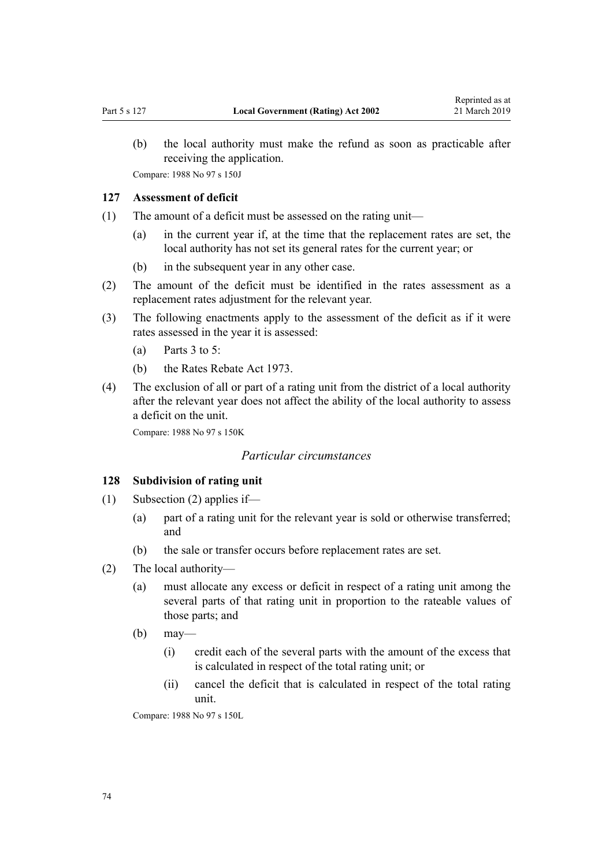<span id="page-73-0"></span>(b) the local authority must make the refund as soon as practicable after receiving the application.

Compare: 1988 No 97 s 150J

### **127 Assessment of deficit**

- (1) The amount of a deficit must be assessed on the rating unit—
	- (a) in the current year if, at the time that the replacement rates are set, the local authority has not set its general rates for the current year; or
	- (b) in the subsequent year in any other case.
- (2) The amount of the deficit must be identified in the rates assessment as a replacement rates adjustment for the relevant year.
- (3) The following enactments apply to the assessment of the deficit as if it were rates assessed in the year it is assessed:
	- (a) Parts  $3$  to  $5$ :
	- (b) the [Rates Rebate Act 1973.](http://legislation.govt.nz/pdflink.aspx?id=DLM409295)
- (4) The exclusion of all or part of a rating unit from the district of a local authority after the relevant year does not affect the ability of the local authority to assess a deficit on the unit.

Compare: 1988 No 97 s 150K

### *Particular circumstances*

#### **128 Subdivision of rating unit**

- (1) Subsection (2) applies if—
	- (a) part of a rating unit for the relevant year is sold or otherwise transferred; and
	- (b) the sale or transfer occurs before replacement rates are set.
- (2) The local authority—
	- (a) must allocate any excess or deficit in respect of a rating unit among the several parts of that rating unit in proportion to the rateable values of those parts; and
	- (b) may—
		- (i) credit each of the several parts with the amount of the excess that is calculated in respect of the total rating unit; or
		- (ii) cancel the deficit that is calculated in respect of the total rating unit.

Compare: 1988 No 97 s 150L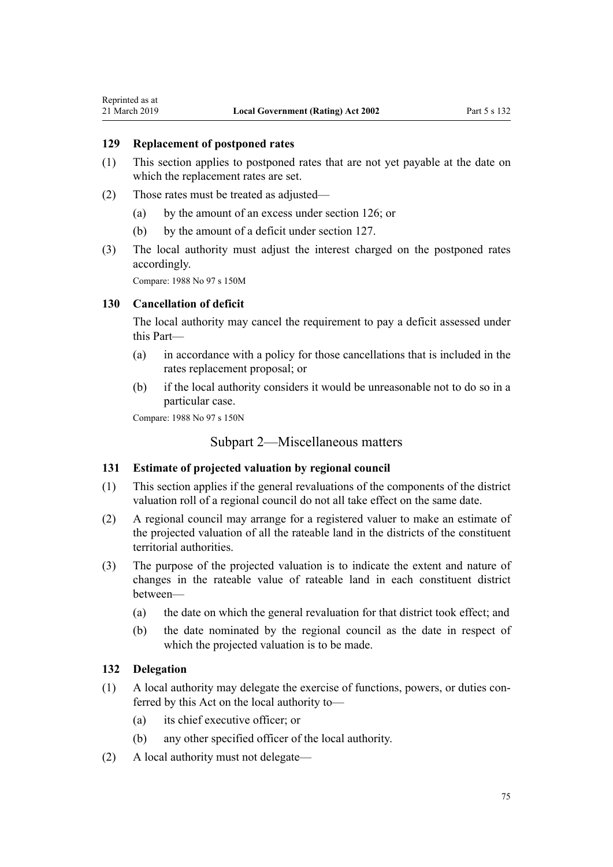### **129 Replacement of postponed rates**

- (1) This section applies to postponed rates that are not yet payable at the date on which the replacement rates are set.
- (2) Those rates must be treated as adjusted—
	- (a) by the amount of an excess under [section 126;](#page-72-0) or
	- (b) by the amount of a deficit under [section 127](#page-73-0).
- (3) The local authority must adjust the interest charged on the postponed rates accordingly.

Compare: 1988 No 97 s 150M

### **130 Cancellation of deficit**

The local authority may cancel the requirement to pay a deficit assessed under this Part—

- (a) in accordance with a policy for those cancellations that is included in the rates replacement proposal; or
- (b) if the local authority considers it would be unreasonable not to do so in a particular case.

Compare: 1988 No 97 s 150N

### Subpart 2—Miscellaneous matters

### **131 Estimate of projected valuation by regional council**

- (1) This section applies if the general revaluations of the components of the district valuation roll of a regional council do not all take effect on the same date.
- (2) A regional council may arrange for a registered valuer to make an estimate of the projected valuation of all the rateable land in the districts of the constituent territorial authorities.
- (3) The purpose of the projected valuation is to indicate the extent and nature of changes in the rateable value of rateable land in each constituent district between—
	- (a) the date on which the general revaluation for that district took effect; and
	- (b) the date nominated by the regional council as the date in respect of which the projected valuation is to be made.

#### **132 Delegation**

- (1) A local authority may delegate the exercise of functions, powers, or duties conferred by this Act on the local authority to—
	- (a) its chief executive officer; or
	- (b) any other specified officer of the local authority.
- (2) A local authority must not delegate—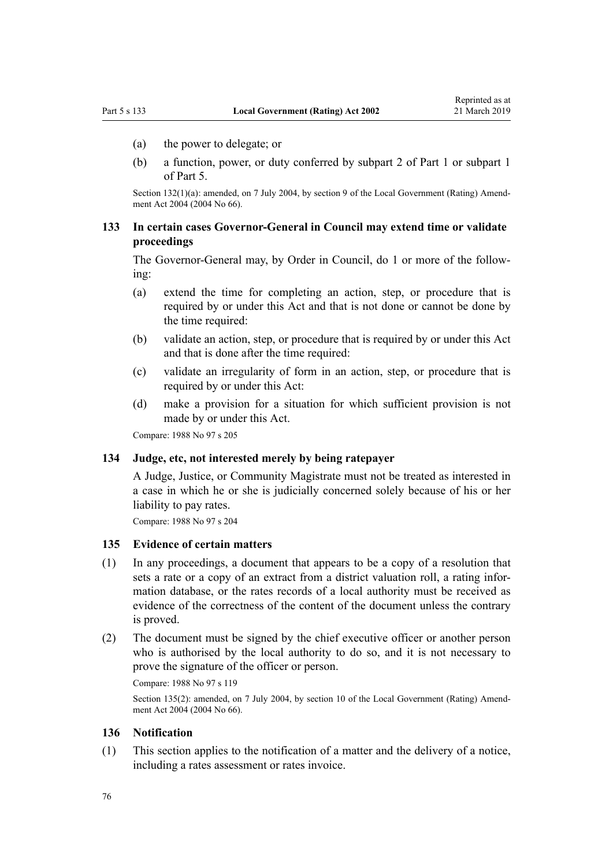- (a) the power to delegate; or
- (b) a function, power, or duty conferred by [subpart 2](#page-12-0) of Part 1 or [subpart 1](#page-68-0) of Part 5.

Section 132(1)(a): amended, on 7 July 2004, by [section 9](http://legislation.govt.nz/pdflink.aspx?id=DLM304045) of the Local Government (Rating) Amendment Act 2004 (2004 No 66).

### **133 In certain cases Governor-General in Council may extend time or validate proceedings**

The Governor-General may, by Order in Council, do 1 or more of the following:

- (a) extend the time for completing an action, step, or procedure that is required by or under this Act and that is not done or cannot be done by the time required:
- (b) validate an action, step, or procedure that is required by or under this Act and that is done after the time required:
- (c) validate an irregularity of form in an action, step, or procedure that is required by or under this Act:
- (d) make a provision for a situation for which sufficient provision is not made by or under this Act.

Compare: 1988 No 97 s 205

### **134 Judge, etc, not interested merely by being ratepayer**

A Judge, Justice, or Community Magistrate must not be treated as interested in a case in which he or she is judicially concerned solely because of his or her liability to pay rates.

Compare: 1988 No 97 s 204

#### **135 Evidence of certain matters**

- (1) In any proceedings, a document that appears to be a copy of a resolution that sets a rate or a copy of an extract from a district valuation roll, a rating information database, or the rates records of a local authority must be received as evidence of the correctness of the content of the document unless the contrary is proved.
- (2) The document must be signed by the chief executive officer or another person who is authorised by the local authority to do so, and it is not necessary to prove the signature of the officer or person.

Compare: 1988 No 97 s 119

Section 135(2): amended, on 7 July 2004, by [section 10](http://legislation.govt.nz/pdflink.aspx?id=DLM304046) of the Local Government (Rating) Amendment Act 2004 (2004 No 66).

#### **136 Notification**

(1) This section applies to the notification of a matter and the delivery of a notice, including a rates assessment or rates invoice.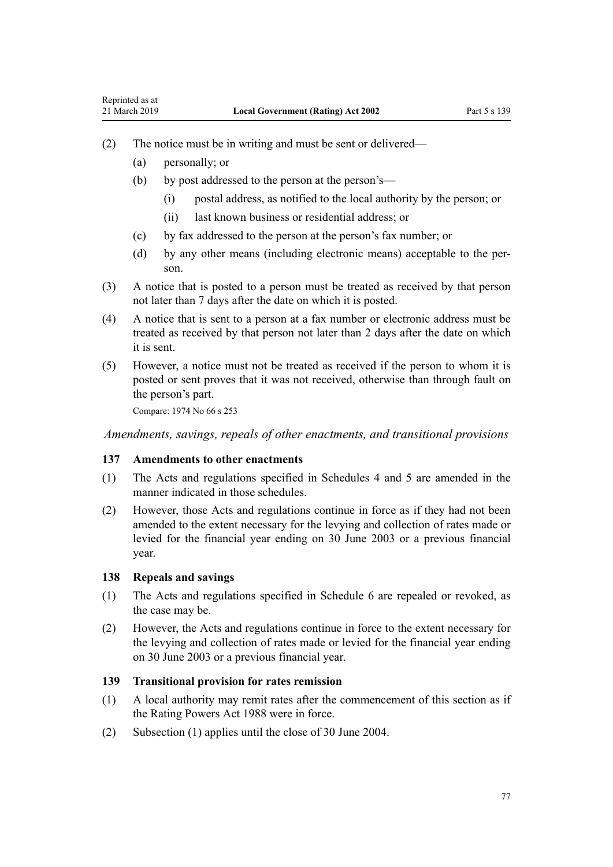- <span id="page-76-0"></span>(2) The notice must be in writing and must be sent or delivered—
	- (a) personally; or
	- (b) by post addressed to the person at the person's—
		- (i) postal address, as notified to the local authority by the person; or
		- (ii) last known business or residential address; or
	- (c) by fax addressed to the person at the person's fax number; or
	- (d) by any other means (including electronic means) acceptable to the person.
- (3) A notice that is posted to a person must be treated as received by that person not later than 7 days after the date on which it is posted.
- (4) A notice that is sent to a person at a fax number or electronic address must be treated as received by that person not later than 2 days after the date on which it is sent.
- (5) However, a notice must not be treated as received if the person to whom it is posted or sent proves that it was not received, otherwise than through fault on the person's part.

Compare: 1974 No 66 [s 253](http://legislation.govt.nz/pdflink.aspx?id=DLM419885)

*Amendments, savings, repeals of other enactments, and transitional provisions*

#### **137 Amendments to other enactments**

- (1) The Acts and regulations specified in [Schedules 4](#page-91-0) and [5](#page-94-0) are amended in the manner indicated in those schedules.
- (2) However, those Acts and regulations continue in force as if they had not been amended to the extent necessary for the levying and collection of rates made or levied for the financial year ending on 30 June 2003 or a previous financial year.

#### **138 Repeals and savings**

- (1) The Acts and regulations specified in [Schedule 6](#page-99-0) are repealed or revoked, as the case may be.
- (2) However, the Acts and regulations continue in force to the extent necessary for the levying and collection of rates made or levied for the financial year ending on 30 June 2003 or a previous financial year.

#### **139 Transitional provision for rates remission**

- (1) A local authority may remit rates after the commencement of this section as if the Rating Powers Act 1988 were in force.
- (2) Subsection (1) applies until the close of 30 June 2004.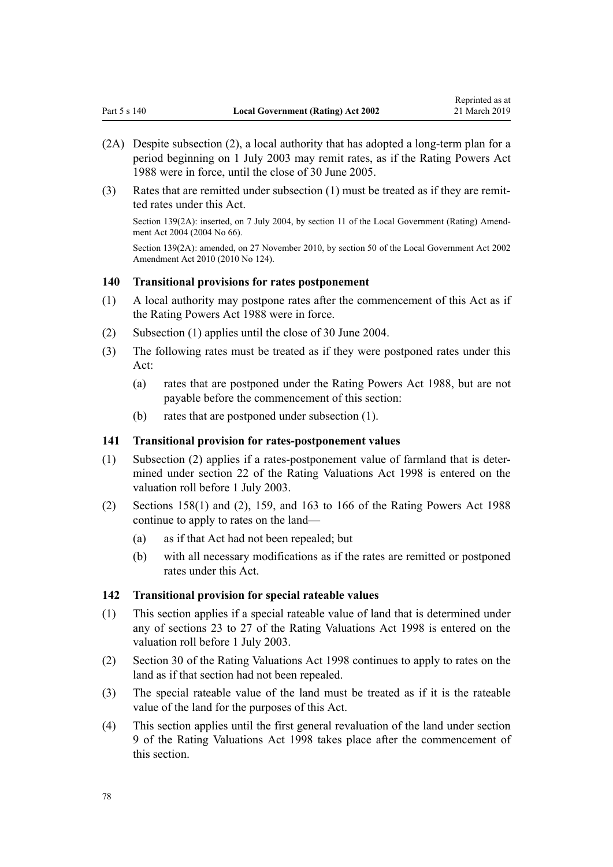- (2A) Despite subsection (2), a local authority that has adopted a long-term plan for a period beginning on 1 July 2003 may remit rates, as if the Rating Powers Act 1988 were in force, until the close of 30 June 2005.
- (3) Rates that are remitted under subsection (1) must be treated as if they are remitted rates under this Act.

Section 139(2A): inserted, on 7 July 2004, by [section 11](http://legislation.govt.nz/pdflink.aspx?id=DLM304047) of the Local Government (Rating) Amendment Act 2004 (2004 No 66).

Section 139(2A): amended, on 27 November 2010, by [section 50](http://legislation.govt.nz/pdflink.aspx?id=DLM2922485) of the Local Government Act 2002 Amendment Act 2010 (2010 No 124).

### **140 Transitional provisions for rates postponement**

- (1) A local authority may postpone rates after the commencement of this Act as if the Rating Powers Act 1988 were in force.
- (2) Subsection (1) applies until the close of 30 June 2004.
- (3) The following rates must be treated as if they were postponed rates under this Act:
	- (a) rates that are postponed under the Rating Powers Act 1988, but are not payable before the commencement of this section:
	- (b) rates that are postponed under subsection (1).

### **141 Transitional provision for rates-postponement values**

- (1) Subsection (2) applies if a rates-postponement value of farmland that is determined under [section 22](http://legislation.govt.nz/pdflink.aspx?id=DLM427649) of the Rating Valuations Act 1998 is entered on the valuation roll before 1 July 2003.
- (2) Sections 158(1) and (2), 159, and 163 to 166 of the Rating Powers Act 1988 continue to apply to rates on the land—
	- (a) as if that Act had not been repealed; but
	- (b) with all necessary modifications as if the rates are remitted or postponed rates under this Act.

#### **142 Transitional provision for special rateable values**

- (1) This section applies if a special rateable value of land that is determined under any of [sections 23 to 27](http://legislation.govt.nz/pdflink.aspx?id=DLM427651) of the Rating Valuations Act 1998 is entered on the valuation roll before 1 July 2003.
- (2) [Section 30](http://legislation.govt.nz/pdflink.aspx?id=DLM427665) of the Rating Valuations Act 1998 continues to apply to rates on the land as if that section had not been repealed.
- (3) The special rateable value of the land must be treated as if it is the rateable value of the land for the purposes of this Act.
- (4) This section applies until the first general revaluation of the land under [section](http://legislation.govt.nz/pdflink.aspx?id=DLM427613) [9](http://legislation.govt.nz/pdflink.aspx?id=DLM427613) of the Rating Valuations Act 1998 takes place after the commencement of this section.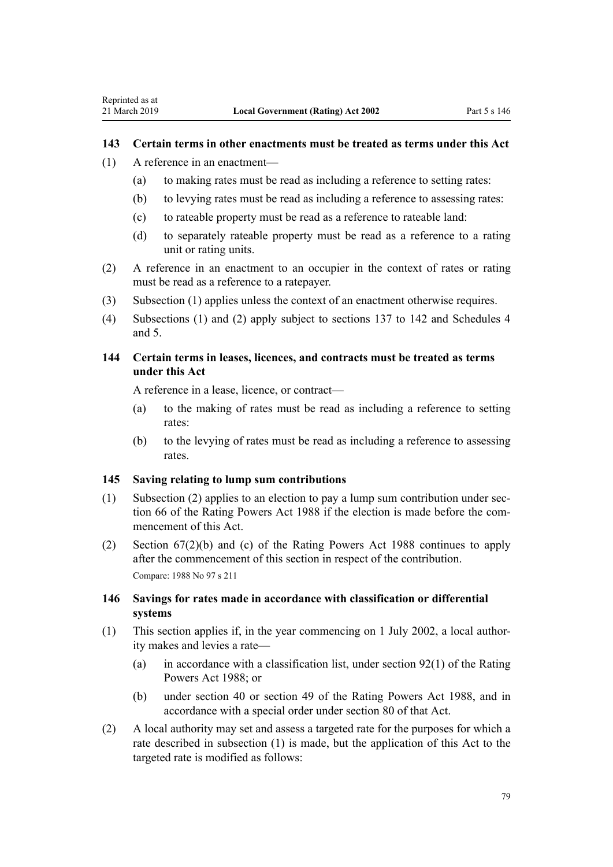### **143 Certain terms in other enactments must be treated as terms under this Act**

- (1) A reference in an enactment—
	- (a) to making rates must be read as including a reference to setting rates:
	- (b) to levying rates must be read as including a reference to assessing rates:
	- (c) to rateable property must be read as a reference to rateable land:
	- (d) to separately rateable property must be read as a reference to a rating unit or rating units.
- (2) A reference in an enactment to an occupier in the context of rates or rating must be read as a reference to a ratepayer.
- (3) Subsection (1) applies unless the context of an enactment otherwise requires.
- (4) Subsections (1) and (2) apply subject to [sections 137 to 142](#page-76-0) and [Schedules 4](#page-91-0) and [5](#page-94-0).

### **144 Certain terms in leases, licences, and contracts must be treated as terms under this Act**

A reference in a lease, licence, or contract—

- (a) to the making of rates must be read as including a reference to setting rates:
- (b) to the levying of rates must be read as including a reference to assessing rates.

#### **145 Saving relating to lump sum contributions**

- (1) Subsection (2) applies to an election to pay a lump sum contribution under section 66 of the Rating Powers Act 1988 if the election is made before the commencement of this Act.
- (2) Section 67(2)(b) and (c) of the Rating Powers Act 1988 continues to apply after the commencement of this section in respect of the contribution. Compare: 1988 No 97 s 211

### **146 Savings for rates made in accordance with classification or differential systems**

- (1) This section applies if, in the year commencing on 1 July 2002, a local authority makes and levies a rate—
	- (a) in accordance with a classification list, under section 92(1) of the Rating Powers Act 1988; or
	- (b) under section 40 or section 49 of the Rating Powers Act 1988, and in accordance with a special order under section 80 of that Act.
- (2) A local authority may set and assess a targeted rate for the purposes for which a rate described in subsection (1) is made, but the application of this Act to the targeted rate is modified as follows: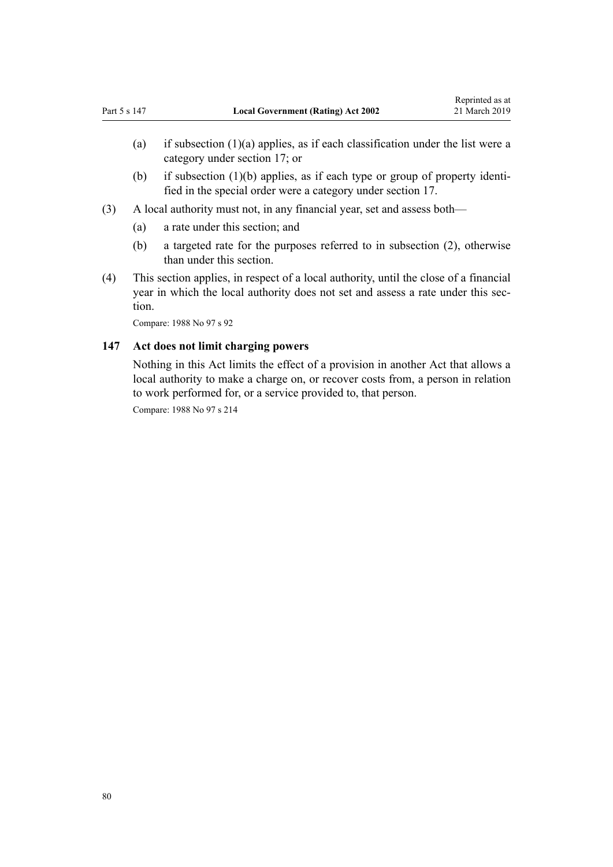- (a) if subsection  $(1)(a)$  applies, as if each classification under the list were a category under [section 17;](#page-16-0) or
- (b) if subsection (1)(b) applies, as if each type or group of property identified in the special order were a category under [section 17](#page-16-0).
- (3) A local authority must not, in any financial year, set and assess both—
	- (a) a rate under this section; and
	- (b) a targeted rate for the purposes referred to in subsection (2), otherwise than under this section.
- (4) This section applies, in respect of a local authority, until the close of a financial year in which the local authority does not set and assess a rate under this section.

Compare: 1988 No 97 s 92

### **147 Act does not limit charging powers**

Nothing in this Act limits the effect of a provision in another Act that allows a local authority to make a charge on, or recover costs from, a person in relation to work performed for, or a service provided to, that person.

Compare: 1988 No 97 s 214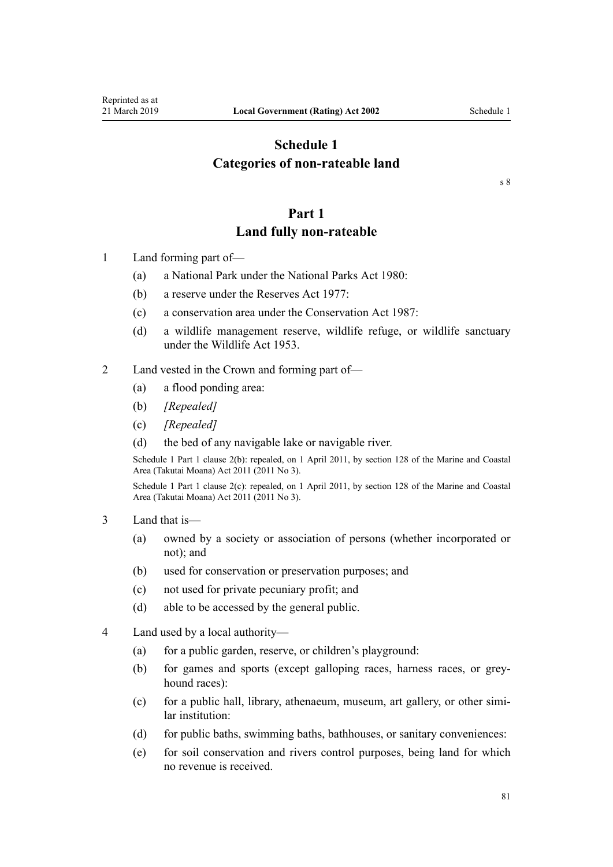# <span id="page-80-0"></span>**Schedule 1 Categories of non-rateable land**

[s 8](#page-12-0)

# **Part 1**

### **Land fully non-rateable**

- 1 Land forming part of—
	- (a) a National Park under the [National Parks Act 1980:](http://legislation.govt.nz/pdflink.aspx?id=DLM36962)
	- (b) a reserve under the [Reserves Act 1977](http://legislation.govt.nz/pdflink.aspx?id=DLM444304):
	- (c) a conservation area under the [Conservation Act 1987:](http://legislation.govt.nz/pdflink.aspx?id=DLM103609)
	- (d) a wildlife management reserve, wildlife refuge, or wildlife sanctuary under the [Wildlife Act 1953](http://legislation.govt.nz/pdflink.aspx?id=DLM276813).
- 2 Land vested in the Crown and forming part of—
	- (a) a flood ponding area:
	- (b) *[Repealed]*
	- (c) *[Repealed]*
	- (d) the bed of any navigable lake or navigable river.

Schedule 1 Part 1 clause 2(b): repealed, on 1 April 2011, by [section 128](http://legislation.govt.nz/pdflink.aspx?id=DLM3213476) of the Marine and Coastal Area (Takutai Moana) Act 2011 (2011 No 3).

Schedule 1 Part 1 clause 2(c): repealed, on 1 April 2011, by [section 128](http://legislation.govt.nz/pdflink.aspx?id=DLM3213476) of the Marine and Coastal Area (Takutai Moana) Act 2011 (2011 No 3).

- 3 Land that is—
	- (a) owned by a society or association of persons (whether incorporated or not); and
	- (b) used for conservation or preservation purposes; and
	- (c) not used for private pecuniary profit; and
	- (d) able to be accessed by the general public.
- 4 Land used by a local authority—
	- (a) for a public garden, reserve, or children's playground:
	- (b) for games and sports (except galloping races, harness races, or greyhound races):
	- (c) for a public hall, library, athenaeum, museum, art gallery, or other similar institution:
	- (d) for public baths, swimming baths, bathhouses, or sanitary conveniences:
	- (e) for soil conservation and rivers control purposes, being land for which no revenue is received.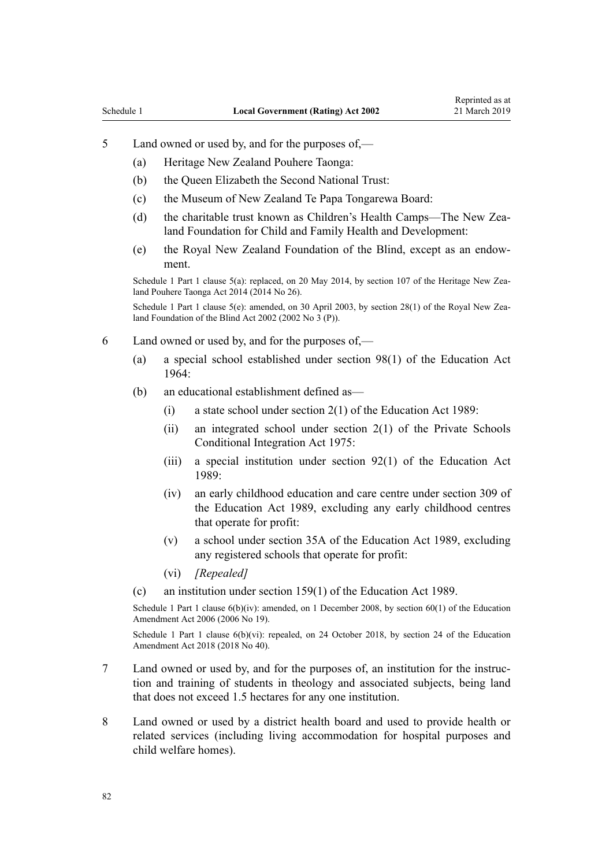- <span id="page-81-0"></span>5 Land owned or used by, and for the purposes of,—
	- (a) Heritage New Zealand Pouhere Taonga:
	- (b) the Queen Elizabeth the Second National Trust:
	- (c) the Museum of New Zealand Te Papa Tongarewa Board:
	- (d) the charitable trust known as Children's Health Camps—The New Zealand Foundation for Child and Family Health and Development:
	- (e) the Royal New Zealand Foundation of the Blind, except as an endowment.

Schedule 1 Part 1 clause 5(a): replaced, on 20 May 2014, by [section 107](http://legislation.govt.nz/pdflink.aspx?id=DLM4005646) of the Heritage New Zealand Pouhere Taonga Act 2014 (2014 No 26).

Schedule 1 Part 1 clause 5(e): amended, on 30 April 2003, by [section 28\(1\)](http://legislation.govt.nz/pdflink.aspx?id=DLM121634) of the Royal New Zealand Foundation of the Blind Act 2002 (2002 No 3 (P)).

- 6 Land owned or used by, and for the purposes of,—
	- (a) a special school established under [section 98\(1\)](http://legislation.govt.nz/pdflink.aspx?id=DLM358141) of the Education Act 1964:
	- (b) an educational establishment defined as—
		- (i) a state school under [section 2\(1\)](http://legislation.govt.nz/pdflink.aspx?id=DLM175965) of the Education Act 1989:
		- (ii) an integrated school under [section 2\(1\)](http://legislation.govt.nz/pdflink.aspx?id=DLM437352) of the Private Schools Conditional Integration Act 1975:
		- (iii) a special institution under [section 92\(1\)](http://legislation.govt.nz/pdflink.aspx?id=DLM180449) of the Education Act 1989:
		- (iv) an early childhood education and care centre under [section 309](http://legislation.govt.nz/pdflink.aspx?id=DLM187091) of the Education Act 1989, excluding any early childhood centres that operate for profit:
		- (v) a school under [section 35A](http://legislation.govt.nz/pdflink.aspx?id=DLM178265) of the Education Act 1989, excluding any registered schools that operate for profit:
		- (vi) *[Repealed]*
	- (c) an institution under [section 159\(1\)](http://legislation.govt.nz/pdflink.aspx?id=DLM182904) of the Education Act 1989.

Schedule 1 Part 1 clause  $6(b)(iv)$ : amended, on 1 December 2008, by section  $60(1)$  of the Education Amendment Act 2006 (2006 No 19).

Schedule 1 Part 1 clause 6(b)(vi): repealed, on 24 October 2018, by [section 24](http://legislation.govt.nz/pdflink.aspx?id=LMS8587) of the Education Amendment Act 2018 (2018 No 40).

- 7 Land owned or used by, and for the purposes of, an institution for the instruction and training of students in theology and associated subjects, being land that does not exceed 1.5 hectares for any one institution.
- 8 Land owned or used by a district health board and used to provide health or related services (including living accommodation for hospital purposes and child welfare homes).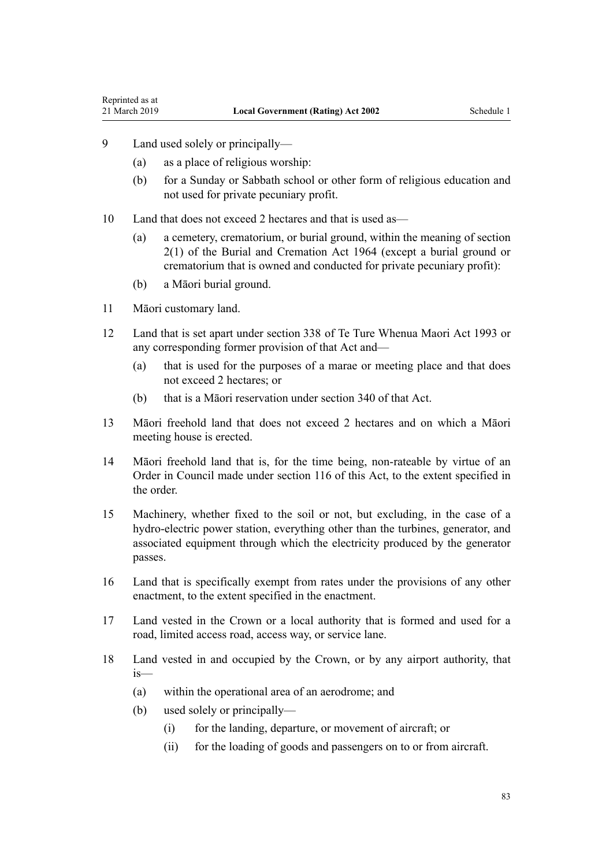- <span id="page-82-0"></span>9 Land used solely or principally—
	- (a) as a place of religious worship:
	- (b) for a Sunday or Sabbath school or other form of religious education and not used for private pecuniary profit.
- 10 Land that does not exceed 2 hectares and that is used as—
	- (a) a cemetery, crematorium, or burial ground, within the meaning of [section](http://legislation.govt.nz/pdflink.aspx?id=DLM355084) [2\(1\)](http://legislation.govt.nz/pdflink.aspx?id=DLM355084) of the Burial and Cremation Act 1964 (except a burial ground or crematorium that is owned and conducted for private pecuniary profit):
	- (b) a Māori burial ground.
- 11 Māori customary land.
- 12 Land that is set apart under [section 338](http://legislation.govt.nz/pdflink.aspx?id=DLM292881) of Te Ture Whenua Maori Act 1993 or any corresponding former provision of that Act and—
	- (a) that is used for the purposes of a marae or meeting place and that does not exceed 2 hectares; or
	- (b) that is a Māori reservation under [section 340](http://legislation.govt.nz/pdflink.aspx?id=DLM292890) of that Act.
- 13 Māori freehold land that does not exceed 2 hectares and on which a Māori meeting house is erected.
- 14 Māori freehold land that is, for the time being, non-rateable by virtue of an Order in Council made under [section 116](#page-60-0) of this Act, to the extent specified in the order.
- 15 Machinery, whether fixed to the soil or not, but excluding, in the case of a hydro-electric power station, everything other than the turbines, generator, and associated equipment through which the electricity produced by the generator passes.
- 16 Land that is specifically exempt from rates under the provisions of any other enactment, to the extent specified in the enactment.
- 17 Land vested in the Crown or a local authority that is formed and used for a road, limited access road, access way, or service lane.
- 18 Land vested in and occupied by the Crown, or by any airport authority, that is—
	- (a) within the operational area of an aerodrome; and
	- (b) used solely or principally—
		- (i) for the landing, departure, or movement of aircraft; or
		- (ii) for the loading of goods and passengers on to or from aircraft.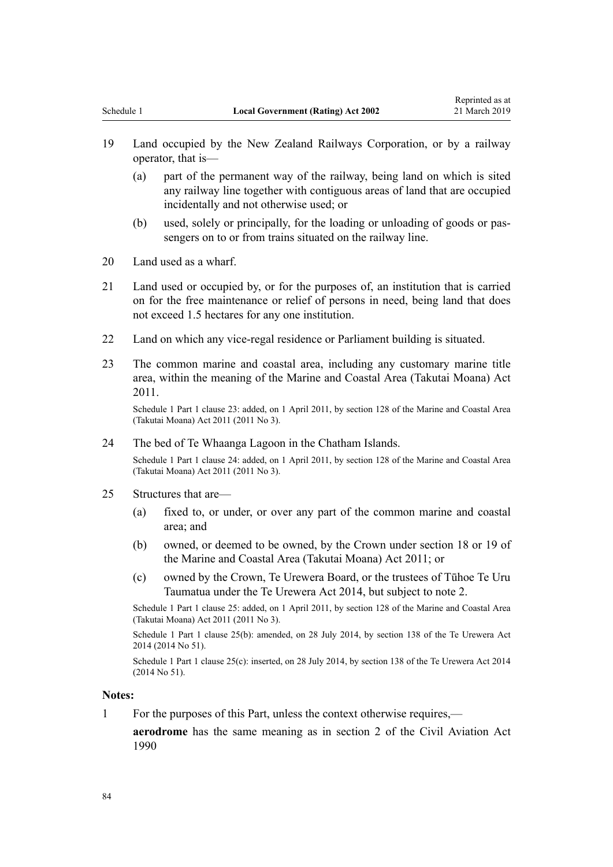- <span id="page-83-0"></span>19 Land occupied by the New Zealand Railways Corporation, or by a railway operator, that is—
	- (a) part of the permanent way of the railway, being land on which is sited any railway line together with contiguous areas of land that are occupied incidentally and not otherwise used; or
	- (b) used, solely or principally, for the loading or unloading of goods or passengers on to or from trains situated on the railway line.
- 20 Land used as a wharf.
- 21 Land used or occupied by, or for the purposes of, an institution that is carried on for the free maintenance or relief of persons in need, being land that does not exceed 1.5 hectares for any one institution.
- 22 Land on which any vice-regal residence or Parliament building is situated.
- 23 The common marine and coastal area, including any customary marine title area, within the meaning of the [Marine and Coastal Area \(Takutai Moana\) Act](http://legislation.govt.nz/pdflink.aspx?id=DLM3213102) [2011.](http://legislation.govt.nz/pdflink.aspx?id=DLM3213102)

Schedule 1 Part 1 clause 23: added, on 1 April 2011, by [section 128](http://legislation.govt.nz/pdflink.aspx?id=DLM3213476) of the Marine and Coastal Area (Takutai Moana) Act 2011 (2011 No 3).

24 The bed of Te Whaanga Lagoon in the Chatham Islands.

Schedule 1 Part 1 clause 24: added, on 1 April 2011, by [section 128](http://legislation.govt.nz/pdflink.aspx?id=DLM3213476) of the Marine and Coastal Area (Takutai Moana) Act 2011 (2011 No 3).

- 25 Structures that are—
	- (a) fixed to, or under, or over any part of the common marine and coastal area; and
	- (b) owned, or deemed to be owned, by the Crown under [section 18](http://legislation.govt.nz/pdflink.aspx?id=DLM3213290) or [19](http://legislation.govt.nz/pdflink.aspx?id=DLM3213291) of the Marine and Coastal Area (Takutai Moana) Act 2011; or
	- (c) owned by the Crown, Te Urewera Board, or the trustees of Tūhoe Te Uru Taumatua under the [Te Urewera Act 2014](http://legislation.govt.nz/pdflink.aspx?id=DLM6183600), but subject to note 2.

Schedule 1 Part 1 clause 25: added, on 1 April 2011, by [section 128](http://legislation.govt.nz/pdflink.aspx?id=DLM3213476) of the Marine and Coastal Area (Takutai Moana) Act 2011 (2011 No 3).

Schedule 1 Part 1 clause 25(b): amended, on 28 July 2014, by [section 138](http://legislation.govt.nz/pdflink.aspx?id=DLM6183949) of the Te Urewera Act 2014 (2014 No 51).

Schedule 1 Part 1 clause 25(c): inserted, on 28 July 2014, by [section 138](http://legislation.govt.nz/pdflink.aspx?id=DLM6183949) of the Te Urewera Act 2014 (2014 No 51).

### **Notes:**

1 For the purposes of this Part, unless the context otherwise requires,—

**aerodrome** has the same meaning as in [section 2](http://legislation.govt.nz/pdflink.aspx?id=DLM214692) of the Civil Aviation Act 1990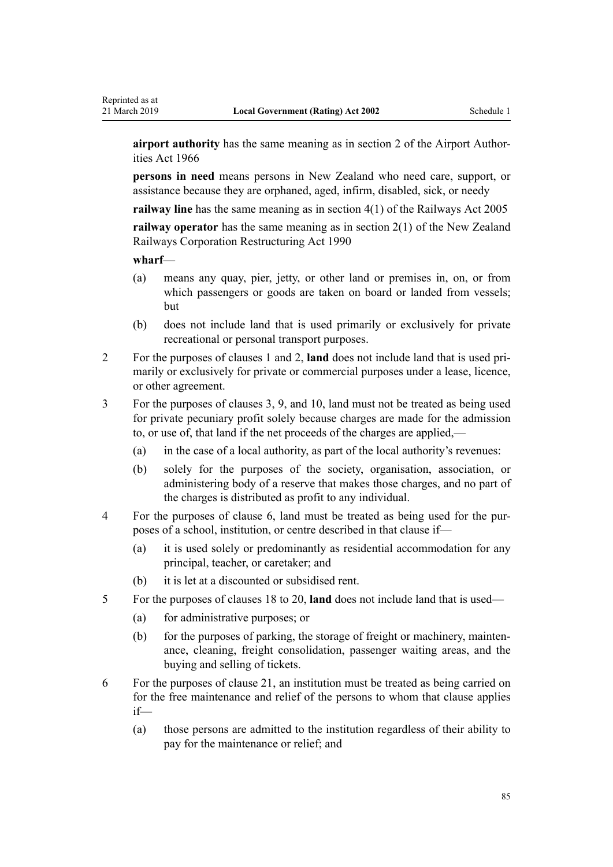**airport authority** has the same meaning as in [section 2](http://legislation.govt.nz/pdflink.aspx?id=DLM379829) of the Airport Authorities Act 1966

**persons in need** means persons in New Zealand who need care, support, or assistance because they are orphaned, aged, infirm, disabled, sick, or needy

**railway line** has the same meaning as in [section 4\(1\)](http://legislation.govt.nz/pdflink.aspx?id=DLM341575) of the Railways Act 2005

**railway operator** has the same meaning as in [section 2\(1\)](http://legislation.govt.nz/pdflink.aspx?id=DLM222636) of the New Zealand Railways Corporation Restructuring Act 1990

#### **wharf**—

- (a) means any quay, pier, jetty, or other land or premises in, on, or from which passengers or goods are taken on board or landed from vessels; but
- (b) does not include land that is used primarily or exclusively for private recreational or personal transport purposes.
- 2 For the purposes of [clauses 1](#page-80-0) and [2](#page-80-0), **land** does not include land that is used primarily or exclusively for private or commercial purposes under a lease, licence, or other agreement.
- 3 For the purposes of [clauses 3](#page-80-0), [9,](#page-82-0) and [10](#page-82-0), land must not be treated as being used for private pecuniary profit solely because charges are made for the admission to, or use of, that land if the net proceeds of the charges are applied,—
	- (a) in the case of a local authority, as part of the local authority's revenues:
	- (b) solely for the purposes of the society, organisation, association, or administering body of a reserve that makes those charges, and no part of the charges is distributed as profit to any individual.
- 4 For the purposes of [clause 6,](#page-81-0) land must be treated as being used for the purposes of a school, institution, or centre described in that clause if—
	- (a) it is used solely or predominantly as residential accommodation for any principal, teacher, or caretaker; and
	- (b) it is let at a discounted or subsidised rent.
- 5 For the purposes of [clauses 18 to 20,](#page-82-0) **land** does not include land that is used—
	- (a) for administrative purposes; or
	- (b) for the purposes of parking, the storage of freight or machinery, maintenance, cleaning, freight consolidation, passenger waiting areas, and the buying and selling of tickets.
- 6 For the purposes of [clause 21](#page-83-0), an institution must be treated as being carried on for the free maintenance and relief of the persons to whom that clause applies if—
	- (a) those persons are admitted to the institution regardless of their ability to pay for the maintenance or relief; and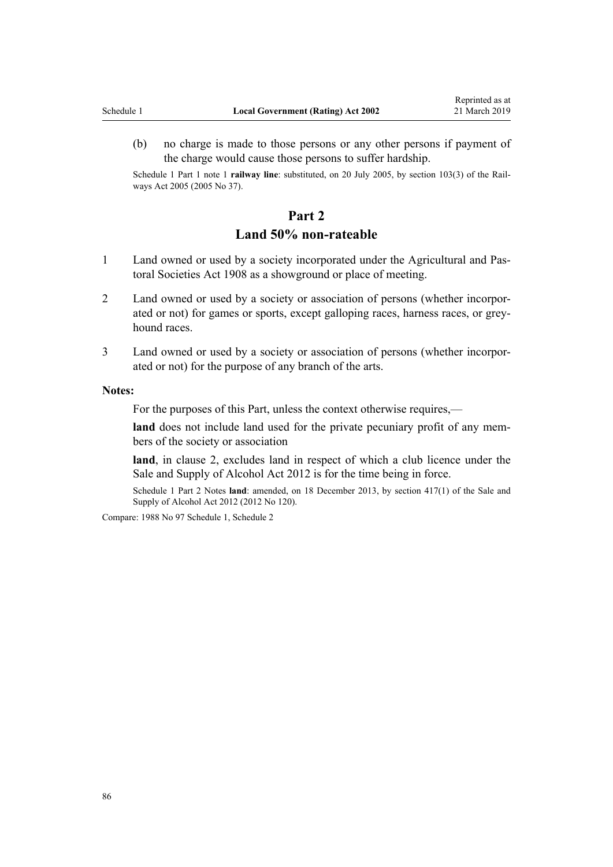(b) no charge is made to those persons or any other persons if payment of the charge would cause those persons to suffer hardship.

Schedule 1 Part 1 note 1 **railway line**: substituted, on 20 July 2005, by [section 103\(3\)](http://legislation.govt.nz/pdflink.aspx?id=DLM343101) of the Railways Act 2005 (2005 No 37).

### **Part 2**

### **Land 50% non-rateable**

- 1 Land owned or used by a society incorporated under the [Agricultural and Pas](http://legislation.govt.nz/pdflink.aspx?id=DLM137365)[toral Societies Act 1908](http://legislation.govt.nz/pdflink.aspx?id=DLM137365) as a showground or place of meeting.
- 2 Land owned or used by a society or association of persons (whether incorporated or not) for games or sports, except galloping races, harness races, or greyhound races.
- 3 Land owned or used by a society or association of persons (whether incorporated or not) for the purpose of any branch of the arts.

#### **Notes:**

For the purposes of this Part, unless the context otherwise requires,—

**land** does not include land used for the private pecuniary profit of any members of the society or association

**land**, in clause 2, excludes land in respect of which a club licence under the [Sale and Supply of Alcohol Act 2012](http://legislation.govt.nz/pdflink.aspx?id=DLM3339302) is for the time being in force.

Schedule 1 Part 2 Notes **land**: amended, on 18 December 2013, by [section 417\(1\)](http://legislation.govt.nz/pdflink.aspx?id=DLM3339984) of the Sale and Supply of Alcohol Act 2012 (2012 No 120).

Compare: 1988 No 97 Schedule 1, Schedule 2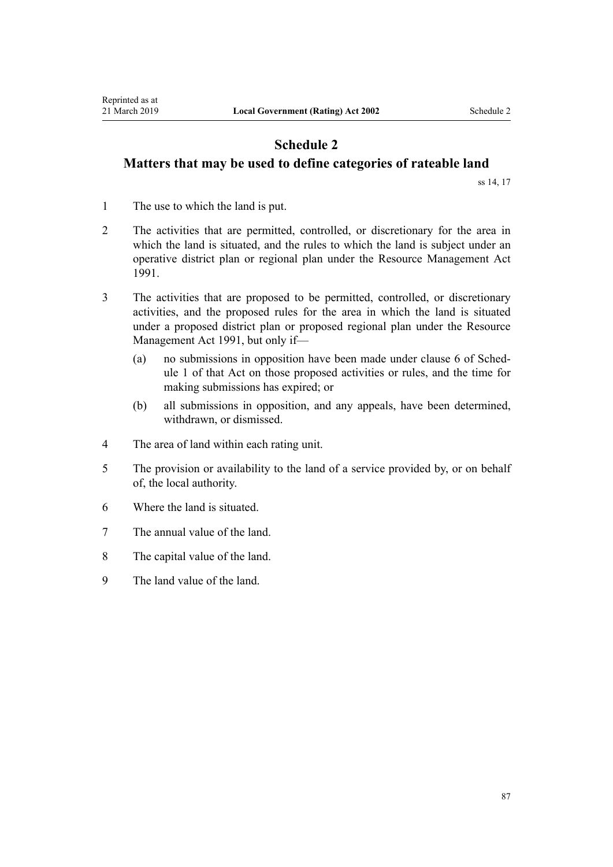# <span id="page-86-0"></span>**Schedule 2 Matters that may be used to define categories of rateable land**

[ss 14,](#page-15-0) [17](#page-16-0)

- 1 The use to which the land is put.
- 2 The activities that are permitted, controlled, or discretionary for the area in which the land is situated, and the rules to which the land is subject under an operative district plan or regional plan under the [Resource Management Act](http://legislation.govt.nz/pdflink.aspx?id=DLM230264) [1991](http://legislation.govt.nz/pdflink.aspx?id=DLM230264).
- 3 The activities that are proposed to be permitted, controlled, or discretionary activities, and the proposed rules for the area in which the land is situated under a proposed district plan or proposed regional plan under the [Resource](http://legislation.govt.nz/pdflink.aspx?id=DLM230264) [Management Act 1991,](http://legislation.govt.nz/pdflink.aspx?id=DLM230264) but only if—
	- (a) no submissions in opposition have been made under [clause 6](http://legislation.govt.nz/pdflink.aspx?id=DLM241221) of Schedule 1 of that Act on those proposed activities or rules, and the time for making submissions has expired; or
	- (b) all submissions in opposition, and any appeals, have been determined, withdrawn, or dismissed.
- 4 The area of land within each rating unit.
- 5 The provision or availability to the land of a service provided by, or on behalf of, the local authority.
- 6 Where the land is situated.
- 7 The annual value of the land.
- 8 The capital value of the land.
- 9 The land value of the land.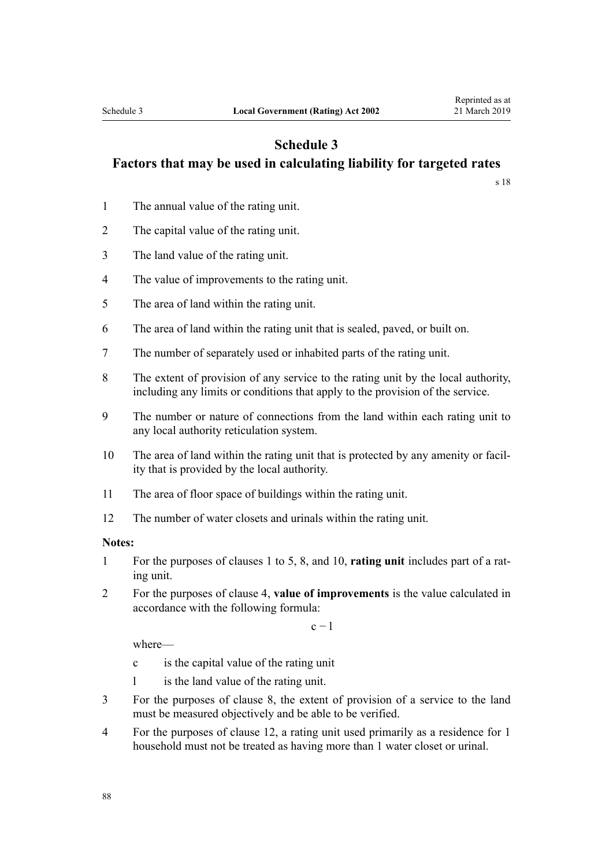# **Schedule 3 Factors that may be used in calculating liability for targeted rates**

[s 18](#page-16-0)

- 1 The annual value of the rating unit.
- 2 The capital value of the rating unit.
- 3 The land value of the rating unit.
- 4 The value of improvements to the rating unit.
- 5 The area of land within the rating unit.
- 6 The area of land within the rating unit that is sealed, paved, or built on.
- 7 The number of separately used or inhabited parts of the rating unit.
- 8 The extent of provision of any service to the rating unit by the local authority, including any limits or conditions that apply to the provision of the service.
- 9 The number or nature of connections from the land within each rating unit to any local authority reticulation system.
- 10 The area of land within the rating unit that is protected by any amenity or facility that is provided by the local authority.
- 11 The area of floor space of buildings within the rating unit.
- 12 The number of water closets and urinals within the rating unit.

#### **Notes:**

- 1 For the purposes of clauses 1 to 5, 8, and 10, **rating unit** includes part of a rating unit.
- 2 For the purposes of clause 4, **value of improvements** is the value calculated in accordance with the following formula:

 $c - 1$ 

where—

- c is the capital value of the rating unit
- l is the land value of the rating unit.
- 3 For the purposes of clause 8, the extent of provision of a service to the land must be measured objectively and be able to be verified.
- 4 For the purposes of clause 12, a rating unit used primarily as a residence for 1 household must not be treated as having more than 1 water closet or urinal.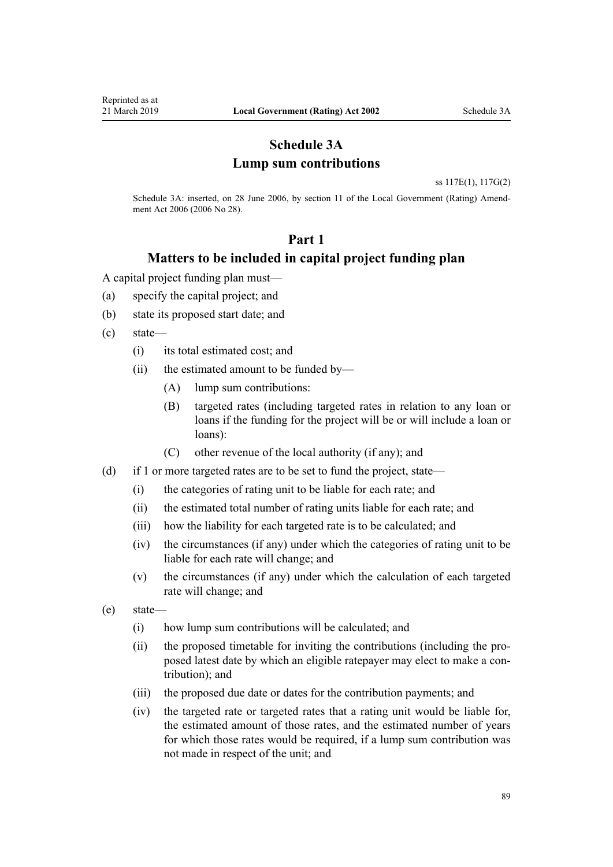### **Schedule 3A Lump sum contributions**

[ss 117E\(1\)](#page-62-0), [117G\(2\)](#page-63-0)

Schedule 3A: inserted, on 28 June 2006, by [section 11](http://legislation.govt.nz/pdflink.aspx?id=DLM374350) of the Local Government (Rating) Amendment Act 2006 (2006 No 28).

### **Part 1**

### **Matters to be included in capital project funding plan**

A capital project funding plan must—

- (a) specify the capital project; and
- (b) state its proposed start date; and
- (c) state—
	- (i) its total estimated cost; and
	- (ii) the estimated amount to be funded by—
		- (A) lump sum contributions:
		- (B) targeted rates (including targeted rates in relation to any loan or loans if the funding for the project will be or will include a loan or loans):
		- (C) other revenue of the local authority (if any); and
- (d) if 1 or more targeted rates are to be set to fund the project, state—
	- (i) the categories of rating unit to be liable for each rate; and
	- (ii) the estimated total number of rating units liable for each rate; and
	- (iii) how the liability for each targeted rate is to be calculated; and
	- (iv) the circumstances (if any) under which the categories of rating unit to be liable for each rate will change; and
	- (v) the circumstances (if any) under which the calculation of each targeted rate will change; and
- (e) state—
	- (i) how lump sum contributions will be calculated; and
	- (ii) the proposed timetable for inviting the contributions (including the proposed latest date by which an eligible ratepayer may elect to make a contribution); and
	- (iii) the proposed due date or dates for the contribution payments; and
	- (iv) the targeted rate or targeted rates that a rating unit would be liable for, the estimated amount of those rates, and the estimated number of years for which those rates would be required, if a lump sum contribution was not made in respect of the unit; and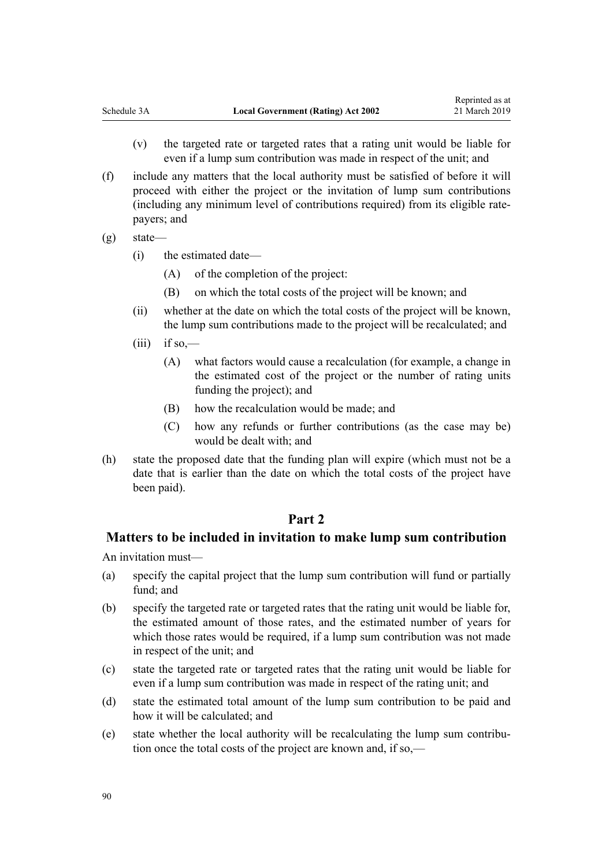- (v) the targeted rate or targeted rates that a rating unit would be liable for even if a lump sum contribution was made in respect of the unit; and
- (f) include any matters that the local authority must be satisfied of before it will proceed with either the project or the invitation of lump sum contributions (including any minimum level of contributions required) from its eligible ratepayers; and
- (g) state—
	- (i) the estimated date—
		- (A) of the completion of the project:
		- (B) on which the total costs of the project will be known; and
	- (ii) whether at the date on which the total costs of the project will be known, the lump sum contributions made to the project will be recalculated; and
	- $(iii)$  if so,—
		- (A) what factors would cause a recalculation (for example, a change in the estimated cost of the project or the number of rating units funding the project); and
		- (B) how the recalculation would be made; and
		- (C) how any refunds or further contributions (as the case may be) would be dealt with; and
- (h) state the proposed date that the funding plan will expire (which must not be a date that is earlier than the date on which the total costs of the project have been paid).

### **Part 2**

### **Matters to be included in invitation to make lump sum contribution**

An invitation must—

- (a) specify the capital project that the lump sum contribution will fund or partially fund; and
- (b) specify the targeted rate or targeted rates that the rating unit would be liable for, the estimated amount of those rates, and the estimated number of years for which those rates would be required, if a lump sum contribution was not made in respect of the unit; and
- (c) state the targeted rate or targeted rates that the rating unit would be liable for even if a lump sum contribution was made in respect of the rating unit; and
- (d) state the estimated total amount of the lump sum contribution to be paid and how it will be calculated; and
- (e) state whether the local authority will be recalculating the lump sum contribution once the total costs of the project are known and, if so,—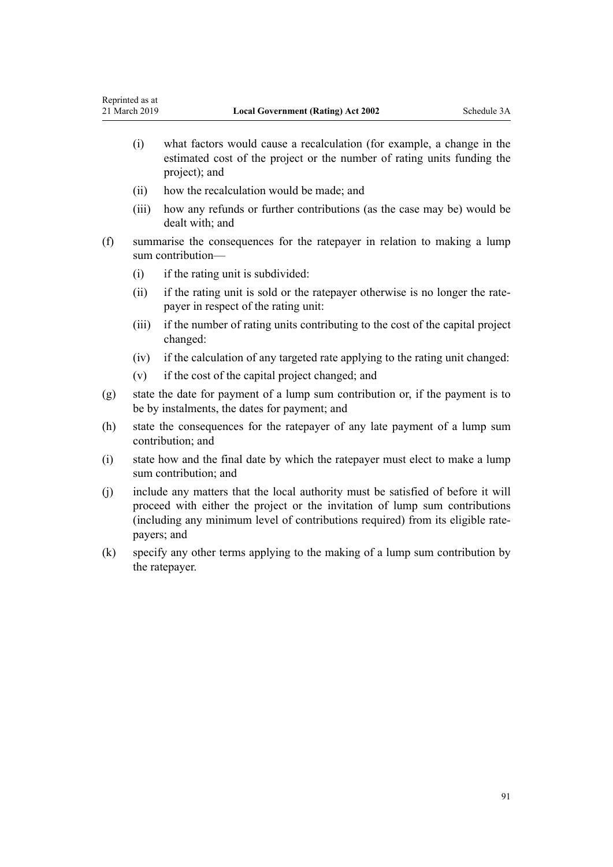- (i) what factors would cause a recalculation (for example, a change in the estimated cost of the project or the number of rating units funding the project); and
- (ii) how the recalculation would be made; and
- (iii) how any refunds or further contributions (as the case may be) would be dealt with; and
- (f) summarise the consequences for the ratepayer in relation to making a lump sum contribution—
	- (i) if the rating unit is subdivided:
	- (ii) if the rating unit is sold or the ratepayer otherwise is no longer the ratepayer in respect of the rating unit:
	- (iii) if the number of rating units contributing to the cost of the capital project changed:
	- (iv) if the calculation of any targeted rate applying to the rating unit changed:
	- (v) if the cost of the capital project changed; and
- (g) state the date for payment of a lump sum contribution or, if the payment is to be by instalments, the dates for payment; and
- (h) state the consequences for the ratepayer of any late payment of a lump sum contribution; and
- (i) state how and the final date by which the ratepayer must elect to make a lump sum contribution; and
- (j) include any matters that the local authority must be satisfied of before it will proceed with either the project or the invitation of lump sum contributions (including any minimum level of contributions required) from its eligible ratepayers; and
- (k) specify any other terms applying to the making of a lump sum contribution by the ratepayer.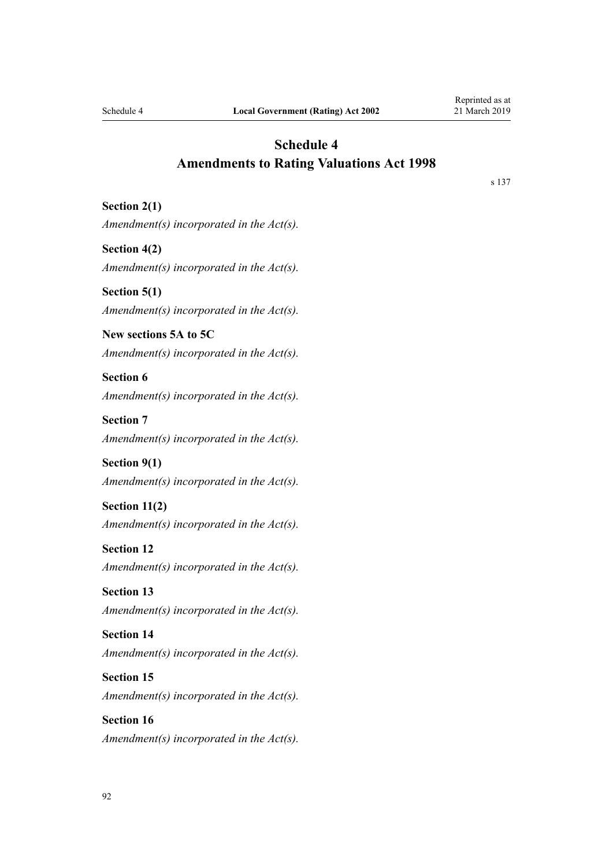**Section 2(1)**

### <span id="page-91-0"></span>**Schedule 4 Amendments to Rating Valuations Act 1998**

[s 137](#page-76-0)

*Amendment(s) incorporated in the [Act\(s\).](http://legislation.govt.nz/pdflink.aspx?id=DLM427713)*

**Section 4(2)** *Amendment(s) incorporated in the [Act\(s\).](http://legislation.govt.nz/pdflink.aspx?id=DLM427490)*

**Section 5(1)** *Amendment(s) incorporated in the [Act\(s\).](http://legislation.govt.nz/pdflink.aspx?id=DLM427492)*

**New sections 5A to 5C** *Amendment(s) incorporated in the [Act\(s\).](http://legislation.govt.nz/pdflink.aspx?id=DLM427492)*

**Section 6**

*Amendment(s) incorporated in the [Act\(s\).](http://legislation.govt.nz/pdflink.aspx?id=DLM427606)*

**Section 7** *Amendment(s) incorporated in the [Act\(s\).](http://legislation.govt.nz/pdflink.aspx?id=DLM427608)*

**Section 9(1)** *Amendment(s) incorporated in the [Act\(s\).](http://legislation.govt.nz/pdflink.aspx?id=DLM427613)*

**Section 11(2)**

*Amendment(s) incorporated in the [Act\(s\).](http://legislation.govt.nz/pdflink.aspx?id=DLM427616)*

**Section 12**

*Amendment(s) incorporated in the [Act\(s\).](http://legislation.govt.nz/pdflink.aspx?id=DLM427618)*

**Section 13** *Amendment(s) incorporated in the [Act\(s\).](http://legislation.govt.nz/pdflink.aspx?id=DLM427620)*

**Section 14** *Amendment(s) incorporated in the [Act\(s\).](http://legislation.govt.nz/pdflink.aspx?id=DLM427624)*

**Section 15**

*Amendment(s) incorporated in the [Act\(s\).](http://legislation.govt.nz/pdflink.aspx?id=DLM427629)*

**Section 16** *Amendment(s) incorporated in the [Act\(s\).](http://legislation.govt.nz/pdflink.aspx?id=DLM427631)*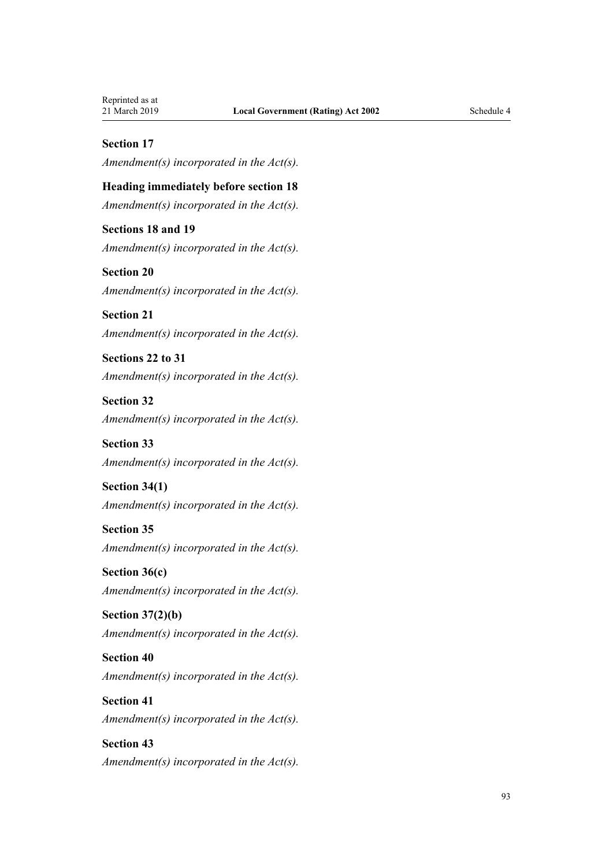### **Section 17**

*Amendment(s) incorporated in the [Act\(s\).](http://legislation.govt.nz/pdflink.aspx?id=DLM427634)*

### **Heading immediately before section 18**

*Amendment(s) incorporated in the [Act\(s\).](http://legislation.govt.nz/pdflink.aspx?id=DLM427636)*

### **Sections 18 and 19**

*Amendment(s) incorporated in the [Act\(s\).](http://legislation.govt.nz/pdflink.aspx?id=DLM427638)*

### **Section 20** *Amendment(s) incorporated in the [Act\(s\).](http://legislation.govt.nz/pdflink.aspx?id=DLM427643)*

**Section 21** *Amendment(s) incorporated in the [Act\(s\).](http://legislation.govt.nz/pdflink.aspx?id=DLM427646)*

### **Sections 22 to 31** *Amendment(s) incorporated in the [Act\(s\).](http://legislation.govt.nz/pdflink.aspx?id=DLM427649)*

# **Section 32** *Amendment(s) incorporated in the [Act\(s\).](http://legislation.govt.nz/pdflink.aspx?id=DLM427670)*

### **Section 33** *Amendment(s) incorporated in the [Act\(s\).](http://legislation.govt.nz/pdflink.aspx?id=DLM427673)*

### **Section 34(1)** *Amendment(s) incorporated in the [Act\(s\).](http://legislation.govt.nz/pdflink.aspx?id=DLM427676)*

### **Section 35**

*Amendment(s) incorporated in the [Act\(s\).](http://legislation.govt.nz/pdflink.aspx?id=DLM427678)*

### **Section 36(c)** *Amendment(s) incorporated in the [Act\(s\).](http://legislation.govt.nz/pdflink.aspx?id=DLM427681)*

### **Section 37(2)(b)** *Amendment(s) incorporated in the [Act\(s\).](http://legislation.govt.nz/pdflink.aspx?id=DLM427683)*

# **Section 40**

*Amendment(s) incorporated in the [Act\(s\).](http://legislation.govt.nz/pdflink.aspx?id=DLM427688)*

# **Section 41** *Amendment(s) incorporated in the [Act\(s\).](http://legislation.govt.nz/pdflink.aspx?id=DLM427692)*

### **Section 43** *Amendment(s) incorporated in the [Act\(s\).](http://legislation.govt.nz/pdflink.aspx?id=DLM427695)*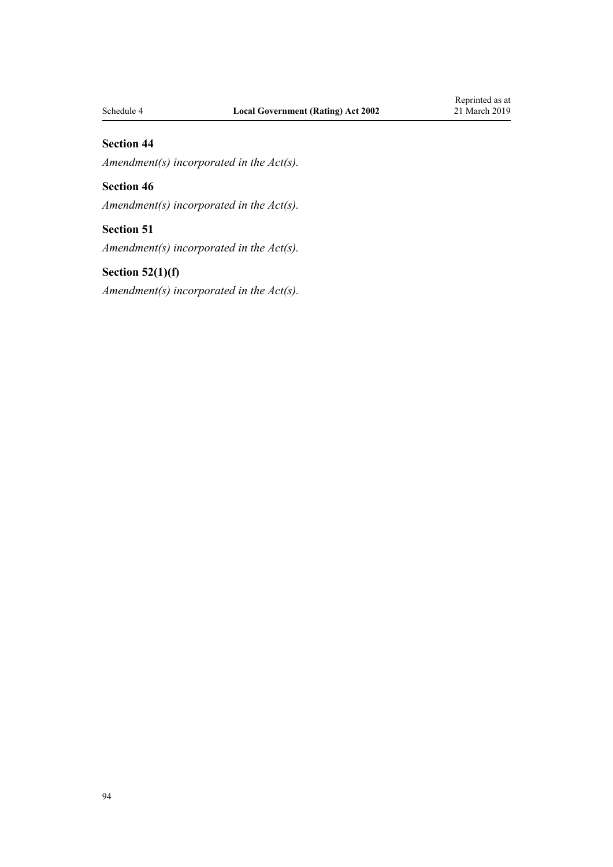### **Section 44**

*Amendment(s) incorporated in the [Act\(s\).](http://legislation.govt.nz/pdflink.aspx?id=DLM427700)*

### **Section 46**

*Amendment(s) incorporated in the [Act\(s\).](http://legislation.govt.nz/pdflink.aspx?id=DLM427703)*

### **Section 51**

*Amendment(s) incorporated in the [Act\(s\).](http://legislation.govt.nz/pdflink.aspx?id=DLM427711)*

### **Section 52(1)(f)**

*Amendment(s) incorporated in the [Act\(s\).](http://legislation.govt.nz/pdflink.aspx?id=DLM427713)*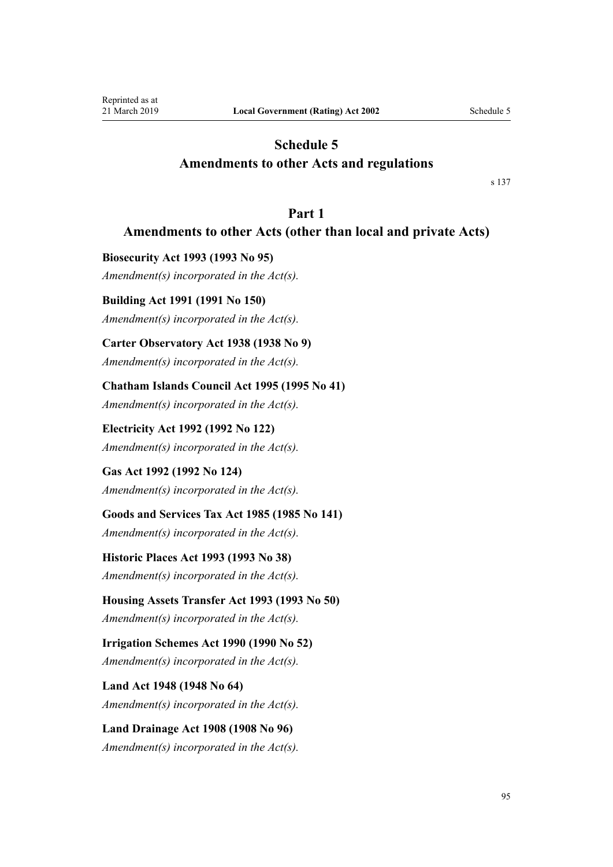# <span id="page-94-0"></span>**Schedule 5 Amendments to other Acts and regulations**

[s 137](#page-76-0)

### **Part 1**

# **Amendments to other Acts (other than local and private Acts)**

**Biosecurity Act 1993 (1993 No 95)** *Amendment(s) incorporated in the [Act\(s\).](http://legislation.govt.nz/pdflink.aspx?id=DLM314622)*

### **Building Act 1991 (1991 No 150)**

*Amendment(s) incorporated in the Act(s).*

### **Carter Observatory Act 1938 (1938 No 9)**

*Amendment(s) incorporated in the [Act\(s\).](http://legislation.govt.nz/pdflink.aspx?id=DLM224169)*

### **Chatham Islands Council Act 1995 (1995 No 41)**

*Amendment(s) incorporated in the [Act\(s\).](http://legislation.govt.nz/pdflink.aspx?id=DLM367665)*

**Electricity Act 1992 (1992 No 122)** *Amendment(s) incorporated in the [Act\(s\).](http://legislation.govt.nz/pdflink.aspx?id=DLM281857)*

**Gas Act 1992 (1992 No 124)** *Amendment(s) incorporated in the [Act\(s\).](http://legislation.govt.nz/pdflink.aspx?id=DLM285784)*

**Goods and Services Tax Act 1985 (1985 No 141)**

*Amendment(s) incorporated in the Act(s).*

**Historic Places Act 1993 (1993 No 38)** *Amendment(s) incorporated in the [Act\(s\).](http://legislation.govt.nz/pdflink.aspx?id=DLM300510)*

**Housing Assets Transfer Act 1993 (1993 No 50)** *Amendment(s) incorporated in the [Act\(s\).](http://legislation.govt.nz/pdflink.aspx?id=DLM302546)*

**Irrigation Schemes Act 1990 (1990 No 52)** *Amendment(s) incorporated in the [Act\(s\).](http://legislation.govt.nz/pdflink.aspx?id=DLM211846)*

**Land Act 1948 (1948 No 64)** *Amendment(s) incorporated in the [Act\(s\).](http://legislation.govt.nz/pdflink.aspx?id=DLM250585)*

**Land Drainage Act 1908 (1908 No 96)** *Amendment(s) incorporated in the [Act\(s\).](http://legislation.govt.nz/pdflink.aspx?id=DLM160976)*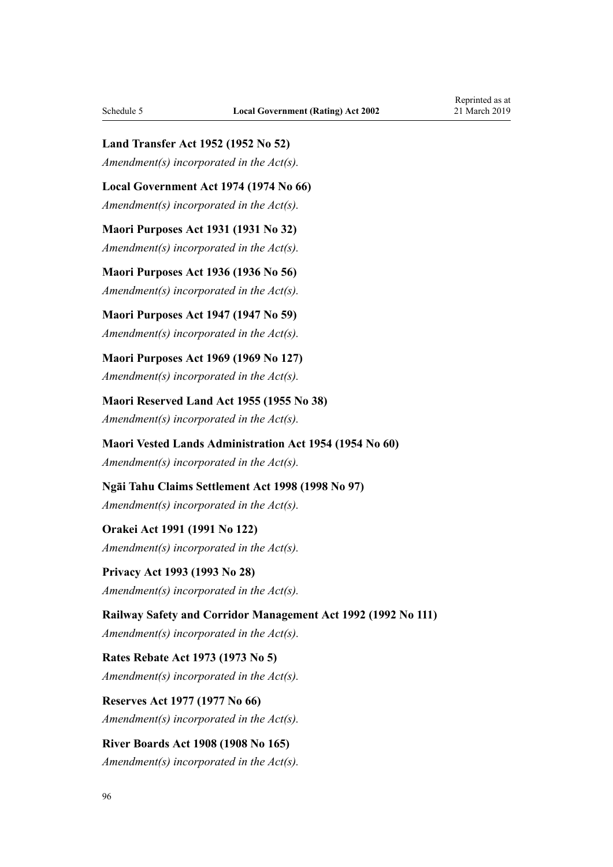**Land Transfer Act 1952 (1952 No 52)**

*Amendment(s) incorporated in the [Act\(s\).](http://legislation.govt.nz/pdflink.aspx?id=DLM270611)*

**Local Government Act 1974 (1974 No 66)** *Amendment(s) incorporated in the [Act\(s\).](http://legislation.govt.nz/pdflink.aspx?id=DLM415531)*

**Maori Purposes Act 1931 (1931 No 32)** *Amendment(s) incorporated in the [Act\(s\).](http://legislation.govt.nz/pdflink.aspx?id=DLM210308)*

**Maori Purposes Act 1936 (1936 No 56)** *Amendment(s) incorporated in the [Act\(s\).](http://legislation.govt.nz/pdflink.aspx?id=DLM221301)*

**Maori Purposes Act 1947 (1947 No 59)** *Amendment(s) incorporated in the [Act\(s\).](http://legislation.govt.nz/pdflink.aspx?id=DLM245836)*

**Maori Purposes Act 1969 (1969 No 127)** *Amendment(s) incorporated in the [Act\(s\).](http://legislation.govt.nz/pdflink.aspx?id=DLM393392)*

**Maori Reserved Land Act 1955 (1955 No 38)** *Amendment(s) incorporated in the [Act\(s\).](http://legislation.govt.nz/pdflink.aspx?id=DLM289716)*

**Maori Vested Lands Administration Act 1954 (1954 No 60)** *Amendment(s) incorporated in the [Act\(s\).](http://legislation.govt.nz/pdflink.aspx?id=DLM287740)*

**Ngāi Tahu Claims Settlement Act 1998 (1998 No 97)** *Amendment(s) incorporated in the [Act\(s\).](http://legislation.govt.nz/pdflink.aspx?id=DLM429089)*

**Orakei Act 1991 (1991 No 122)** *Amendment(s) incorporated in the [Act\(s\).](http://legislation.govt.nz/pdflink.aspx?id=DLM252326)*

**Privacy Act 1993 (1993 No 28)** *Amendment(s) incorporated in the [Act\(s\).](http://legislation.govt.nz/pdflink.aspx?id=DLM296638)*

**Railway Safety and Corridor Management Act 1992 (1992 No 111)** *Amendment(s) incorporated in the Act(s).*

**Rates Rebate Act 1973 (1973 No 5)** *Amendment(s) incorporated in the [Act\(s\).](http://legislation.govt.nz/pdflink.aspx?id=DLM409295)*

**Reserves Act 1977 (1977 No 66)** *Amendment(s) incorporated in the [Act\(s\).](http://legislation.govt.nz/pdflink.aspx?id=DLM444304)*

**River Boards Act 1908 (1908 No 165)** *Amendment(s) incorporated in the [Act\(s\).](http://legislation.govt.nz/pdflink.aspx?id=DLM172771)*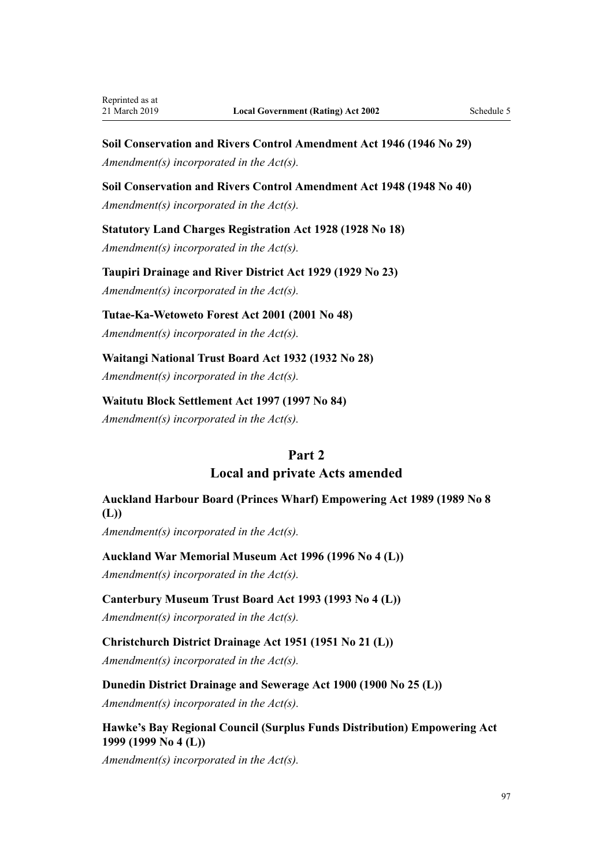**Soil Conservation and Rivers Control Amendment Act 1946 (1946 No 29)** *Amendment(s) incorporated in the [Act\(s\).](http://legislation.govt.nz/pdflink.aspx?id=DLM240809)*

**Soil Conservation and Rivers Control Amendment Act 1948 (1948 No 40)** *Amendment(s) incorporated in the [Act\(s\).](http://legislation.govt.nz/pdflink.aspx?id=DLM248870)*

**Statutory Land Charges Registration Act 1928 (1928 No 18)**

*Amendment(s) incorporated in the [Act\(s\).](http://legislation.govt.nz/pdflink.aspx?id=DLM204851)*

**Taupiri Drainage and River District Act 1929 (1929 No 23)** *Amendment(s) incorporated in the [Act\(s\).](http://legislation.govt.nz/pdflink.aspx?id=DLM207660)*

**Tutae-Ka-Wetoweto Forest Act 2001 (2001 No 48)** *Amendment(s) incorporated in the [Act\(s\).](http://legislation.govt.nz/pdflink.aspx?id=DLM99419)*

**Waitangi National Trust Board Act 1932 (1932 No 28)** *Amendment(s) incorporated in the [Act\(s\).](http://legislation.govt.nz/pdflink.aspx?id=DLM213209)*

**Waitutu Block Settlement Act 1997 (1997 No 84)** *Amendment(s) incorporated in the [Act\(s\).](http://legislation.govt.nz/pdflink.aspx?id=DLM413913)*

### **Part 2**

**Local and private Acts amended**

**Auckland Harbour Board (Princes Wharf) Empowering Act 1989 (1989 No 8 (L))**

*Amendment(s) incorporated in the [Act\(s\).](http://legislation.govt.nz/pdflink.aspx?id=DLM79398)*

**Auckland War Memorial Museum Act 1996 (1996 No 4 (L))**

*Amendment(s) incorporated in the [Act\(s\).](http://legislation.govt.nz/pdflink.aspx?id=DLM83369)*

**Canterbury Museum Trust Board Act 1993 (1993 No 4 (L))**

*Amendment(s) incorporated in the [Act\(s\).](http://legislation.govt.nz/pdflink.aspx?id=DLM81341)*

**Christchurch District Drainage Act 1951 (1951 No 21 (L))**

*Amendment(s) incorporated in the [Act\(s\).](http://legislation.govt.nz/pdflink.aspx?id=DLM54088)*

**Dunedin District Drainage and Sewerage Act 1900 (1900 No 25 (L))**

*Amendment(s) incorporated in the Act(s).*

**Hawke's Bay Regional Council (Surplus Funds Distribution) Empowering Act 1999 (1999 No 4 (L))**

*Amendment(s) incorporated in the [Act\(s\).](http://legislation.govt.nz/pdflink.aspx?id=DLM84780)*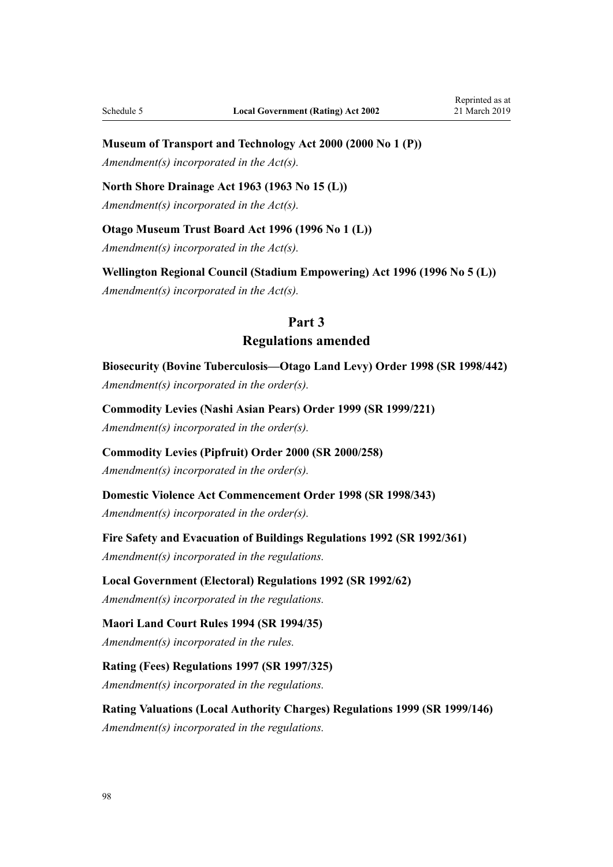# **Museum of Transport and Technology Act 2000 (2000 No 1 (P))**

*Amendment(s) incorporated in the [Act\(s\).](http://legislation.govt.nz/pdflink.aspx?id=DLM119384)*

### **North Shore Drainage Act 1963 (1963 No 15 (L))**

*Amendment(s) incorporated in the [Act\(s\).](http://legislation.govt.nz/pdflink.aspx?id=DLM60624)*

### **Otago Museum Trust Board Act 1996 (1996 No 1 (L))**

*Amendment(s) incorporated in the [Act\(s\).](http://legislation.govt.nz/pdflink.aspx?id=DLM83312)*

**Wellington Regional Council (Stadium Empowering) Act 1996 (1996 No 5 (L))** *Amendment(s) incorporated in the [Act\(s\).](http://legislation.govt.nz/pdflink.aspx?id=DLM83642)*

# **Part 3 Regulations amended**

**Biosecurity (Bovine Tuberculosis—Otago Land Levy) Order 1998 (SR 1998/442)** *Amendment(s) incorporated in the [order\(s\)](http://legislation.govt.nz/pdflink.aspx?id=DLM269219).*

**Commodity Levies (Nashi Asian Pears) Order 1999 (SR 1999/221)** *Amendment(s) incorporated in the order(s).*

**Commodity Levies (Pipfruit) Order 2000 (SR 2000/258)** *Amendment(s) incorporated in the order(s).*

**Domestic Violence Act Commencement Order 1998 (SR 1998/343)** *Amendment(s) incorporated in the [order\(s\)](http://legislation.govt.nz/pdflink.aspx?id=DLM264465).*

**Fire Safety and Evacuation of Buildings Regulations 1992 (SR 1992/361)** *Amendment(s) incorporated in the regulations.*

### **Local Government (Electoral) Regulations 1992 (SR 1992/62)**

*Amendment(s) incorporated in the regulations.*

# **Maori Land Court Rules 1994 (SR 1994/35)**

*Amendment(s) incorporated in the [rules](http://legislation.govt.nz/pdflink.aspx?id=DLM185481).*

**Rating (Fees) Regulations 1997 (SR 1997/325)** *Amendment(s) incorporated in the [regulations](http://legislation.govt.nz/pdflink.aspx?id=DLM242667).*

**Rating Valuations (Local Authority Charges) Regulations 1999 (SR 1999/146)** *Amendment(s) incorporated in the [regulations](http://legislation.govt.nz/pdflink.aspx?id=DLM285632).*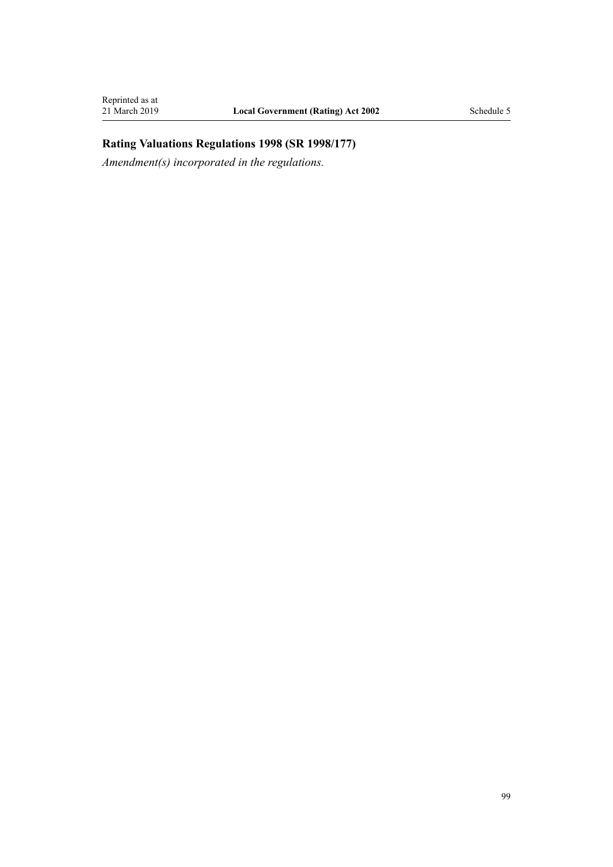### **Rating Valuations Regulations 1998 (SR 1998/177)**

*Amendment(s) incorporated in the [regulations](http://legislation.govt.nz/pdflink.aspx?id=DLM251938).*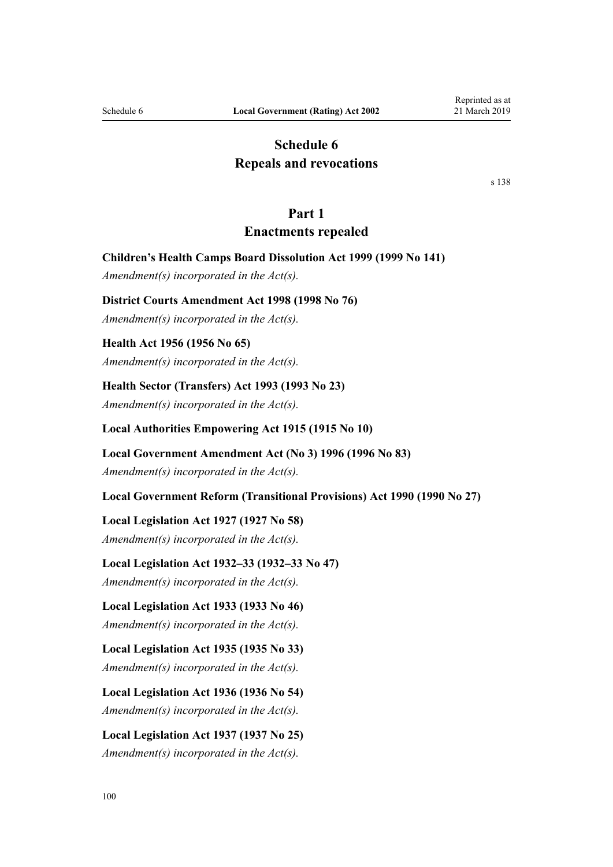### **Schedule 6 Repeals and revocations**

[s 138](#page-76-0)

### **Part 1**

### **Enactments repealed**

<span id="page-99-0"></span>**Children's Health Camps Board Dissolution Act 1999 (1999 No 141)**

*Amendment(s) incorporated in the [Act\(s\).](#page-86-0)*

#### **District Courts Amendment Act 1998 (1998 No 76)**

*Amendment(s) incorporated in the [Act\(s\).](http://legislation.govt.nz/pdflink.aspx?id=DLM427921)*

#### **Health Act 1956 (1956 No 65)**

*Amendment(s) incorporated in the [Act\(s\).](http://legislation.govt.nz/pdflink.aspx?id=DLM308705)*

#### **Health Sector (Transfers) Act 1993 (1993 No 23)**

*Amendment(s) incorporated in the [Act\(s\).](http://legislation.govt.nz/pdflink.aspx?id=DLM295712)*

#### **Local Authorities Empowering Act 1915 (1915 No 10)**

#### **Local Government Amendment Act (No 3) 1996 (1996 No 83)**

*Amendment(s) incorporated in the [Act\(s\).](http://legislation.govt.nz/pdflink.aspx?id=DLM394122)*

**Local Government Reform (Transitional Provisions) Act 1990 (1990 No 27)**

#### **Local Legislation Act 1927 (1927 No 58)**

*Amendment(s) incorporated in the [Act\(s\).](http://legislation.govt.nz/pdflink.aspx?id=DLM203684)*

#### **Local Legislation Act 1932–33 (1932–33 No 47)**

*Amendment(s) incorporated in the [Act\(s\).](http://legislation.govt.nz/pdflink.aspx?id=DLM213845)*

**Local Legislation Act 1933 (1933 No 46)**

*Amendment(s) incorporated in the [Act\(s\).](http://legislation.govt.nz/pdflink.aspx?id=DLM215616)*

#### **Local Legislation Act 1935 (1935 No 33)**

*Amendment(s) incorporated in the [Act\(s\).](http://legislation.govt.nz/pdflink.aspx?id=DLM218630)*

### **Local Legislation Act 1936 (1936 No 54)**

*Amendment(s) incorporated in the [Act\(s\).](http://legislation.govt.nz/pdflink.aspx?id=DLM220483)*

### **Local Legislation Act 1937 (1937 No 25)** *Amendment(s) incorporated in the [Act\(s\).](http://legislation.govt.nz/pdflink.aspx?id=DLM221782)*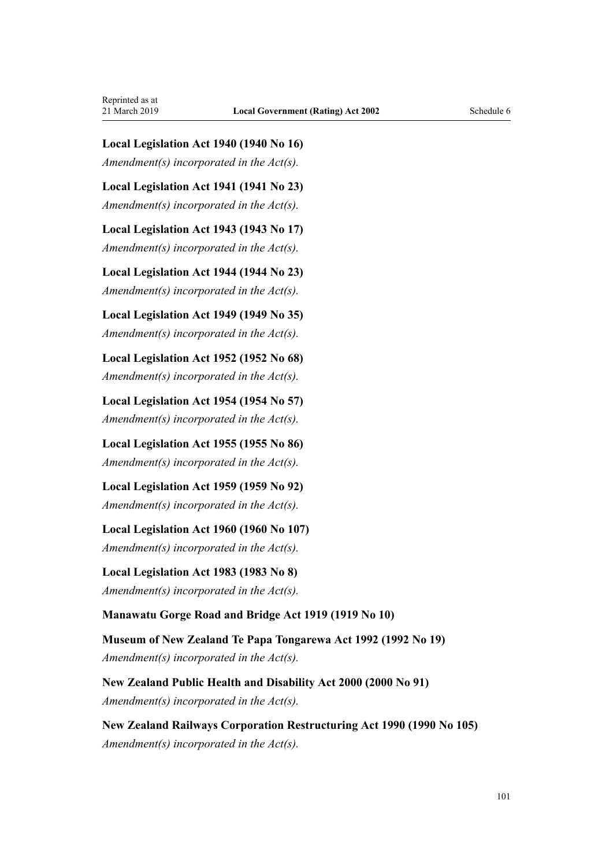**Local Legislation Act 1940 (1940 No 16)** *Amendment(s) incorporated in the [Act\(s\).](http://legislation.govt.nz/pdflink.aspx?id=DLM228891)*

**Local Legislation Act 1941 (1941 No 23)** *Amendment(s) incorporated in the [Act\(s\).](http://legislation.govt.nz/pdflink.aspx?id=DLM234685)*

**Local Legislation Act 1943 (1943 No 17)** *Amendment(s) incorporated in the [Act\(s\).](http://legislation.govt.nz/pdflink.aspx?id=DLM235978)*

**Local Legislation Act 1944 (1944 No 23)** *Amendment(s) incorporated in the [Act\(s\).](http://legislation.govt.nz/pdflink.aspx?id=DLM237456)*

**Local Legislation Act 1949 (1949 No 35)** *Amendment(s) incorporated in the [Act\(s\).](http://legislation.govt.nz/pdflink.aspx?id=DLM259220)*

**Local Legislation Act 1952 (1952 No 68)** *Amendment(s) incorporated in the [Act\(s\).](http://legislation.govt.nz/pdflink.aspx?id=DLM287312)*

**Local Legislation Act 1954 (1954 No 57)** *Amendment(s) incorporated in the [Act\(s\).](http://legislation.govt.nz/pdflink.aspx?id=DLM287312)*

**Local Legislation Act 1955 (1955 No 86)** *Amendment(s) incorporated in the [Act\(s\).](http://legislation.govt.nz/pdflink.aspx?id=DLM291717)*

**Local Legislation Act 1959 (1959 No 92)** *Amendment(s) incorporated in the [Act\(s\).](http://legislation.govt.nz/pdflink.aspx?id=DLM324015)*

**Local Legislation Act 1960 (1960 No 107)** *Amendment(s) incorporated in the [Act\(s\).](http://legislation.govt.nz/pdflink.aspx?id=DLM325643)*

**Local Legislation Act 1983 (1983 No 8)** *Amendment(s) incorporated in the [Act\(s\).](http://legislation.govt.nz/pdflink.aspx?id=DLM66576)*

**Manawatu Gorge Road and Bridge Act 1919 (1919 No 10)**

**Museum of New Zealand Te Papa Tongarewa Act 1992 (1992 No 19)** *Amendment(s) incorporated in the [Act\(s\).](http://legislation.govt.nz/pdflink.aspx?id=DLM260621)*

**New Zealand Public Health and Disability Act 2000 (2000 No 91)** *Amendment(s) incorporated in the [Act\(s\).](http://legislation.govt.nz/pdflink.aspx?id=DLM83147)*

**New Zealand Railways Corporation Restructuring Act 1990 (1990 No 105)** *Amendment(s) incorporated in the [Act\(s\).](http://legislation.govt.nz/pdflink.aspx?id=DLM223174)*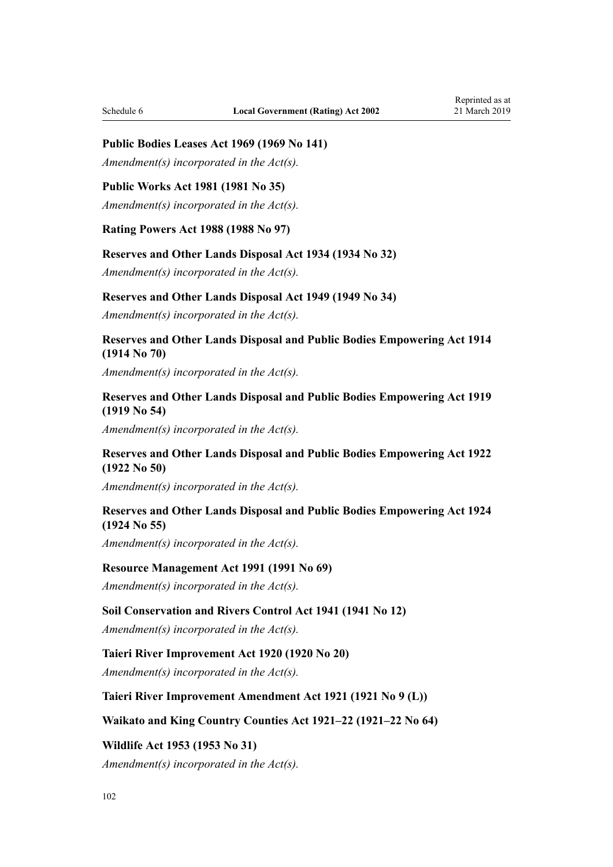#### **Public Bodies Leases Act 1969 (1969 No 141)**

*Amendment(s) incorporated in the [Act\(s\).](http://legislation.govt.nz/pdflink.aspx?id=DLM394879)*

### **Public Works Act 1981 (1981 No 35)**

*Amendment(s) incorporated in the [Act\(s\).](http://legislation.govt.nz/pdflink.aspx?id=DLM48325)*

**Rating Powers Act 1988 (1988 No 97)**

#### **Reserves and Other Lands Disposal Act 1934 (1934 No 32)**

*Amendment(s) incorporated in the [Act\(s\).](http://legislation.govt.nz/pdflink.aspx?id=DLM216789)*

#### **Reserves and Other Lands Disposal Act 1949 (1949 No 34)**

*Amendment(s) incorporated in the [Act\(s\).](http://legislation.govt.nz/pdflink.aspx?id=DLM258773)*

### **Reserves and Other Lands Disposal and Public Bodies Empowering Act 1914 (1914 No 70)**

*Amendment(s) incorporated in the [Act\(s\).](http://legislation.govt.nz/pdflink.aspx?id=DLM180973)*

### **Reserves and Other Lands Disposal and Public Bodies Empowering Act 1919 (1919 No 54)**

*Amendment(s) incorporated in the [Act\(s\).](http://legislation.govt.nz/pdflink.aspx?id=DLM191394)*

### **Reserves and Other Lands Disposal and Public Bodies Empowering Act 1922 (1922 No 50)**

*Amendment(s) incorporated in the [Act\(s\).](http://legislation.govt.nz/pdflink.aspx?id=DLM196183)*

#### **Reserves and Other Lands Disposal and Public Bodies Empowering Act 1924 (1924 No 55)**

*Amendment(s) incorporated in the [Act\(s\).](http://legislation.govt.nz/pdflink.aspx?id=DLM199071)*

#### **Resource Management Act 1991 (1991 No 69)**

*Amendment(s) incorporated in the [Act\(s\).](http://legislation.govt.nz/pdflink.aspx?id=DLM230264)*

#### **Soil Conservation and Rivers Control Act 1941 (1941 No 12)**

*Amendment(s) incorporated in the [Act\(s\).](http://legislation.govt.nz/pdflink.aspx?id=DLM230364)*

#### **Taieri River Improvement Act 1920 (1920 No 20)**

*Amendment(s) incorporated in the [Act\(s\).](http://legislation.govt.nz/pdflink.aspx?id=DLM42120)*

### **Taieri River Improvement Amendment Act 1921 (1921 No 9 (L))**

#### **Waikato and King Country Counties Act 1921–22 (1921–22 No 64)**

**Wildlife Act 1953 (1953 No 31)** *Amendment(s) incorporated in the [Act\(s\).](http://legislation.govt.nz/pdflink.aspx?id=DLM277877)*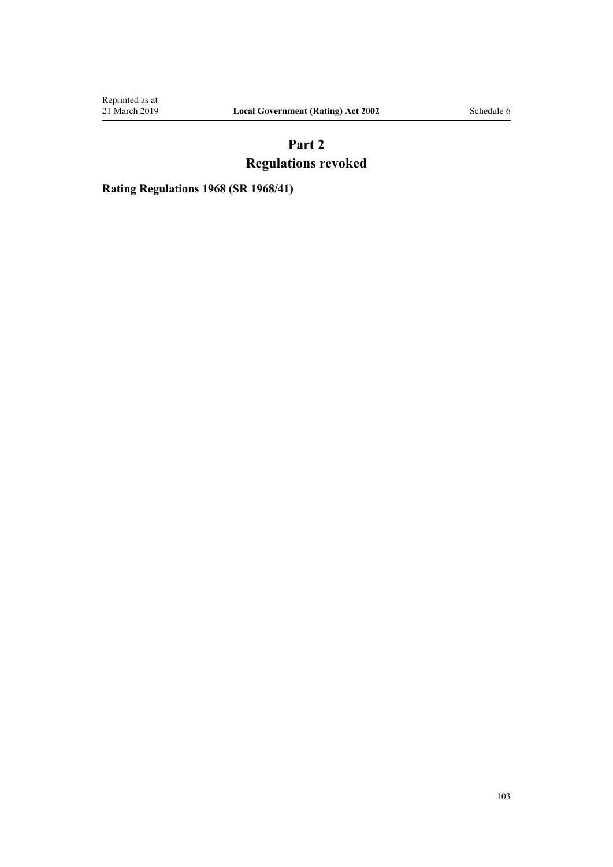Reprinted as at<br>21 March 2019

# **Part 2 Regulations revoked**

**Rating Regulations 1968 (SR 1968/41)**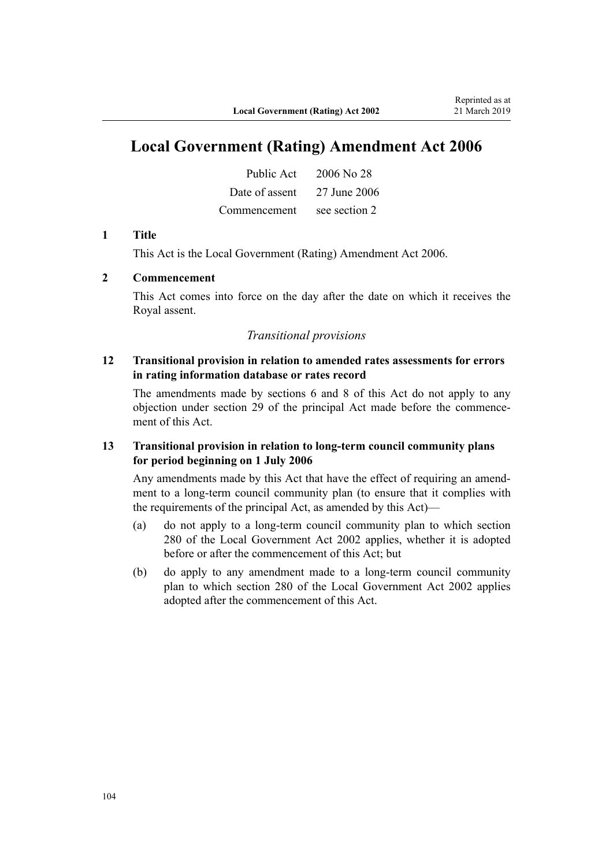# **Local Government (Rating) Amendment Act 2006**

| Public Act     | 2006 No 28    |
|----------------|---------------|
| Date of assent | 27 June 2006  |
| Commencement   | see section 2 |

#### **1 Title**

This Act is the [Local Government \(Rating\) Amendment Act 2006](http://legislation.govt.nz/pdflink.aspx?id=DLM373996).

### **2 Commencement**

This Act comes into force on the day after the date on which it receives the Royal assent.

### *Transitional provisions*

### **12 Transitional provision in relation to amended rates assessments for errors in rating information database or rates record**

The amendments made by [sections 6](http://legislation.govt.nz/pdflink.aspx?id=DLM374309) and [8](http://legislation.govt.nz/pdflink.aspx?id=DLM374311) of this Act do not apply to any objection under [section 29](#page-24-0) of the principal Act made before the commencement of this Act.

### **13 Transitional provision in relation to long-term council community plans for period beginning on 1 July 2006**

Any amendments made by this Act that have the effect of requiring an amendment to a long-term council community plan (to ensure that it complies with the requirements of the principal Act, as amended by this Act)—

- (a) do not apply to a long-term council community plan to which [section](http://legislation.govt.nz/pdflink.aspx?id=DLM174208) [280](http://legislation.govt.nz/pdflink.aspx?id=DLM174208) of the Local Government Act 2002 applies, whether it is adopted before or after the commencement of this Act; but
- (b) do apply to any amendment made to a long-term council community plan to which [section 280](http://legislation.govt.nz/pdflink.aspx?id=DLM174208) of the Local Government Act 2002 applies adopted after the commencement of this Act.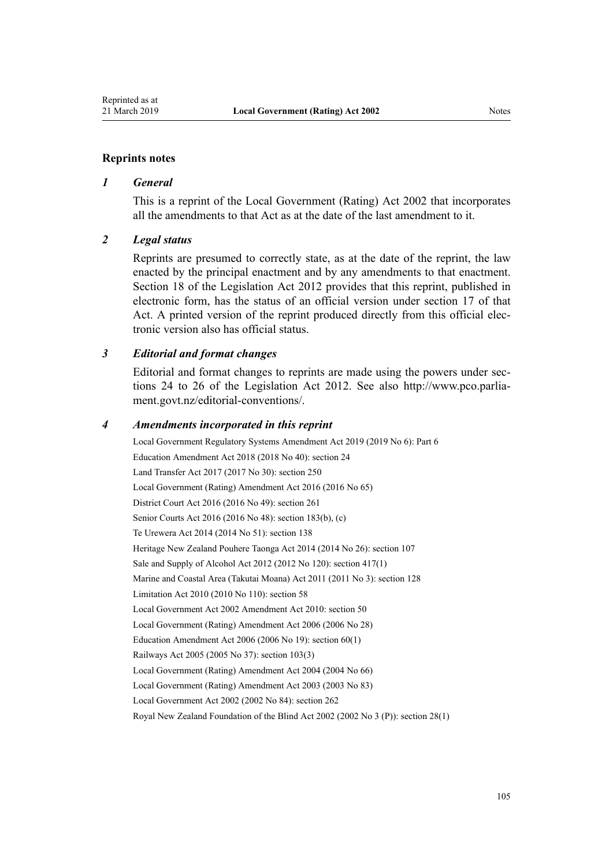#### **Reprints notes**

#### *1 General*

This is a reprint of the Local Government (Rating) Act 2002 that incorporates all the amendments to that Act as at the date of the last amendment to it.

#### *2 Legal status*

Reprints are presumed to correctly state, as at the date of the reprint, the law enacted by the principal enactment and by any amendments to that enactment. [Section 18](http://legislation.govt.nz/pdflink.aspx?id=DLM2998516) of the Legislation Act 2012 provides that this reprint, published in electronic form, has the status of an official version under [section 17](http://legislation.govt.nz/pdflink.aspx?id=DLM2998515) of that Act. A printed version of the reprint produced directly from this official electronic version also has official status.

#### *3 Editorial and format changes*

Editorial and format changes to reprints are made using the powers under [sec](http://legislation.govt.nz/pdflink.aspx?id=DLM2998532)[tions 24 to 26](http://legislation.govt.nz/pdflink.aspx?id=DLM2998532) of the Legislation Act 2012. See also [http://www.pco.parlia](http://www.pco.parliament.govt.nz/editorial-conventions/)[ment.govt.nz/editorial-conventions/](http://www.pco.parliament.govt.nz/editorial-conventions/).

#### *4 Amendments incorporated in this reprint*

Local Government Regulatory Systems Amendment Act 2019 (2019 No 6): [Part 6](http://legislation.govt.nz/pdflink.aspx?id=LMS49091) Education Amendment Act 2018 (2018 No 40): [section 24](http://legislation.govt.nz/pdflink.aspx?id=LMS8587) Land Transfer Act 2017 (2017 No 30): [section 250](http://legislation.govt.nz/pdflink.aspx?id=DLM6731493) [Local Government \(Rating\) Amendment Act 2016](http://legislation.govt.nz/pdflink.aspx?id=DLM6944176) (2016 No 65) District Court Act 2016 (2016 No 49): [section 261](http://legislation.govt.nz/pdflink.aspx?id=DLM6942680) Senior Courts Act 2016 (2016 No 48): [section 183\(b\), \(c\)](http://legislation.govt.nz/pdflink.aspx?id=DLM5759564) Te Urewera Act 2014 (2014 No 51): [section 138](http://legislation.govt.nz/pdflink.aspx?id=DLM6183949) Heritage New Zealand Pouhere Taonga Act 2014 (2014 No 26): [section 107](http://legislation.govt.nz/pdflink.aspx?id=DLM4005646) Sale and Supply of Alcohol Act 2012 (2012 No 120): [section 417\(1\)](http://legislation.govt.nz/pdflink.aspx?id=DLM3339984) Marine and Coastal Area (Takutai Moana) Act 2011 (2011 No 3): [section 128](http://legislation.govt.nz/pdflink.aspx?id=DLM3213476) Limitation Act 2010 (2010 No 110): [section 58](http://legislation.govt.nz/pdflink.aspx?id=DLM2033287) Local Government Act 2002 Amendment Act 2010: [section 50](http://legislation.govt.nz/pdflink.aspx?id=DLM2922485) [Local Government \(Rating\) Amendment Act 2006](http://legislation.govt.nz/pdflink.aspx?id=DLM373996) (2006 No 28) Education Amendment Act 2006 (2006 No 19): [section 60\(1\)](http://legislation.govt.nz/pdflink.aspx?id=DLM373082) Railways Act 2005 (2005 No 37): [section 103\(3\)](http://legislation.govt.nz/pdflink.aspx?id=DLM343101) [Local Government \(Rating\) Amendment Act 2004](http://legislation.govt.nz/pdflink.aspx?id=DLM304027) (2004 No 66) [Local Government \(Rating\) Amendment Act 2003](http://legislation.govt.nz/pdflink.aspx?id=DLM217659) (2003 No 83) Local Government Act 2002 (2002 No 84): [section 262](http://legislation.govt.nz/pdflink.aspx?id=DLM174088) Royal New Zealand Foundation of the Blind Act 2002 (2002 No 3 (P)): [section 28\(1\)](http://legislation.govt.nz/pdflink.aspx?id=DLM121634)